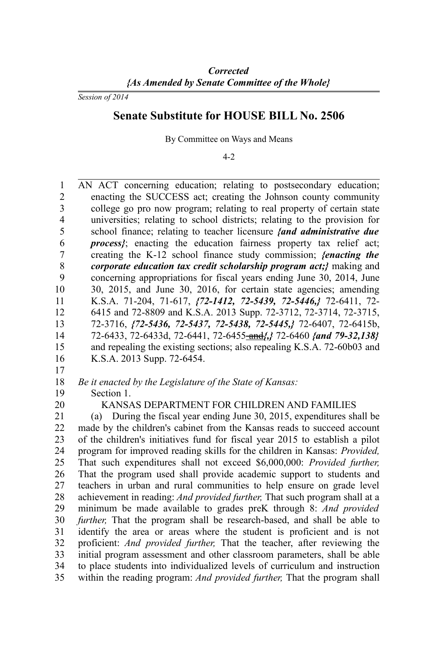*Session of 2014*

# **Senate Substitute for HOUSE BILL No. 2506**

By Committee on Ways and Means

#### 4-2

AN ACT concerning education; relating to postsecondary education; enacting the SUCCESS act; creating the Johnson county community college go pro now program; relating to real property of certain state universities; relating to school districts; relating to the provision for school finance; relating to teacher licensure *{and administrative due process*}; enacting the education fairness property tax relief act; creating the K-12 school finance study commission; *{enacting the corporate education tax credit scholarship program act;}* making and concerning appropriations for fiscal years ending June 30, 2014, June 30, 2015, and June 30, 2016, for certain state agencies; amending K.S.A. 71-204, 71-617, *{72-1412, 72-5439, 72-5446,}* 72-6411, 72- 6415 and 72-8809 and K.S.A. 2013 Supp. 72-3712, 72-3714, 72-3715, 72-3716, *{72-5436, 72-5437, 72-5438, 72-5445,}* 72-6407, 72-6415b, 72-6433, 72-6433d, 72-6441, 72-6455 and*{,}* 72-6460 *{and 79-32,138}* and repealing the existing sections; also repealing K.S.A. 72-60b03 and K.S.A. 2013 Supp. 72-6454. 1  $\mathfrak{D}$ 3 4 5 6 7 8 9 10 11 12 13 14 15 16

17

*Be it enacted by the Legislature of the State of Kansas:* 18

- Section 1. 19
- 20

# KANSAS DEPARTMENT FOR CHILDREN AND FAMILIES

(a) During the fiscal year ending June 30, 2015, expenditures shall be made by the children's cabinet from the Kansas reads to succeed account of the children's initiatives fund for fiscal year 2015 to establish a pilot program for improved reading skills for the children in Kansas: *Provided,* That such expenditures shall not exceed \$6,000,000: *Provided further,* That the program used shall provide academic support to students and teachers in urban and rural communities to help ensure on grade level achievement in reading: *And provided further,* That such program shall at a minimum be made available to grades preK through 8: *And provided further,* That the program shall be research-based, and shall be able to identify the area or areas where the student is proficient and is not proficient: *And provided further,* That the teacher, after reviewing the initial program assessment and other classroom parameters, shall be able to place students into individualized levels of curriculum and instruction within the reading program: *And provided further,* That the program shall 21 22 23 24 25 26 27 28 29 30 31 32 33 34 35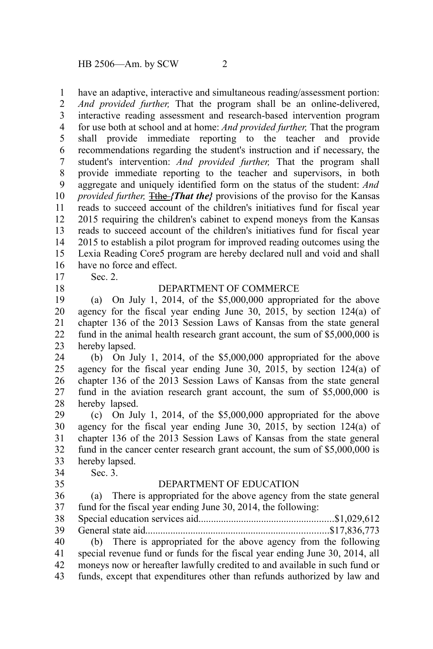have an adaptive, interactive and simultaneous reading/assessment portion: 1

*And provided further,* That the program shall be an online-delivered, interactive reading assessment and research-based intervention program for use both at school and at home: *And provided further,* That the program shall provide immediate reporting to the teacher and provide recommendations regarding the student's instruction and if necessary, the student's intervention: *And provided further,* That the program shall provide immediate reporting to the teacher and supervisors, in both aggregate and uniquely identified form on the status of the student: *And provided further,* **The** *{That the}* provisions of the proviso for the Kansas reads to succeed account of the children's initiatives fund for fiscal year 2015 requiring the children's cabinet to expend moneys from the Kansas reads to succeed account of the children's initiatives fund for fiscal year 2015 to establish a pilot program for improved reading outcomes using the Lexia Reading Core5 program are hereby declared null and void and shall have no force and effect. 2 3 4 5 6 7 8 9 10 11 12 13 14 15 16

Sec. 2.

17 18

#### DEPARTMENT OF COMMERCE

(a) On July 1, 2014, of the \$5,000,000 appropriated for the above agency for the fiscal year ending June 30, 2015, by section 124(a) of chapter 136 of the 2013 Session Laws of Kansas from the state general fund in the animal health research grant account, the sum of \$5,000,000 is hereby lapsed. 19 20 21 22 23

(b) On July 1, 2014, of the \$5,000,000 appropriated for the above agency for the fiscal year ending June 30, 2015, by section 124(a) of chapter 136 of the 2013 Session Laws of Kansas from the state general fund in the aviation research grant account, the sum of \$5,000,000 is hereby lapsed. 24 25 26 27 28

(c) On July 1, 2014, of the \$5,000,000 appropriated for the above agency for the fiscal year ending June 30, 2015, by section 124(a) of chapter 136 of the 2013 Session Laws of Kansas from the state general fund in the cancer center research grant account, the sum of \$5,000,000 is hereby lapsed. 29 30 31 32 33

Sec. 3. 34

35

#### DEPARTMENT OF EDUCATION

(a) There is appropriated for the above agency from the state general fund for the fiscal year ending June 30, 2014, the following: Special education services aid......................................................\$1,029,612 General state aid.........................................................................\$17,836,773 (b) There is appropriated for the above agency from the following special revenue fund or funds for the fiscal year ending June 30, 2014, all moneys now or hereafter lawfully credited to and available in such fund or funds, except that expenditures other than refunds authorized by law and 36 37 38 39 40 41 42 43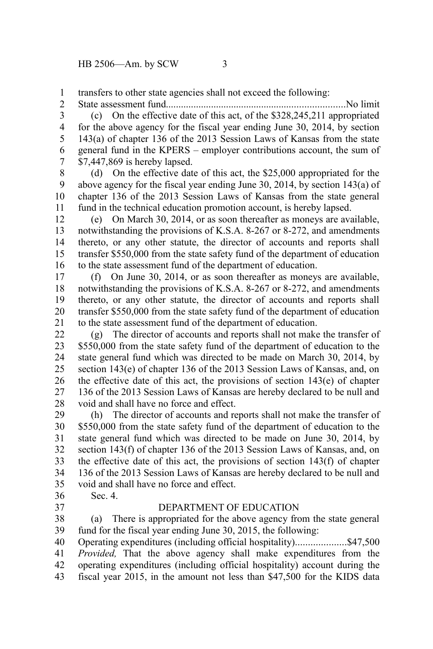transfers to other state agencies shall not exceed the following: 1

2

State assessment fund.......................................................................No limit (c) On the effective date of this act, of the \$328,245,211 appropriated for the above agency for the fiscal year ending June 30, 2014, by section 143(a) of chapter 136 of the 2013 Session Laws of Kansas from the state general fund in the KPERS – employer contributions account, the sum of \$7,447,869 is hereby lapsed. 3 4 5 6 7

(d) On the effective date of this act, the \$25,000 appropriated for the above agency for the fiscal year ending June 30, 2014, by section 143(a) of chapter 136 of the 2013 Session Laws of Kansas from the state general fund in the technical education promotion account, is hereby lapsed. 8 9 10 11

(e) On March 30, 2014, or as soon thereafter as moneys are available, notwithstanding the provisions of K.S.A. 8-267 or 8-272, and amendments thereto, or any other statute, the director of accounts and reports shall transfer \$550,000 from the state safety fund of the department of education to the state assessment fund of the department of education. 12 13 14 15 16

(f) On June 30, 2014, or as soon thereafter as moneys are available, notwithstanding the provisions of K.S.A. 8-267 or 8-272, and amendments thereto, or any other statute, the director of accounts and reports shall transfer \$550,000 from the state safety fund of the department of education to the state assessment fund of the department of education. 17 18 19 20 21

(g) The director of accounts and reports shall not make the transfer of \$550,000 from the state safety fund of the department of education to the state general fund which was directed to be made on March 30, 2014, by section 143(e) of chapter 136 of the 2013 Session Laws of Kansas, and, on the effective date of this act, the provisions of section 143(e) of chapter 136 of the 2013 Session Laws of Kansas are hereby declared to be null and void and shall have no force and effect. 22 23 24 25 26 27 28

(h) The director of accounts and reports shall not make the transfer of \$550,000 from the state safety fund of the department of education to the state general fund which was directed to be made on June 30, 2014, by section 143(f) of chapter 136 of the 2013 Session Laws of Kansas, and, on the effective date of this act, the provisions of section 143(f) of chapter 136 of the 2013 Session Laws of Kansas are hereby declared to be null and void and shall have no force and effect. 29 30 31 32 33 34 35

Sec. 4. 36 37

## DEPARTMENT OF EDUCATION

(a) There is appropriated for the above agency from the state general fund for the fiscal year ending June 30, 2015, the following: 38 39

Operating expenditures (including official hospitality)....................\$47,500 *Provided,* That the above agency shall make expenditures from the 40 41

- operating expenditures (including official hospitality) account during the 42
- fiscal year 2015, in the amount not less than \$47,500 for the KIDS data 43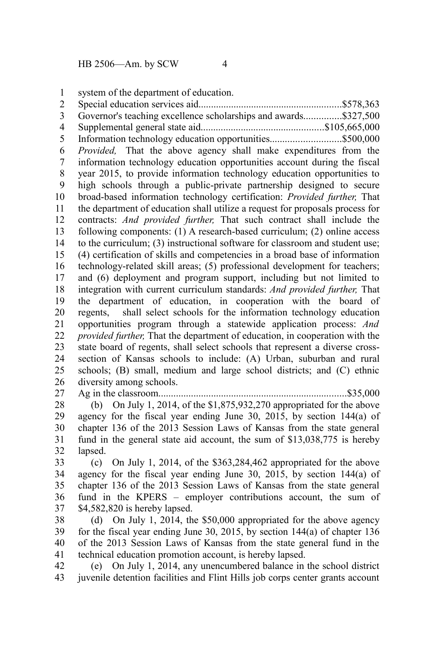system of the department of education. 1

Special education services aid.........................................................\$578,363 Governor's teaching excellence scholarships and awards...............\$327,500 Supplemental general state aid.................................................\$105,665,000 Information technology education opportunities............................\$500,000 *Provided,* That the above agency shall make expenditures from the information technology education opportunities account during the fiscal year 2015, to provide information technology education opportunities to high schools through a public-private partnership designed to secure broad-based information technology certification: *Provided further,* That the department of education shall utilize a request for proposals process for contracts: *And provided further,* That such contract shall include the following components: (1) A research-based curriculum; (2) online access to the curriculum; (3) instructional software for classroom and student use; (4) certification of skills and competencies in a broad base of information technology-related skill areas; (5) professional development for teachers; and (6) deployment and program support, including but not limited to integration with current curriculum standards: *And provided further,* That the department of education, in cooperation with the board of regents, shall select schools for the information technology education opportunities program through a statewide application process: *And provided further,* That the department of education, in cooperation with the state board of regents, shall select schools that represent a diverse crosssection of Kansas schools to include: (A) Urban, suburban and rural schools; (B) small, medium and large school districts; and (C) ethnic diversity among schools. 2 3 4 5 6 7 8 9 10 11 12 13 14 15 16 17 18 19 20 21 22 23 24 25 26 27

Ag in the classroom...........................................................................\$35,000 (b) On July 1, 2014, of the \$1,875,932,270 appropriated for the above agency for the fiscal year ending June 30, 2015, by section 144(a) of chapter 136 of the 2013 Session Laws of Kansas from the state general fund in the general state aid account, the sum of \$13,038,775 is hereby lapsed. 28 29 30 31 32

(c) On July 1, 2014, of the \$363,284,462 appropriated for the above agency for the fiscal year ending June 30, 2015, by section 144(a) of chapter 136 of the 2013 Session Laws of Kansas from the state general fund in the KPERS – employer contributions account, the sum of \$4,582,820 is hereby lapsed. 33 34 35 36 37

(d) On July 1, 2014, the \$50,000 appropriated for the above agency for the fiscal year ending June 30, 2015, by section 144(a) of chapter 136 of the 2013 Session Laws of Kansas from the state general fund in the technical education promotion account, is hereby lapsed. 38 39 40 41

(e) On July 1, 2014, any unencumbered balance in the school district juvenile detention facilities and Flint Hills job corps center grants account 42 43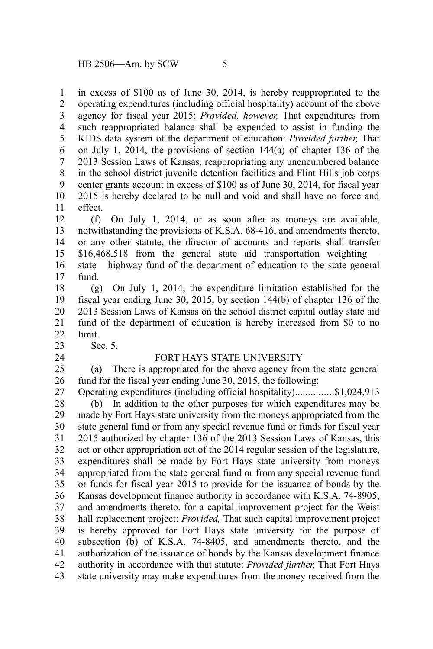in excess of \$100 as of June 30, 2014, is hereby reappropriated to the operating expenditures (including official hospitality) account of the above agency for fiscal year 2015: *Provided, however,* That expenditures from such reappropriated balance shall be expended to assist in funding the KIDS data system of the department of education: *Provided further,* That on July 1, 2014, the provisions of section 144(a) of chapter 136 of the 2013 Session Laws of Kansas, reappropriating any unencumbered balance in the school district juvenile detention facilities and Flint Hills job corps center grants account in excess of \$100 as of June 30, 2014, for fiscal year 2015 is hereby declared to be null and void and shall have no force and effect. 1 2 3 4 5 6 7 8 9 10 11

(f) On July 1, 2014, or as soon after as moneys are available, notwithstanding the provisions of K.S.A. 68-416, and amendments thereto, or any other statute, the director of accounts and reports shall transfer \$16,468,518 from the general state aid transportation weighting – state highway fund of the department of education to the state general fund. 12 13 14 15 16 17

(g) On July 1, 2014, the expenditure limitation established for the fiscal year ending June 30, 2015, by section 144(b) of chapter 136 of the 2013 Session Laws of Kansas on the school district capital outlay state aid fund of the department of education is hereby increased from \$0 to no limit. 18 19 20 21 22

Sec. 5.

23 24

#### FORT HAYS STATE UNIVERSITY

(a) There is appropriated for the above agency from the state general fund for the fiscal year ending June 30, 2015, the following: 25 26

Operating expenditures (including official hospitality)...............\$1,024,913 27

(b) In addition to the other purposes for which expenditures may be made by Fort Hays state university from the moneys appropriated from the state general fund or from any special revenue fund or funds for fiscal year 2015 authorized by chapter 136 of the 2013 Session Laws of Kansas, this act or other appropriation act of the 2014 regular session of the legislature, expenditures shall be made by Fort Hays state university from moneys appropriated from the state general fund or from any special revenue fund or funds for fiscal year 2015 to provide for the issuance of bonds by the Kansas development finance authority in accordance with K.S.A. 74-8905, and amendments thereto, for a capital improvement project for the Weist hall replacement project: *Provided,* That such capital improvement project is hereby approved for Fort Hays state university for the purpose of subsection (b) of K.S.A. 74-8405, and amendments thereto, and the authorization of the issuance of bonds by the Kansas development finance authority in accordance with that statute: *Provided further,* That Fort Hays state university may make expenditures from the money received from the 28 29 30 31 32 33 34 35 36 37 38 39 40 41 42 43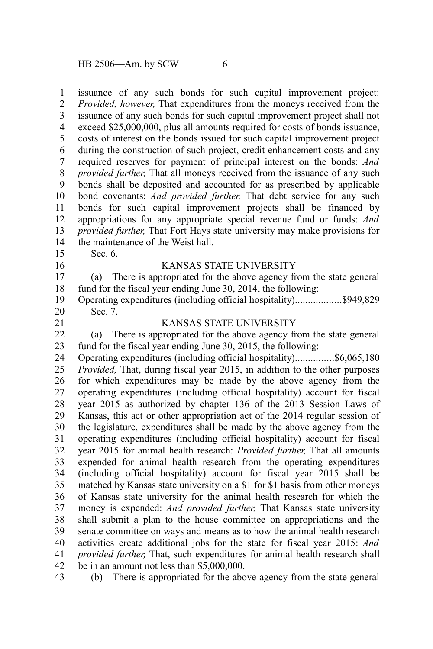issuance of any such bonds for such capital improvement project: *Provided, however,* That expenditures from the moneys received from the issuance of any such bonds for such capital improvement project shall not exceed \$25,000,000, plus all amounts required for costs of bonds issuance, costs of interest on the bonds issued for such capital improvement project during the construction of such project, credit enhancement costs and any required reserves for payment of principal interest on the bonds: *And provided further,* That all moneys received from the issuance of any such bonds shall be deposited and accounted for as prescribed by applicable bond covenants: *And provided further,* That debt service for any such bonds for such capital improvement projects shall be financed by appropriations for any appropriate special revenue fund or funds: *And provided further,* That Fort Hays state university may make provisions for the maintenance of the Weist hall. 1 2 3 4 5 6 7 8 9 10 11 12 13 14

15 16 Sec. 6.

#### KANSAS STATE UNIVERSITY

(a) There is appropriated for the above agency from the state general fund for the fiscal year ending June 30, 2014, the following: 17 18

Operating expenditures (including official hospitality)..................\$949,829 Sec. 7. 19 20

21

43

# KANSAS STATE UNIVERSITY

(a) There is appropriated for the above agency from the state general fund for the fiscal year ending June 30, 2015, the following: 22 23

Operating expenditures (including official hospitality)...............\$6,065,180 *Provided,* That, during fiscal year 2015, in addition to the other purposes for which expenditures may be made by the above agency from the operating expenditures (including official hospitality) account for fiscal year 2015 as authorized by chapter 136 of the 2013 Session Laws of Kansas, this act or other appropriation act of the 2014 regular session of the legislature, expenditures shall be made by the above agency from the operating expenditures (including official hospitality) account for fiscal year 2015 for animal health research: *Provided further,* That all amounts expended for animal health research from the operating expenditures (including official hospitality) account for fiscal year 2015 shall be matched by Kansas state university on a \$1 for \$1 basis from other moneys of Kansas state university for the animal health research for which the money is expended: *And provided further,* That Kansas state university shall submit a plan to the house committee on appropriations and the senate committee on ways and means as to how the animal health research activities create additional jobs for the state for fiscal year 2015: *And provided further,* That, such expenditures for animal health research shall be in an amount not less than \$5,000,000. 24 25 26 27 28 29 30 31 32 33 34 35 36 37 38 39 40 41 42

(b) There is appropriated for the above agency from the state general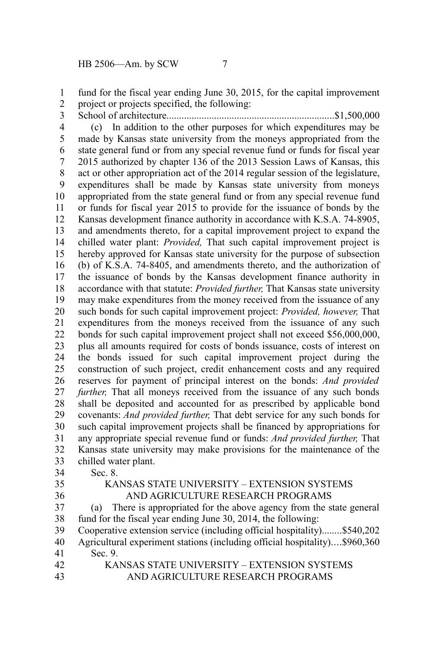fund for the fiscal year ending June 30, 2015, for the capital improvement project or projects specified, the following: 1 2

School of architecture...................................................................\$1,500,000 3

(c) In addition to the other purposes for which expenditures may be made by Kansas state university from the moneys appropriated from the state general fund or from any special revenue fund or funds for fiscal year 2015 authorized by chapter 136 of the 2013 Session Laws of Kansas, this act or other appropriation act of the 2014 regular session of the legislature, expenditures shall be made by Kansas state university from moneys appropriated from the state general fund or from any special revenue fund or funds for fiscal year 2015 to provide for the issuance of bonds by the Kansas development finance authority in accordance with K.S.A. 74-8905, and amendments thereto, for a capital improvement project to expand the chilled water plant: *Provided,* That such capital improvement project is hereby approved for Kansas state university for the purpose of subsection (b) of K.S.A. 74-8405, and amendments thereto, and the authorization of the issuance of bonds by the Kansas development finance authority in accordance with that statute: *Provided further,* That Kansas state university may make expenditures from the money received from the issuance of any such bonds for such capital improvement project: *Provided, however,* That expenditures from the moneys received from the issuance of any such bonds for such capital improvement project shall not exceed \$56,000,000, plus all amounts required for costs of bonds issuance, costs of interest on the bonds issued for such capital improvement project during the construction of such project, credit enhancement costs and any required reserves for payment of principal interest on the bonds: *And provided further*, That all moneys received from the issuance of any such bonds shall be deposited and accounted for as prescribed by applicable bond covenants: *And provided further,* That debt service for any such bonds for such capital improvement projects shall be financed by appropriations for any appropriate special revenue fund or funds: *And provided further,* That Kansas state university may make provisions for the maintenance of the chilled water plant. 4 5 6 7 8 9 10 11 12 13 14 15 16 17 18 19 20 21 22 23 24 25 26 27 28 29 30 31 32 33

Sec. 8. 34

35 36

# KANSAS STATE UNIVERSITY – EXTENSION SYSTEMS AND AGRICULTURE RESEARCH PROGRAMS

(a) There is appropriated for the above agency from the state general fund for the fiscal year ending June 30, 2014, the following: 37 38

Cooperative extension service (including official hospitality)........\$540,202 Agricultural experiment stations (including official hospitality)....\$960,360 Sec. 9. 39 40 41

KANSAS STATE UNIVERSITY – EXTENSION SYSTEMS AND AGRICULTURE RESEARCH PROGRAMS 42 43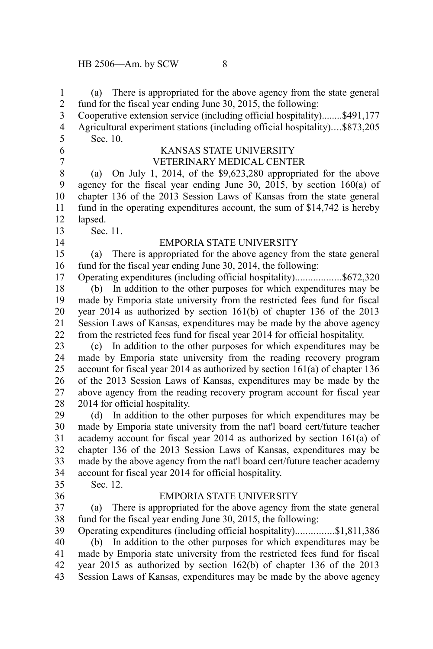(a) There is appropriated for the above agency from the state general fund for the fiscal year ending June 30, 2015, the following: Cooperative extension service (including official hospitality)........\$491,177 1 2 3

Agricultural experiment stations (including official hospitality)....\$873,205 Sec. 10. 4 5

- 6
- 7

# KANSAS STATE UNIVERSITY

VETERINARY MEDICAL CENTER

(a) On July 1, 2014, of the \$9,623,280 appropriated for the above agency for the fiscal year ending June 30, 2015, by section 160(a) of chapter 136 of the 2013 Session Laws of Kansas from the state general fund in the operating expenditures account, the sum of \$14,742 is hereby lapsed. 8 9 10 11 12

Sec. 11. 13

14

# EMPORIA STATE UNIVERSITY

(a) There is appropriated for the above agency from the state general fund for the fiscal year ending June 30, 2014, the following: 15 16

Operating expenditures (including official hospitality)..................\$672,320 (b) In addition to the other purposes for which expenditures may be made by Emporia state university from the restricted fees fund for fiscal year 2014 as authorized by section 161(b) of chapter 136 of the 2013 Session Laws of Kansas, expenditures may be made by the above agency from the restricted fees fund for fiscal year 2014 for official hospitality. 17 18 19 20 21 22

(c) In addition to the other purposes for which expenditures may be made by Emporia state university from the reading recovery program account for fiscal year 2014 as authorized by section 161(a) of chapter 136 of the 2013 Session Laws of Kansas, expenditures may be made by the above agency from the reading recovery program account for fiscal year 2014 for official hospitality. 23 24 25 26 27 28

(d) In addition to the other purposes for which expenditures may be made by Emporia state university from the nat'l board cert/future teacher academy account for fiscal year 2014 as authorized by section 161(a) of chapter 136 of the 2013 Session Laws of Kansas, expenditures may be made by the above agency from the nat'l board cert/future teacher academy account for fiscal year 2014 for official hospitality. 29 30 31 32 33 34

35 36 Sec. 12.

## EMPORIA STATE UNIVERSITY

(a) There is appropriated for the above agency from the state general fund for the fiscal year ending June 30, 2015, the following: 37 38

Operating expenditures (including official hospitality)...............\$1,811,386 (b) In addition to the other purposes for which expenditures may be made by Emporia state university from the restricted fees fund for fiscal year 2015 as authorized by section 162(b) of chapter 136 of the 2013 Session Laws of Kansas, expenditures may be made by the above agency 39 40 41 42 43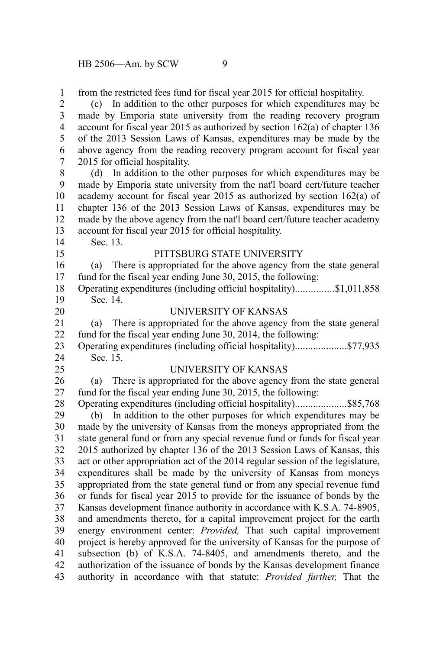from the restricted fees fund for fiscal year 2015 for official hospitality. 1

(c) In addition to the other purposes for which expenditures may be made by Emporia state university from the reading recovery program account for fiscal year 2015 as authorized by section 162(a) of chapter 136 of the 2013 Session Laws of Kansas, expenditures may be made by the above agency from the reading recovery program account for fiscal year 2015 for official hospitality. 2 3 4 5 6 7

(d) In addition to the other purposes for which expenditures may be made by Emporia state university from the nat'l board cert/future teacher academy account for fiscal year 2015 as authorized by section 162(a) of chapter 136 of the 2013 Session Laws of Kansas, expenditures may be made by the above agency from the nat'l board cert/future teacher academy account for fiscal year 2015 for official hospitality. 8 9 10 11 12 13

14 15 Sec. 13.

# PITTSBURG STATE UNIVERSITY

(a) There is appropriated for the above agency from the state general fund for the fiscal year ending June 30, 2015, the following: 16 17

Operating expenditures (including official hospitality)...............\$1,011,858 Sec. 14. 18 19

20

# UNIVERSITY OF KANSAS

(a) There is appropriated for the above agency from the state general fund for the fiscal year ending June 30, 2014, the following: 21 22

Operating expenditures (including official hospitality)....................\$77,935 Sec. 15. 23 24

25

#### UNIVERSITY OF KANSAS

(a) There is appropriated for the above agency from the state general fund for the fiscal year ending June 30, 2015, the following: 26 27

Operating expenditures (including official hospitality)....................\$85,768 (b) In addition to the other purposes for which expenditures may be made by the university of Kansas from the moneys appropriated from the state general fund or from any special revenue fund or funds for fiscal year 2015 authorized by chapter 136 of the 2013 Session Laws of Kansas, this act or other appropriation act of the 2014 regular session of the legislature, expenditures shall be made by the university of Kansas from moneys appropriated from the state general fund or from any special revenue fund or funds for fiscal year 2015 to provide for the issuance of bonds by the Kansas development finance authority in accordance with K.S.A. 74-8905, and amendments thereto, for a capital improvement project for the earth energy environment center: *Provided,* That such capital improvement project is hereby approved for the university of Kansas for the purpose of subsection (b) of K.S.A. 74-8405, and amendments thereto, and the authorization of the issuance of bonds by the Kansas development finance authority in accordance with that statute: *Provided further,* That the 28 29 30 31 32 33 34 35 36 37 38 39 40 41 42 43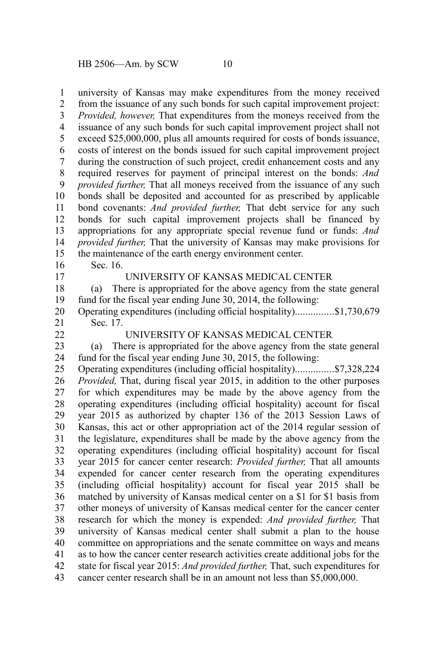university of Kansas may make expenditures from the money received 1

from the issuance of any such bonds for such capital improvement project: *Provided, however,* That expenditures from the moneys received from the issuance of any such bonds for such capital improvement project shall not exceed \$25,000,000, plus all amounts required for costs of bonds issuance, costs of interest on the bonds issued for such capital improvement project during the construction of such project, credit enhancement costs and any required reserves for payment of principal interest on the bonds: *And provided further,* That all moneys received from the issuance of any such bonds shall be deposited and accounted for as prescribed by applicable bond covenants: *And provided further,* That debt service for any such bonds for such capital improvement projects shall be financed by appropriations for any appropriate special revenue fund or funds: *And provided further,* That the university of Kansas may make provisions for the maintenance of the earth energy environment center. 2 3 4 5 6 7 8 9 10 11 12 13 14 15

Sec. 16.

16 17

#### UNIVERSITY OF KANSAS MEDICAL CENTER

(a) There is appropriated for the above agency from the state general fund for the fiscal year ending June 30, 2014, the following: 18 19

Operating expenditures (including official hospitality)...............\$1,730,679 Sec. 17. 20 21

22

## UNIVERSITY OF KANSAS MEDICAL CENTER

(a) There is appropriated for the above agency from the state general fund for the fiscal year ending June 30, 2015, the following: 23 24

Operating expenditures (including official hospitality)...............\$7,328,224 *Provided,* That, during fiscal year 2015, in addition to the other purposes for which expenditures may be made by the above agency from the operating expenditures (including official hospitality) account for fiscal year 2015 as authorized by chapter 136 of the 2013 Session Laws of Kansas, this act or other appropriation act of the 2014 regular session of the legislature, expenditures shall be made by the above agency from the operating expenditures (including official hospitality) account for fiscal year 2015 for cancer center research: *Provided further,* That all amounts expended for cancer center research from the operating expenditures (including official hospitality) account for fiscal year 2015 shall be matched by university of Kansas medical center on a \$1 for \$1 basis from other moneys of university of Kansas medical center for the cancer center research for which the money is expended: *And provided further,* That university of Kansas medical center shall submit a plan to the house committee on appropriations and the senate committee on ways and means as to how the cancer center research activities create additional jobs for the state for fiscal year 2015: *And provided further,* That, such expenditures for cancer center research shall be in an amount not less than \$5,000,000. 25 26 27 28 29 30 31 32 33 34 35 36 37 38 39 40 41 42 43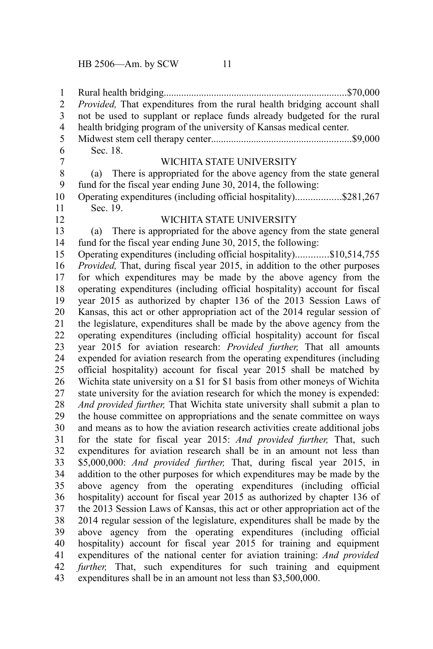Rural health bridging.........................................................................\$70,000 *Provided,* That expenditures from the rural health bridging account shall not be used to supplant or replace funds already budgeted for the rural health bridging program of the university of Kansas medical center. Midwest stem cell therapy center........................................................\$9,000 Sec. 18. WICHITA STATE UNIVERSITY (a) There is appropriated for the above agency from the state general fund for the fiscal year ending June 30, 2014, the following: Operating expenditures (including official hospitality)..................\$281,267 Sec. 19. WICHITA STATE UNIVERSITY (a) There is appropriated for the above agency from the state general fund for the fiscal year ending June 30, 2015, the following: Operating expenditures (including official hospitality).............\$10,514,755 *Provided,* That, during fiscal year 2015, in addition to the other purposes for which expenditures may be made by the above agency from the operating expenditures (including official hospitality) account for fiscal year 2015 as authorized by chapter 136 of the 2013 Session Laws of Kansas, this act or other appropriation act of the 2014 regular session of the legislature, expenditures shall be made by the above agency from the operating expenditures (including official hospitality) account for fiscal year 2015 for aviation research: *Provided further,* That all amounts expended for aviation research from the operating expenditures (including official hospitality) account for fiscal year 2015 shall be matched by Wichita state university on a \$1 for \$1 basis from other moneys of Wichita state university for the aviation research for which the money is expended: *And provided further,* That Wichita state university shall submit a plan to the house committee on appropriations and the senate committee on ways and means as to how the aviation research activities create additional jobs for the state for fiscal year 2015: *And provided further,* That, such expenditures for aviation research shall be in an amount not less than \$5,000,000: *And provided further,* That, during fiscal year 2015, in addition to the other purposes for which expenditures may be made by the above agency from the operating expenditures (including official hospitality) account for fiscal year 2015 as authorized by chapter 136 of the 2013 Session Laws of Kansas, this act or other appropriation act of the 2014 regular session of the legislature, expenditures shall be made by the above agency from the operating expenditures (including official hospitality) account for fiscal year 2015 for training and equipment expenditures of the national center for aviation training: *And provided further,* That, such expenditures for such training and equipment expenditures shall be in an amount not less than \$3,500,000. 1 2 3 4 5 6 7 8 9 10 11 12 13 14 15 16 17 18 19 20 21 22 23 24 25 26 27 28 29 30 31 32 33 34 35 36 37 38 39 40 41 42 43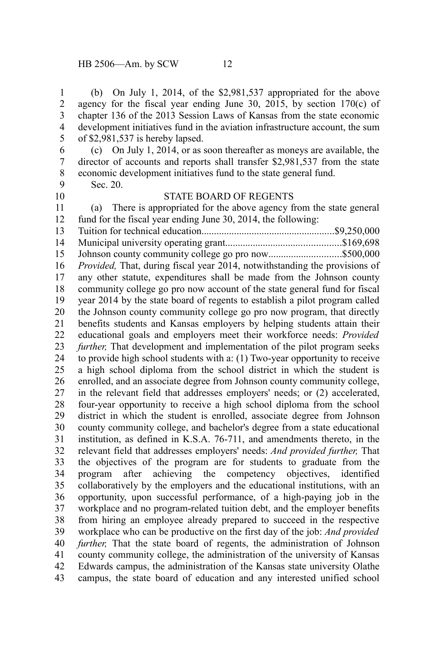(b) On July 1, 2014, of the \$2,981,537 appropriated for the above agency for the fiscal year ending June 30, 2015, by section 170(c) of chapter 136 of the 2013 Session Laws of Kansas from the state economic development initiatives fund in the aviation infrastructure account, the sum of \$2,981,537 is hereby lapsed. (c) On July 1, 2014, or as soon thereafter as moneys are available, the director of accounts and reports shall transfer \$2,981,537 from the state economic development initiatives fund to the state general fund. Sec. 20. STATE BOARD OF REGENTS (a) There is appropriated for the above agency from the state general fund for the fiscal year ending June 30, 2014, the following: Tuition for technical education.....................................................\$9,250,000 Municipal university operating grant..............................................\$169,698 Johnson county community college go pro now.............................\$500,000 *Provided,* That, during fiscal year 2014, notwithstanding the provisions of any other statute, expenditures shall be made from the Johnson county community college go pro now account of the state general fund for fiscal year 2014 by the state board of regents to establish a pilot program called the Johnson county community college go pro now program, that directly benefits students and Kansas employers by helping students attain their educational goals and employers meet their workforce needs: *Provided further,* That development and implementation of the pilot program seeks to provide high school students with a: (1) Two-year opportunity to receive a high school diploma from the school district in which the student is enrolled, and an associate degree from Johnson county community college, in the relevant field that addresses employers' needs; or (2) accelerated, four-year opportunity to receive a high school diploma from the school district in which the student is enrolled, associate degree from Johnson county community college, and bachelor's degree from a state educational institution, as defined in K.S.A. 76-711, and amendments thereto, in the relevant field that addresses employers' needs: *And provided further,* That the objectives of the program are for students to graduate from the program after achieving the competency objectives, identified collaboratively by the employers and the educational institutions, with an opportunity, upon successful performance, of a high-paying job in the workplace and no program-related tuition debt, and the employer benefits from hiring an employee already prepared to succeed in the respective workplace who can be productive on the first day of the job: *And provided further,* That the state board of regents, the administration of Johnson county community college, the administration of the university of Kansas Edwards campus, the administration of the Kansas state university Olathe campus, the state board of education and any interested unified school 1 2 3 4 5 6 7 8 9 10 11 12 13 14 15 16 17 18 19 20 21 22 23 24 25 26 27 28 29 30 31 32 33 34 35 36 37 38 39 40 41 42 43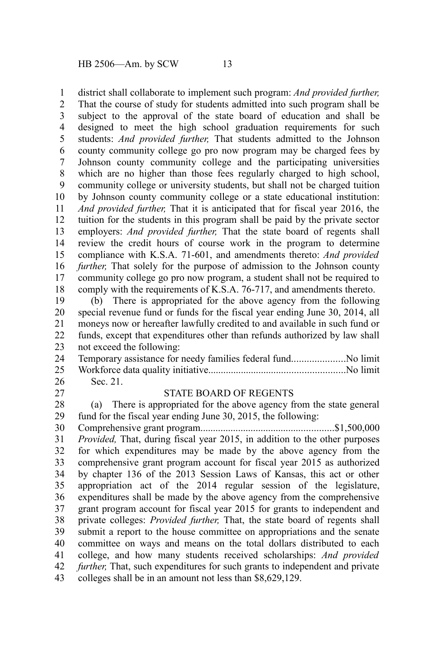district shall collaborate to implement such program: *And provided further,* 1

That the course of study for students admitted into such program shall be subject to the approval of the state board of education and shall be designed to meet the high school graduation requirements for such students: *And provided further,* That students admitted to the Johnson county community college go pro now program may be charged fees by Johnson county community college and the participating universities which are no higher than those fees regularly charged to high school, community college or university students, but shall not be charged tuition by Johnson county community college or a state educational institution: *And provided further,* That it is anticipated that for fiscal year 2016, the tuition for the students in this program shall be paid by the private sector employers: *And provided further,* That the state board of regents shall review the credit hours of course work in the program to determine compliance with K.S.A. 71-601, and amendments thereto: *And provided further*, That solely for the purpose of admission to the Johnson county community college go pro now program, a student shall not be required to comply with the requirements of K.S.A. 76-717, and amendments thereto. 2 3 4 5 6 7 8 9 10 11 12 13 14 15 16 17 18

(b) There is appropriated for the above agency from the following special revenue fund or funds for the fiscal year ending June 30, 2014, all moneys now or hereafter lawfully credited to and available in such fund or funds, except that expenditures other than refunds authorized by law shall not exceed the following: 19 20 21 22 23

| 26 | Sec. 21. |  |
|----|----------|--|

27

#### STATE BOARD OF REGENTS

(a) There is appropriated for the above agency from the state general fund for the fiscal year ending June 30, 2015, the following: 28 29

Comprehensive grant program.....................................................\$1,500,000 *Provided,* That, during fiscal year 2015, in addition to the other purposes for which expenditures may be made by the above agency from the comprehensive grant program account for fiscal year 2015 as authorized by chapter 136 of the 2013 Session Laws of Kansas, this act or other appropriation act of the 2014 regular session of the legislature, expenditures shall be made by the above agency from the comprehensive grant program account for fiscal year 2015 for grants to independent and private colleges: *Provided further,* That, the state board of regents shall submit a report to the house committee on appropriations and the senate committee on ways and means on the total dollars distributed to each college, and how many students received scholarships: *And provided further,* That, such expenditures for such grants to independent and private colleges shall be in an amount not less than \$8,629,129. 30 31 32 33 34 35 36 37 38 39 40 41 42 43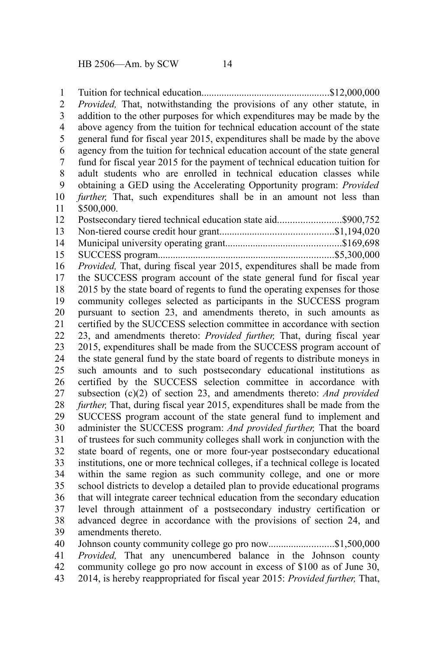Tuition for technical education...................................................\$12,000,000 *Provided,* That, notwithstanding the provisions of any other statute, in addition to the other purposes for which expenditures may be made by the above agency from the tuition for technical education account of the state general fund for fiscal year 2015, expenditures shall be made by the above agency from the tuition for technical education account of the state general fund for fiscal year 2015 for the payment of technical education tuition for adult students who are enrolled in technical education classes while obtaining a GED using the Accelerating Opportunity program: *Provided further*, That, such expenditures shall be in an amount not less than \$500,000. Postsecondary tiered technical education state aid..............................\$900,752 Non-tiered course credit hour grant.............................................\$1,194,020 Municipal university operating grant..............................................\$169,698 SUCCESS program......................................................................\$5,300,000 *Provided,* That, during fiscal year 2015, expenditures shall be made from the SUCCESS program account of the state general fund for fiscal year 2015 by the state board of regents to fund the operating expenses for those community colleges selected as participants in the SUCCESS program pursuant to section 23, and amendments thereto, in such amounts as certified by the SUCCESS selection committee in accordance with section 23, and amendments thereto: *Provided further,* That, during fiscal year 2015, expenditures shall be made from the SUCCESS program account of the state general fund by the state board of regents to distribute moneys in such amounts and to such postsecondary educational institutions as certified by the SUCCESS selection committee in accordance with subsection (c)(2) of section 23, and amendments thereto: *And provided further,* That, during fiscal year 2015, expenditures shall be made from the SUCCESS program account of the state general fund to implement and administer the SUCCESS program: *And provided further,* That the board of trustees for such community colleges shall work in conjunction with the state board of regents, one or more four-year postsecondary educational institutions, one or more technical colleges, if a technical college is located within the same region as such community college, and one or more school districts to develop a detailed plan to provide educational programs that will integrate career technical education from the secondary education level through attainment of a postsecondary industry certification or advanced degree in accordance with the provisions of section 24, and amendments thereto. Johnson county community college go pro now..............................\$1,500,000 *Provided,* That any unencumbered balance in the Johnson county community college go pro now account in excess of \$100 as of June 30, 1 2 3 4 5 6 7 8 9 10 11 12 13 14 15 16 17 18 19 20 21 22 23 24 25 26 27 28 29 30 31 32 33 34 35 36 37 38 39 40 41 42

2014, is hereby reappropriated for fiscal year 2015: *Provided further,* That, 43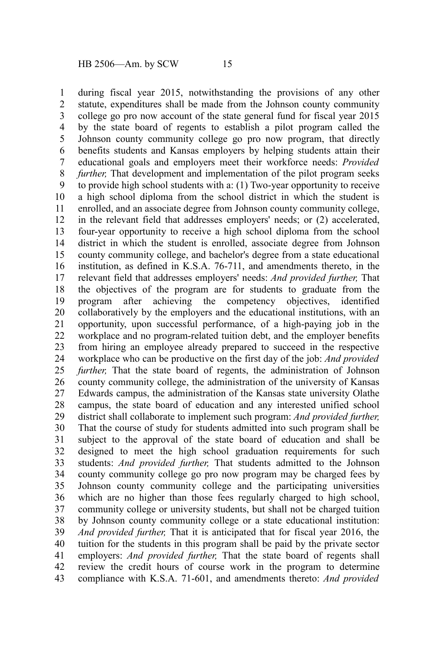during fiscal year 2015, notwithstanding the provisions of any other statute, expenditures shall be made from the Johnson county community college go pro now account of the state general fund for fiscal year 2015 by the state board of regents to establish a pilot program called the Johnson county community college go pro now program, that directly benefits students and Kansas employers by helping students attain their educational goals and employers meet their workforce needs: *Provided further*, That development and implementation of the pilot program seeks to provide high school students with a: (1) Two-year opportunity to receive a high school diploma from the school district in which the student is enrolled, and an associate degree from Johnson county community college, in the relevant field that addresses employers' needs; or (2) accelerated, four-year opportunity to receive a high school diploma from the school district in which the student is enrolled, associate degree from Johnson county community college, and bachelor's degree from a state educational institution, as defined in K.S.A. 76-711, and amendments thereto, in the relevant field that addresses employers' needs: *And provided further,* That the objectives of the program are for students to graduate from the program after achieving the competency objectives, identified collaboratively by the employers and the educational institutions, with an opportunity, upon successful performance, of a high-paying job in the workplace and no program-related tuition debt, and the employer benefits from hiring an employee already prepared to succeed in the respective workplace who can be productive on the first day of the job: *And provided further*, That the state board of regents, the administration of Johnson county community college, the administration of the university of Kansas Edwards campus, the administration of the Kansas state university Olathe campus, the state board of education and any interested unified school district shall collaborate to implement such program: *And provided further,* That the course of study for students admitted into such program shall be subject to the approval of the state board of education and shall be designed to meet the high school graduation requirements for such students: *And provided further,* That students admitted to the Johnson county community college go pro now program may be charged fees by Johnson county community college and the participating universities which are no higher than those fees regularly charged to high school, community college or university students, but shall not be charged tuition by Johnson county community college or a state educational institution: *And provided further,* That it is anticipated that for fiscal year 2016, the tuition for the students in this program shall be paid by the private sector employers: *And provided further,* That the state board of regents shall review the credit hours of course work in the program to determine compliance with K.S.A. 71-601, and amendments thereto: *And provided* 1 2 3 4 5 6 7 8 9 10 11 12 13 14 15 16 17 18 19 20 21 22 23 24 25 26 27 28 29 30 31 32 33 34 35 36 37 38 39 40 41 42 43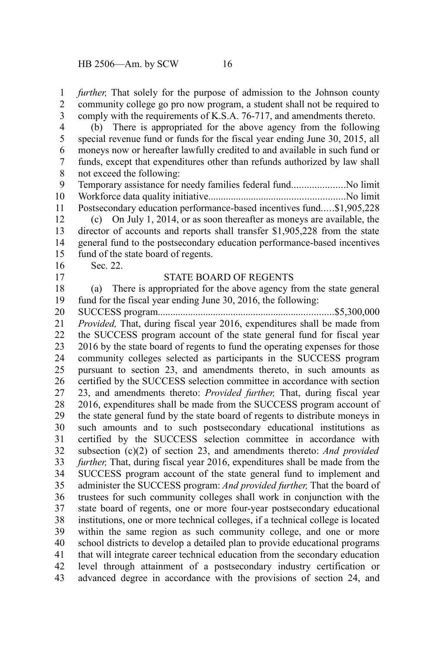*further*, That solely for the purpose of admission to the Johnson county community college go pro now program, a student shall not be required to comply with the requirements of K.S.A. 76-717, and amendments thereto. 1 2 3

(b) There is appropriated for the above agency from the following special revenue fund or funds for the fiscal year ending June 30, 2015, all moneys now or hereafter lawfully credited to and available in such fund or funds, except that expenditures other than refunds authorized by law shall not exceed the following: 4 5 6 7 8

Temporary assistance for needy families federal fund.....................No limit Workforce data quality initiative......................................................No limit Postsecondary education performance-based incentives fund.....\$1,905,228 9 10 11

(c) On July 1, 2014, or as soon thereafter as moneys are available, the director of accounts and reports shall transfer \$1,905,228 from the state general fund to the postsecondary education performance-based incentives fund of the state board of regents. 12 13 14 15

Sec. 22.

16 17

#### STATE BOARD OF REGENTS

(a) There is appropriated for the above agency from the state general fund for the fiscal year ending June 30, 2016, the following: 18 19

SUCCESS program......................................................................\$5,300,000 *Provided,* That, during fiscal year 2016, expenditures shall be made from the SUCCESS program account of the state general fund for fiscal year 2016 by the state board of regents to fund the operating expenses for those community colleges selected as participants in the SUCCESS program pursuant to section 23, and amendments thereto, in such amounts as certified by the SUCCESS selection committee in accordance with section 23, and amendments thereto: *Provided further,* That, during fiscal year 2016, expenditures shall be made from the SUCCESS program account of the state general fund by the state board of regents to distribute moneys in such amounts and to such postsecondary educational institutions as certified by the SUCCESS selection committee in accordance with subsection (c)(2) of section 23, and amendments thereto: *And provided further,* That, during fiscal year 2016, expenditures shall be made from the SUCCESS program account of the state general fund to implement and administer the SUCCESS program: *And provided further,* That the board of trustees for such community colleges shall work in conjunction with the state board of regents, one or more four-year postsecondary educational institutions, one or more technical colleges, if a technical college is located within the same region as such community college, and one or more school districts to develop a detailed plan to provide educational programs that will integrate career technical education from the secondary education level through attainment of a postsecondary industry certification or advanced degree in accordance with the provisions of section 24, and 20 21 22 23 24 25 26 27 28 29 30 31 32 33 34 35 36 37 38 39 40 41 42 43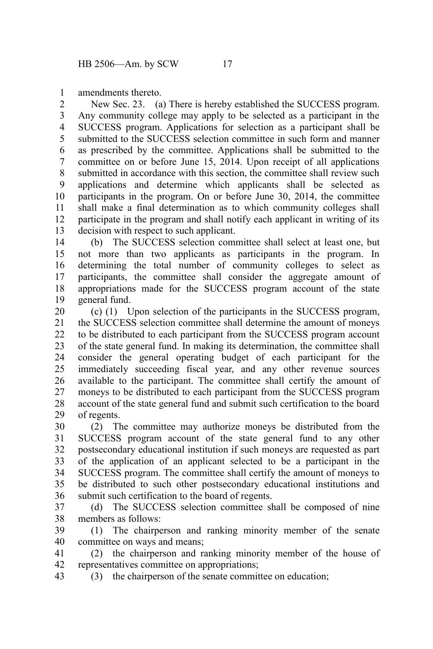amendments thereto. 1

New Sec. 23. (a) There is hereby established the SUCCESS program. Any community college may apply to be selected as a participant in the SUCCESS program. Applications for selection as a participant shall be submitted to the SUCCESS selection committee in such form and manner as prescribed by the committee. Applications shall be submitted to the committee on or before June 15, 2014. Upon receipt of all applications submitted in accordance with this section, the committee shall review such applications and determine which applicants shall be selected as participants in the program. On or before June 30, 2014, the committee shall make a final determination as to which community colleges shall participate in the program and shall notify each applicant in writing of its decision with respect to such applicant. 2 3 4 5 6 7 8 9 10 11 12 13

(b) The SUCCESS selection committee shall select at least one, but not more than two applicants as participants in the program. In determining the total number of community colleges to select as participants, the committee shall consider the aggregate amount of appropriations made for the SUCCESS program account of the state general fund. 14 15 16 17 18 19

(c) (1) Upon selection of the participants in the SUCCESS program, the SUCCESS selection committee shall determine the amount of moneys to be distributed to each participant from the SUCCESS program account of the state general fund. In making its determination, the committee shall consider the general operating budget of each participant for the immediately succeeding fiscal year, and any other revenue sources available to the participant. The committee shall certify the amount of moneys to be distributed to each participant from the SUCCESS program account of the state general fund and submit such certification to the board of regents. 20 21 22 23 24 25 26 27 28 29

(2) The committee may authorize moneys be distributed from the SUCCESS program account of the state general fund to any other postsecondary educational institution if such moneys are requested as part of the application of an applicant selected to be a participant in the SUCCESS program. The committee shall certify the amount of moneys to be distributed to such other postsecondary educational institutions and submit such certification to the board of regents. 30 31 32 33 34 35 36

(d) The SUCCESS selection committee shall be composed of nine members as follows: 37 38

(1) The chairperson and ranking minority member of the senate committee on ways and means; 39 40

(2) the chairperson and ranking minority member of the house of representatives committee on appropriations; 41 42

(3) the chairperson of the senate committee on education; 43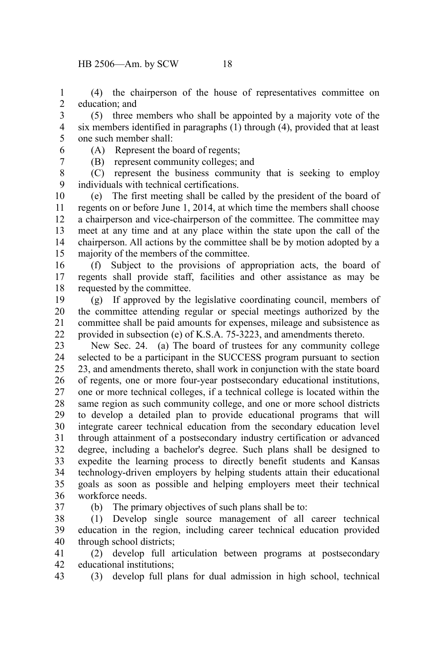(4) the chairperson of the house of representatives committee on education; and 1 2

(5) three members who shall be appointed by a majority vote of the six members identified in paragraphs (1) through (4), provided that at least one such member shall: 3 4 5

- 6 7
- (A) Represent the board of regents; (B) represent community colleges; and

(C) represent the business community that is seeking to employ individuals with technical certifications. 8 9

(e) The first meeting shall be called by the president of the board of regents on or before June 1, 2014, at which time the members shall choose a chairperson and vice-chairperson of the committee. The committee may meet at any time and at any place within the state upon the call of the chairperson. All actions by the committee shall be by motion adopted by a majority of the members of the committee. 10 11 12 13 14 15

(f) Subject to the provisions of appropriation acts, the board of regents shall provide staff, facilities and other assistance as may be requested by the committee. 16 17 18

(g) If approved by the legislative coordinating council, members of the committee attending regular or special meetings authorized by the committee shall be paid amounts for expenses, mileage and subsistence as provided in subsection (e) of K.S.A. 75-3223, and amendments thereto. 19 20 21 22

New Sec. 24. (a) The board of trustees for any community college selected to be a participant in the SUCCESS program pursuant to section 23, and amendments thereto, shall work in conjunction with the state board of regents, one or more four-year postsecondary educational institutions, one or more technical colleges, if a technical college is located within the same region as such community college, and one or more school districts to develop a detailed plan to provide educational programs that will integrate career technical education from the secondary education level through attainment of a postsecondary industry certification or advanced degree, including a bachelor's degree. Such plans shall be designed to expedite the learning process to directly benefit students and Kansas technology-driven employers by helping students attain their educational goals as soon as possible and helping employers meet their technical workforce needs. 23 24 25 26 27 28 29 30 31 32 33 34 35 36

37

(b) The primary objectives of such plans shall be to:

(1) Develop single source management of all career technical education in the region, including career technical education provided through school districts; 38 39 40

(2) develop full articulation between programs at postsecondary educational institutions; 41 42

(3) develop full plans for dual admission in high school, technical 43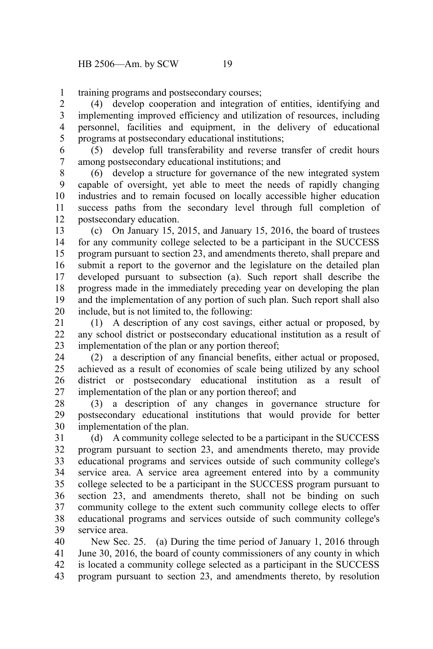training programs and postsecondary courses; 1

(4) develop cooperation and integration of entities, identifying and implementing improved efficiency and utilization of resources, including personnel, facilities and equipment, in the delivery of educational programs at postsecondary educational institutions; 2 3 4 5

(5) develop full transferability and reverse transfer of credit hours among postsecondary educational institutions; and 6 7

(6) develop a structure for governance of the new integrated system capable of oversight, yet able to meet the needs of rapidly changing industries and to remain focused on locally accessible higher education success paths from the secondary level through full completion of postsecondary education. 8 9 10 11 12

(c) On January 15, 2015, and January 15, 2016, the board of trustees for any community college selected to be a participant in the SUCCESS program pursuant to section 23, and amendments thereto, shall prepare and submit a report to the governor and the legislature on the detailed plan developed pursuant to subsection (a). Such report shall describe the progress made in the immediately preceding year on developing the plan and the implementation of any portion of such plan. Such report shall also include, but is not limited to, the following: 13 14 15 16 17 18 19 20

(1) A description of any cost savings, either actual or proposed, by any school district or postsecondary educational institution as a result of implementation of the plan or any portion thereof; 21 22 23

(2) a description of any financial benefits, either actual or proposed, achieved as a result of economies of scale being utilized by any school district or postsecondary educational institution as a result of implementation of the plan or any portion thereof; and 24 25 26 27

(3) a description of any changes in governance structure for postsecondary educational institutions that would provide for better implementation of the plan. 28 29 30

(d) A community college selected to be a participant in the SUCCESS program pursuant to section 23, and amendments thereto, may provide educational programs and services outside of such community college's service area. A service area agreement entered into by a community college selected to be a participant in the SUCCESS program pursuant to section 23, and amendments thereto, shall not be binding on such community college to the extent such community college elects to offer educational programs and services outside of such community college's service area. 31 32 33 34 35 36 37 38 39

New Sec. 25. (a) During the time period of January 1, 2016 through June 30, 2016, the board of county commissioners of any county in which is located a community college selected as a participant in the SUCCESS program pursuant to section 23, and amendments thereto, by resolution 40 41 42 43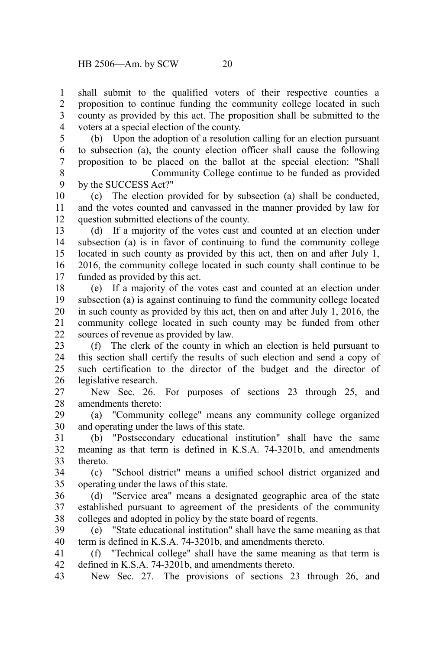shall submit to the qualified voters of their respective counties a proposition to continue funding the community college located in such county as provided by this act. The proposition shall be submitted to the voters at a special election of the county. 1 2 3 4

(b) Upon the adoption of a resolution calling for an election pursuant to subsection (a), the county election officer shall cause the following proposition to be placed on the ballot at the special election: "Shall Community College continue to be funded as provided 5 6 7 8

by the SUCCESS Act?" 9

(c) The election provided for by subsection (a) shall be conducted, and the votes counted and canvassed in the manner provided by law for question submitted elections of the county. 10 11 12

(d) If a majority of the votes cast and counted at an election under subsection (a) is in favor of continuing to fund the community college located in such county as provided by this act, then on and after July 1, 2016, the community college located in such county shall continue to be funded as provided by this act. 13 14 15 16 17

(e) If a majority of the votes cast and counted at an election under subsection (a) is against continuing to fund the community college located in such county as provided by this act, then on and after July 1, 2016, the community college located in such county may be funded from other sources of revenue as provided by law. 18 19 20 21 22

(f) The clerk of the county in which an election is held pursuant to this section shall certify the results of such election and send a copy of such certification to the director of the budget and the director of legislative research. 23 24 25 26

New Sec. 26. For purposes of sections 23 through 25, and amendments thereto: 27 28

(a) "Community college" means any community college organized and operating under the laws of this state. 29 30

(b) "Postsecondary educational institution" shall have the same meaning as that term is defined in K.S.A. 74-3201b, and amendments thereto. 31 32 33

(c) "School district" means a unified school district organized and operating under the laws of this state. 34 35

(d) "Service area" means a designated geographic area of the state established pursuant to agreement of the presidents of the community colleges and adopted in policy by the state board of regents. 36 37 38

(e) "State educational institution" shall have the same meaning as that term is defined in K.S.A. 74-3201b, and amendments thereto. 39 40

(f) "Technical college" shall have the same meaning as that term is defined in K.S.A. 74-3201b, and amendments thereto. 41 42

New Sec. 27. The provisions of sections 23 through 26, and 43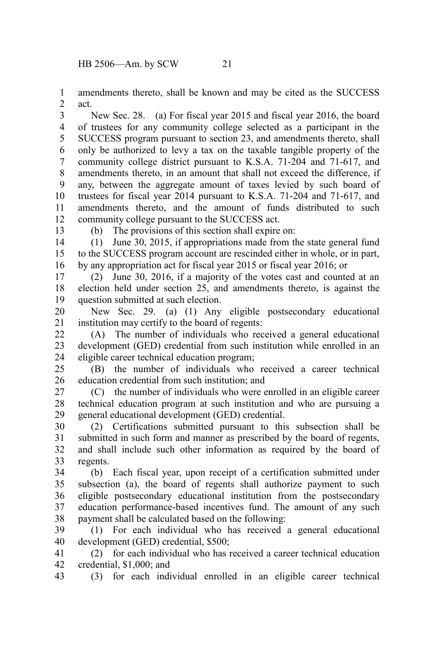amendments thereto, shall be known and may be cited as the SUCCESS act. 1 2

New Sec. 28. (a) For fiscal year 2015 and fiscal year 2016, the board of trustees for any community college selected as a participant in the SUCCESS program pursuant to section 23, and amendments thereto, shall only be authorized to levy a tax on the taxable tangible property of the community college district pursuant to K.S.A. 71-204 and 71-617, and amendments thereto, in an amount that shall not exceed the difference, if any, between the aggregate amount of taxes levied by such board of trustees for fiscal year 2014 pursuant to K.S.A. 71-204 and 71-617, and amendments thereto, and the amount of funds distributed to such community college pursuant to the SUCCESS act. 3 4 5 6 7 8 9 10 11 12

13

(b) The provisions of this section shall expire on:

(1) June 30, 2015, if appropriations made from the state general fund to the SUCCESS program account are rescinded either in whole, or in part, by any appropriation act for fiscal year 2015 or fiscal year 2016; or 14 15 16

(2) June 30, 2016, if a majority of the votes cast and counted at an election held under section 25, and amendments thereto, is against the question submitted at such election. 17 18 19

New Sec. 29. (a) (1) Any eligible postsecondary educational institution may certify to the board of regents: 20 21

(A) The number of individuals who received a general educational development (GED) credential from such institution while enrolled in an eligible career technical education program; 22 23 24

(B) the number of individuals who received a career technical education credential from such institution; and 25 26

(C) the number of individuals who were enrolled in an eligible career technical education program at such institution and who are pursuing a general educational development (GED) credential. 27 28 29

(2) Certifications submitted pursuant to this subsection shall be submitted in such form and manner as prescribed by the board of regents, and shall include such other information as required by the board of regents. 30 31 32 33

(b) Each fiscal year, upon receipt of a certification submitted under subsection (a), the board of regents shall authorize payment to such eligible postsecondary educational institution from the postsecondary education performance-based incentives fund. The amount of any such payment shall be calculated based on the following: 34 35 36 37 38

(1) For each individual who has received a general educational development (GED) credential, \$500; 39 40

(2) for each individual who has received a career technical education credential, \$1,000; and 41 42

(3) for each individual enrolled in an eligible career technical 43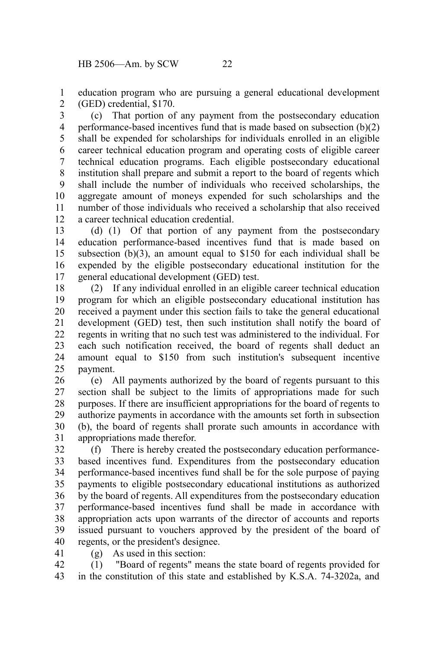education program who are pursuing a general educational development (GED) credential, \$170. 1 2

(c) That portion of any payment from the postsecondary education performance-based incentives fund that is made based on subsection (b)(2) shall be expended for scholarships for individuals enrolled in an eligible career technical education program and operating costs of eligible career technical education programs. Each eligible postsecondary educational institution shall prepare and submit a report to the board of regents which shall include the number of individuals who received scholarships, the aggregate amount of moneys expended for such scholarships and the number of those individuals who received a scholarship that also received a career technical education credential. 3 4 5 6 7 8 9 10 11 12

(d) (1) Of that portion of any payment from the postsecondary education performance-based incentives fund that is made based on subsection (b)(3), an amount equal to \$150 for each individual shall be expended by the eligible postsecondary educational institution for the general educational development (GED) test. 13 14 15 16 17

(2) If any individual enrolled in an eligible career technical education program for which an eligible postsecondary educational institution has received a payment under this section fails to take the general educational development (GED) test, then such institution shall notify the board of regents in writing that no such test was administered to the individual. For each such notification received, the board of regents shall deduct an amount equal to \$150 from such institution's subsequent incentive payment. 18 19 20 21 22 23 24 25

(e) All payments authorized by the board of regents pursuant to this section shall be subject to the limits of appropriations made for such purposes. If there are insufficient appropriations for the board of regents to authorize payments in accordance with the amounts set forth in subsection (b), the board of regents shall prorate such amounts in accordance with appropriations made therefor. 26 27 28 29 30 31

(f) There is hereby created the postsecondary education performancebased incentives fund. Expenditures from the postsecondary education performance-based incentives fund shall be for the sole purpose of paying payments to eligible postsecondary educational institutions as authorized by the board of regents. All expenditures from the postsecondary education performance-based incentives fund shall be made in accordance with appropriation acts upon warrants of the director of accounts and reports issued pursuant to vouchers approved by the president of the board of regents, or the president's designee. 32 33 34 35 36 37 38 39 40

(g) As used in this section: 41

(1) "Board of regents" means the state board of regents provided for in the constitution of this state and established by K.S.A. 74-3202a, and 42 43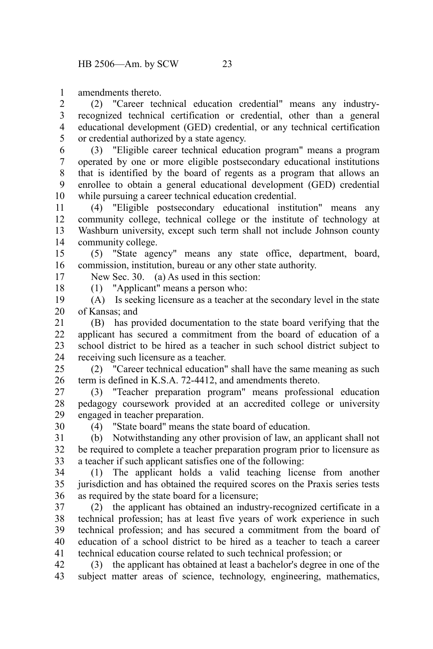amendments thereto. 1

(2) "Career technical education credential" means any industryrecognized technical certification or credential, other than a general educational development (GED) credential, or any technical certification or credential authorized by a state agency. 2 3 4 5

(3) "Eligible career technical education program" means a program operated by one or more eligible postsecondary educational institutions that is identified by the board of regents as a program that allows an enrollee to obtain a general educational development (GED) credential while pursuing a career technical education credential. 6 7 8 9 10

(4) "Eligible postsecondary educational institution" means any community college, technical college or the institute of technology at Washburn university, except such term shall not include Johnson county community college. 11 12 13 14

(5) "State agency" means any state office, department, board, commission, institution, bureau or any other state authority. 15 16

New Sec. 30. (a) As used in this section:

(1) "Applicant" means a person who: 18

17

30

(A) Is seeking licensure as a teacher at the secondary level in the state of Kansas; and 19 20

(B) has provided documentation to the state board verifying that the applicant has secured a commitment from the board of education of a school district to be hired as a teacher in such school district subject to receiving such licensure as a teacher. 21 22 23 24

(2) "Career technical education" shall have the same meaning as such term is defined in K.S.A. 72-4412, and amendments thereto. 25 26

(3) "Teacher preparation program" means professional education pedagogy coursework provided at an accredited college or university engaged in teacher preparation. 27 28 29

(4) "State board" means the state board of education.

(b) Notwithstanding any other provision of law, an applicant shall not be required to complete a teacher preparation program prior to licensure as a teacher if such applicant satisfies one of the following: 31 32 33

(1) The applicant holds a valid teaching license from another jurisdiction and has obtained the required scores on the Praxis series tests as required by the state board for a licensure; 34 35 36

(2) the applicant has obtained an industry-recognized certificate in a technical profession; has at least five years of work experience in such technical profession; and has secured a commitment from the board of education of a school district to be hired as a teacher to teach a career technical education course related to such technical profession; or 37 38 39 40 41

(3) the applicant has obtained at least a bachelor's degree in one of the subject matter areas of science, technology, engineering, mathematics, 42 43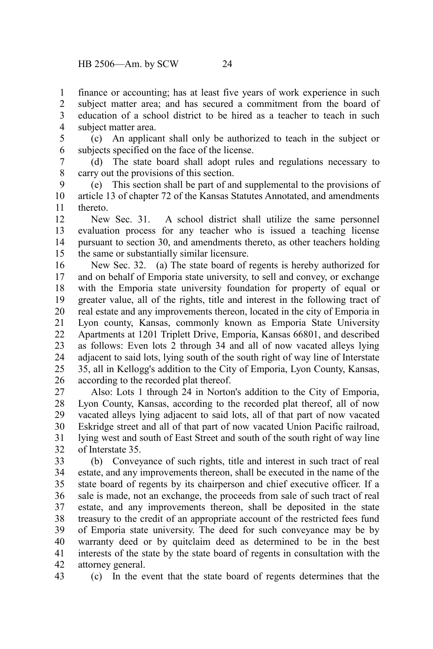finance or accounting; has at least five years of work experience in such subject matter area; and has secured a commitment from the board of education of a school district to be hired as a teacher to teach in such subject matter area. 1 2 3 4

(c) An applicant shall only be authorized to teach in the subject or subjects specified on the face of the license. 5 6

(d) The state board shall adopt rules and regulations necessary to carry out the provisions of this section. 7 8

(e) This section shall be part of and supplemental to the provisions of article 13 of chapter 72 of the Kansas Statutes Annotated, and amendments thereto. 9 10 11

New Sec. 31. A school district shall utilize the same personnel evaluation process for any teacher who is issued a teaching license pursuant to section 30, and amendments thereto, as other teachers holding the same or substantially similar licensure. 12 13 14 15

New Sec. 32. (a) The state board of regents is hereby authorized for and on behalf of Emporia state university, to sell and convey, or exchange with the Emporia state university foundation for property of equal or greater value, all of the rights, title and interest in the following tract of real estate and any improvements thereon, located in the city of Emporia in Lyon county, Kansas, commonly known as Emporia State University Apartments at 1201 Triplett Drive, Emporia, Kansas 66801, and described as follows: Even lots 2 through 34 and all of now vacated alleys lying adjacent to said lots, lying south of the south right of way line of Interstate 35, all in Kellogg's addition to the City of Emporia, Lyon County, Kansas, according to the recorded plat thereof. 16 17 18 19 20 21 22 23 24 25 26

Also: Lots 1 through 24 in Norton's addition to the City of Emporia, Lyon County, Kansas, according to the recorded plat thereof, all of now vacated alleys lying adjacent to said lots, all of that part of now vacated Eskridge street and all of that part of now vacated Union Pacific railroad, lying west and south of East Street and south of the south right of way line of Interstate 35. 27 28 29 30 31 32

(b) Conveyance of such rights, title and interest in such tract of real estate, and any improvements thereon, shall be executed in the name of the state board of regents by its chairperson and chief executive officer. If a sale is made, not an exchange, the proceeds from sale of such tract of real estate, and any improvements thereon, shall be deposited in the state treasury to the credit of an appropriate account of the restricted fees fund of Emporia state university. The deed for such conveyance may be by warranty deed or by quitclaim deed as determined to be in the best interests of the state by the state board of regents in consultation with the attorney general. 33 34 35 36 37 38 39 40 41 42

43

(c) In the event that the state board of regents determines that the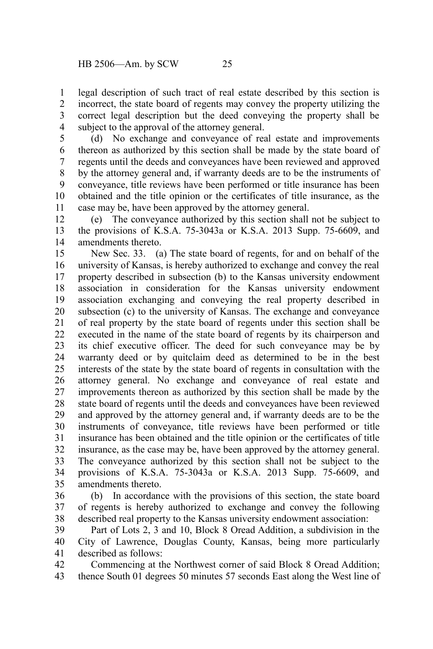legal description of such tract of real estate described by this section is incorrect, the state board of regents may convey the property utilizing the correct legal description but the deed conveying the property shall be subject to the approval of the attorney general. 1 2 3 4

(d) No exchange and conveyance of real estate and improvements thereon as authorized by this section shall be made by the state board of regents until the deeds and conveyances have been reviewed and approved by the attorney general and, if warranty deeds are to be the instruments of conveyance, title reviews have been performed or title insurance has been obtained and the title opinion or the certificates of title insurance, as the case may be, have been approved by the attorney general. 5 6 7 8 9 10 11

(e) The conveyance authorized by this section shall not be subject to the provisions of K.S.A. 75-3043a or K.S.A. 2013 Supp. 75-6609, and amendments thereto. 12 13 14

New Sec. 33. (a) The state board of regents, for and on behalf of the university of Kansas, is hereby authorized to exchange and convey the real property described in subsection (b) to the Kansas university endowment association in consideration for the Kansas university endowment association exchanging and conveying the real property described in subsection (c) to the university of Kansas. The exchange and conveyance of real property by the state board of regents under this section shall be executed in the name of the state board of regents by its chairperson and its chief executive officer. The deed for such conveyance may be by warranty deed or by quitclaim deed as determined to be in the best interests of the state by the state board of regents in consultation with the attorney general. No exchange and conveyance of real estate and improvements thereon as authorized by this section shall be made by the state board of regents until the deeds and conveyances have been reviewed and approved by the attorney general and, if warranty deeds are to be the instruments of conveyance, title reviews have been performed or title insurance has been obtained and the title opinion or the certificates of title insurance, as the case may be, have been approved by the attorney general. The conveyance authorized by this section shall not be subject to the provisions of K.S.A. 75-3043a or K.S.A. 2013 Supp. 75-6609, and amendments thereto. 15 16 17 18 19 20 21 22 23 24 25 26 27 28 29 30 31 32 33 34 35

(b) In accordance with the provisions of this section, the state board of regents is hereby authorized to exchange and convey the following described real property to the Kansas university endowment association: 36 37 38

Part of Lots 2, 3 and 10, Block 8 Oread Addition, a subdivision in the City of Lawrence, Douglas County, Kansas, being more particularly described as follows: 39 40 41

Commencing at the Northwest corner of said Block 8 Oread Addition; thence South 01 degrees 50 minutes 57 seconds East along the West line of 42 43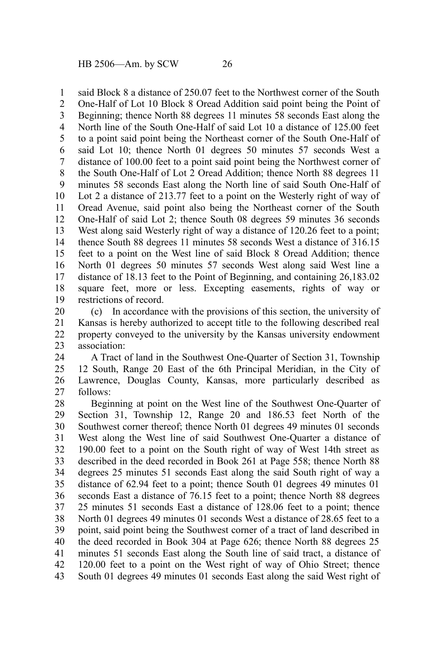said Block 8 a distance of 250.07 feet to the Northwest corner of the South 1

One-Half of Lot 10 Block 8 Oread Addition said point being the Point of Beginning; thence North 88 degrees 11 minutes 58 seconds East along the North line of the South One-Half of said Lot 10 a distance of 125.00 feet to a point said point being the Northeast corner of the South One-Half of said Lot 10; thence North 01 degrees 50 minutes 57 seconds West a distance of 100.00 feet to a point said point being the Northwest corner of the South One-Half of Lot 2 Oread Addition; thence North 88 degrees 11 minutes 58 seconds East along the North line of said South One-Half of Lot 2 a distance of 213.77 feet to a point on the Westerly right of way of Oread Avenue, said point also being the Northeast corner of the South One-Half of said Lot 2; thence South 08 degrees 59 minutes 36 seconds West along said Westerly right of way a distance of 120.26 feet to a point; thence South 88 degrees 11 minutes 58 seconds West a distance of 316.15 feet to a point on the West line of said Block 8 Oread Addition; thence North 01 degrees 50 minutes 57 seconds West along said West line a distance of 18.13 feet to the Point of Beginning, and containing 26,183.02 square feet, more or less. Excepting easements, rights of way or restrictions of record. 2 3 4 5 6 7 8 9 10 11 12 13 14 15 16 17 18 19

(c) In accordance with the provisions of this section, the university of Kansas is hereby authorized to accept title to the following described real property conveyed to the university by the Kansas university endowment association: 20 21 22 23

A Tract of land in the Southwest One-Quarter of Section 31, Township 12 South, Range 20 East of the 6th Principal Meridian, in the City of Lawrence, Douglas County, Kansas, more particularly described as follows: 24 25 26 27

Beginning at point on the West line of the Southwest One-Quarter of Section 31, Township 12, Range 20 and 186.53 feet North of the Southwest corner thereof; thence North 01 degrees 49 minutes 01 seconds West along the West line of said Southwest One-Quarter a distance of 190.00 feet to a point on the South right of way of West 14th street as described in the deed recorded in Book 261 at Page 558; thence North 88 degrees 25 minutes 51 seconds East along the said South right of way a distance of 62.94 feet to a point; thence South 01 degrees 49 minutes 01 seconds East a distance of 76.15 feet to a point; thence North 88 degrees 25 minutes 51 seconds East a distance of 128.06 feet to a point; thence North 01 degrees 49 minutes 01 seconds West a distance of 28.65 feet to a point, said point being the Southwest corner of a tract of land described in the deed recorded in Book 304 at Page 626; thence North 88 degrees 25 minutes 51 seconds East along the South line of said tract, a distance of 120.00 feet to a point on the West right of way of Ohio Street; thence South 01 degrees 49 minutes 01 seconds East along the said West right of 28 29 30 31 32 33 34 35 36 37 38 39 40 41 42 43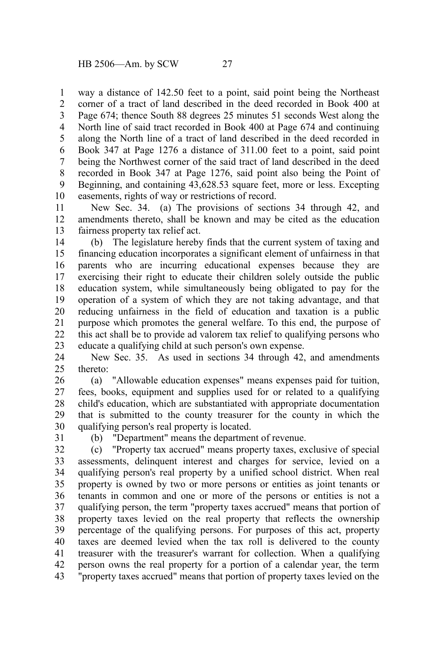way a distance of 142.50 feet to a point, said point being the Northeast corner of a tract of land described in the deed recorded in Book 400 at Page 674; thence South 88 degrees 25 minutes 51 seconds West along the North line of said tract recorded in Book 400 at Page 674 and continuing along the North line of a tract of land described in the deed recorded in Book 347 at Page 1276 a distance of 311.00 feet to a point, said point being the Northwest corner of the said tract of land described in the deed recorded in Book 347 at Page 1276, said point also being the Point of Beginning, and containing 43,628.53 square feet, more or less. Excepting easements, rights of way or restrictions of record. 1 2 3 4 5 6 7 8 9 10

New Sec. 34. (a) The provisions of sections 34 through 42, and amendments thereto, shall be known and may be cited as the education fairness property tax relief act. 11 12 13

(b) The legislature hereby finds that the current system of taxing and financing education incorporates a significant element of unfairness in that parents who are incurring educational expenses because they are exercising their right to educate their children solely outside the public education system, while simultaneously being obligated to pay for the operation of a system of which they are not taking advantage, and that reducing unfairness in the field of education and taxation is a public purpose which promotes the general welfare. To this end, the purpose of this act shall be to provide ad valorem tax relief to qualifying persons who educate a qualifying child at such person's own expense. 14 15 16 17 18 19 20 21 22 23

New Sec. 35. As used in sections 34 through 42, and amendments thereto: 24  $25$ 

(a) "Allowable education expenses" means expenses paid for tuition, fees, books, equipment and supplies used for or related to a qualifying child's education, which are substantiated with appropriate documentation that is submitted to the county treasurer for the county in which the qualifying person's real property is located. 26 27 28 29 30

31

(b) "Department" means the department of revenue.

(c) "Property tax accrued" means property taxes, exclusive of special assessments, delinquent interest and charges for service, levied on a qualifying person's real property by a unified school district. When real property is owned by two or more persons or entities as joint tenants or tenants in common and one or more of the persons or entities is not a qualifying person, the term "property taxes accrued" means that portion of property taxes levied on the real property that reflects the ownership percentage of the qualifying persons. For purposes of this act, property taxes are deemed levied when the tax roll is delivered to the county treasurer with the treasurer's warrant for collection. When a qualifying person owns the real property for a portion of a calendar year, the term "property taxes accrued" means that portion of property taxes levied on the 32 33 34 35 36 37 38 39 40 41 42 43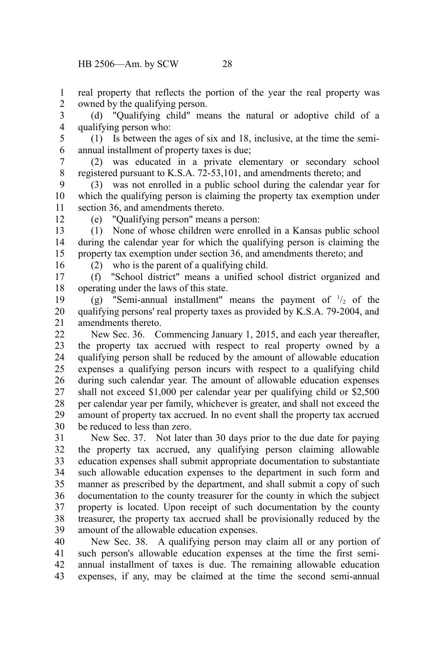real property that reflects the portion of the year the real property was owned by the qualifying person. 1 2

(d) "Qualifying child" means the natural or adoptive child of a qualifying person who: 3 4

(1) Is between the ages of six and 18, inclusive, at the time the semiannual installment of property taxes is due; 5 6

(2) was educated in a private elementary or secondary school registered pursuant to K.S.A. 72-53,101, and amendments thereto; and 7 8

(3) was not enrolled in a public school during the calendar year for which the qualifying person is claiming the property tax exemption under section 36, and amendments thereto. 9 10 11

12

(e) "Qualifying person" means a person:

(1) None of whose children were enrolled in a Kansas public school during the calendar year for which the qualifying person is claiming the property tax exemption under section 36, and amendments thereto; and 13 14 15

16

(2) who is the parent of a qualifying child.

(f) "School district" means a unified school district organized and operating under the laws of this state. 17 18

(g) "Semi-annual installment" means the payment of  $\frac{1}{2}$  of the qualifying persons' real property taxes as provided by K.S.A. 79-2004, and amendments thereto. 19 20 21

New Sec. 36. Commencing January 1, 2015, and each year thereafter, the property tax accrued with respect to real property owned by a qualifying person shall be reduced by the amount of allowable education expenses a qualifying person incurs with respect to a qualifying child during such calendar year. The amount of allowable education expenses shall not exceed \$1,000 per calendar year per qualifying child or \$2,500 per calendar year per family, whichever is greater, and shall not exceed the amount of property tax accrued. In no event shall the property tax accrued be reduced to less than zero.  $22$ 23 24 25 26 27 28 29 30

New Sec. 37. Not later than 30 days prior to the due date for paying the property tax accrued, any qualifying person claiming allowable education expenses shall submit appropriate documentation to substantiate such allowable education expenses to the department in such form and manner as prescribed by the department, and shall submit a copy of such documentation to the county treasurer for the county in which the subject property is located. Upon receipt of such documentation by the county treasurer, the property tax accrued shall be provisionally reduced by the amount of the allowable education expenses. 31 32 33 34 35 36 37 38 39

New Sec. 38. A qualifying person may claim all or any portion of such person's allowable education expenses at the time the first semiannual installment of taxes is due. The remaining allowable education expenses, if any, may be claimed at the time the second semi-annual 40 41 42 43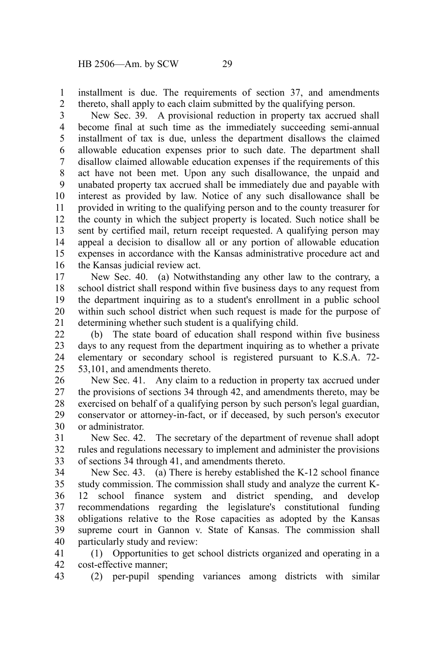installment is due. The requirements of section 37, and amendments thereto, shall apply to each claim submitted by the qualifying person. 1 2

New Sec. 39. A provisional reduction in property tax accrued shall become final at such time as the immediately succeeding semi-annual installment of tax is due, unless the department disallows the claimed allowable education expenses prior to such date. The department shall disallow claimed allowable education expenses if the requirements of this act have not been met. Upon any such disallowance, the unpaid and unabated property tax accrued shall be immediately due and payable with interest as provided by law. Notice of any such disallowance shall be provided in writing to the qualifying person and to the county treasurer for the county in which the subject property is located. Such notice shall be sent by certified mail, return receipt requested. A qualifying person may appeal a decision to disallow all or any portion of allowable education expenses in accordance with the Kansas administrative procedure act and the Kansas judicial review act. 3 4 5 6 7 8 9 10 11 12 13 14 15 16

New Sec. 40. (a) Notwithstanding any other law to the contrary, a school district shall respond within five business days to any request from the department inquiring as to a student's enrollment in a public school within such school district when such request is made for the purpose of determining whether such student is a qualifying child. 17 18 19 20 21

(b) The state board of education shall respond within five business days to any request from the department inquiring as to whether a private elementary or secondary school is registered pursuant to K.S.A. 72- 53,101, and amendments thereto. 22 23 24 25

New Sec. 41. Any claim to a reduction in property tax accrued under the provisions of sections 34 through 42, and amendments thereto, may be exercised on behalf of a qualifying person by such person's legal guardian, conservator or attorney-in-fact, or if deceased, by such person's executor or administrator. 26 27 28 29 30

New Sec. 42. The secretary of the department of revenue shall adopt rules and regulations necessary to implement and administer the provisions of sections 34 through 41, and amendments thereto. 31 32 33

New Sec. 43. (a) There is hereby established the K-12 school finance study commission. The commission shall study and analyze the current K-12 school finance system and district spending, and develop recommendations regarding the legislature's constitutional funding obligations relative to the Rose capacities as adopted by the Kansas supreme court in Gannon v. State of Kansas. The commission shall particularly study and review: 34 35 36 37 38 39 40

(1) Opportunities to get school districts organized and operating in a cost-effective manner; 41 42

(2) per-pupil spending variances among districts with similar 43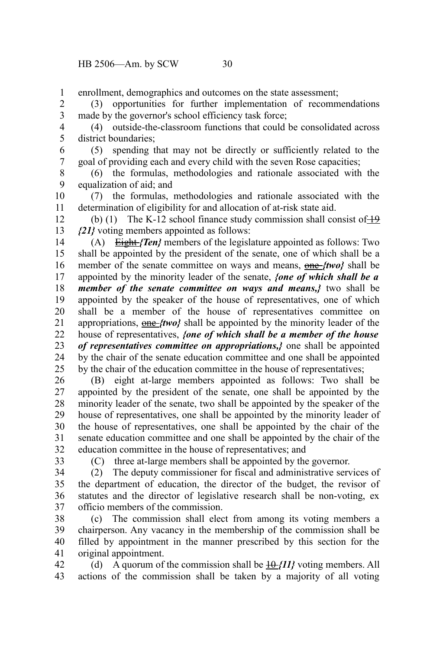enrollment, demographics and outcomes on the state assessment; 1

(3) opportunities for further implementation of recommendations made by the governor's school efficiency task force; 2 3

(4) outside-the-classroom functions that could be consolidated across district boundaries; 4 5

(5) spending that may not be directly or sufficiently related to the goal of providing each and every child with the seven Rose capacities; 6 7

(6) the formulas, methodologies and rationale associated with the equalization of aid; and 8 9

(7) the formulas, methodologies and rationale associated with the determination of eligibility for and allocation of at-risk state aid. 10 11

(b) (1) The K-12 school finance study commission shall consist of  $+9$ *{21}* voting members appointed as follows: 12 13

(A) Eight *{Ten}* members of the legislature appointed as follows: Two shall be appointed by the president of the senate, one of which shall be a member of the senate committee on ways and means, one *{two}* shall be appointed by the minority leader of the senate, *{one of which shall be a member of the senate committee on ways and means,}* two shall be appointed by the speaker of the house of representatives, one of which shall be a member of the house of representatives committee on appropriations, one *{two}* shall be appointed by the minority leader of the house of representatives, *{one of which shall be a member of the house of representatives committee on appropriations,}* one shall be appointed by the chair of the senate education committee and one shall be appointed by the chair of the education committee in the house of representatives; 14 15 16 17 18 19 20 21 22 23 24 25

(B) eight at-large members appointed as follows: Two shall be appointed by the president of the senate, one shall be appointed by the minority leader of the senate, two shall be appointed by the speaker of the house of representatives, one shall be appointed by the minority leader of the house of representatives, one shall be appointed by the chair of the senate education committee and one shall be appointed by the chair of the education committee in the house of representatives; and 26 27 28 29 30 31 32

33

(C) three at-large members shall be appointed by the governor.

(2) The deputy commissioner for fiscal and administrative services of the department of education, the director of the budget, the revisor of statutes and the director of legislative research shall be non-voting, ex officio members of the commission. 34 35 36 37

(c) The commission shall elect from among its voting members a chairperson. Any vacancy in the membership of the commission shall be filled by appointment in the manner prescribed by this section for the original appointment. 38 39 40 41

(d) A quorum of the commission shall be  $\frac{10}{11}$  voting members. All actions of the commission shall be taken by a majority of all voting 42 43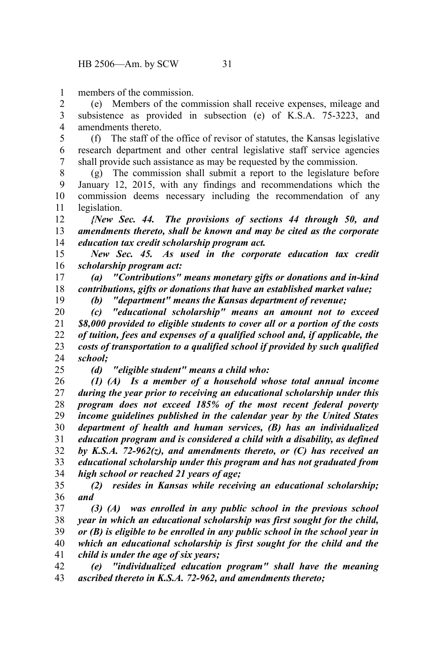members of the commission. 1

(e) Members of the commission shall receive expenses, mileage and subsistence as provided in subsection (e) of K.S.A. 75-3223, and amendments thereto. 2 3 4

(f) The staff of the office of revisor of statutes, the Kansas legislative research department and other central legislative staff service agencies shall provide such assistance as may be requested by the commission. 5 6 7

(g) The commission shall submit a report to the legislature before January 12, 2015, with any findings and recommendations which the commission deems necessary including the recommendation of any legislation. 8 9 10 11

*{New Sec. 44. The provisions of sections 44 through 50, and amendments thereto, shall be known and may be cited as the corporate education tax credit scholarship program act.* 12 13 14

*New Sec. 45. As used in the corporate education tax credit scholarship program act:* 15 16

*(a) "Contributions" means monetary gifts or donations and in-kind contributions, gifts or donations that have an established market value;* 17 18 19

*(b) "department" means the Kansas department of revenue;*

*(c) "educational scholarship" means an amount not to exceed \$8,000 provided to eligible students to cover all or a portion of the costs of tuition, fees and expenses of a qualified school and, if applicable, the costs of transportation to a qualified school if provided by such qualified school;* 20 21 22 23 24

25

*(d) "eligible student" means a child who:*

*(1) (A) Is a member of a household whose total annual income during the year prior to receiving an educational scholarship under this program does not exceed 185% of the most recent federal poverty income guidelines published in the calendar year by the United States department of health and human services, (B) has an individualized education program and is considered a child with a disability, as defined by K.S.A. 72-962(z), and amendments thereto, or (C) has received an educational scholarship under this program and has not graduated from high school or reached 21 years of age;*  26 27 28 29 30 31 32 33 34

*(2) resides in Kansas while receiving an educational scholarship; and*  35 36

*(3) (A) was enrolled in any public school in the previous school year in which an educational scholarship was first sought for the child, or (B) is eligible to be enrolled in any public school in the school year in which an educational scholarship is first sought for the child and the child is under the age of six years;* 37 38 39 40 41

*(e) "individualized education program" shall have the meaning ascribed thereto in K.S.A. 72-962, and amendments thereto;* 42 43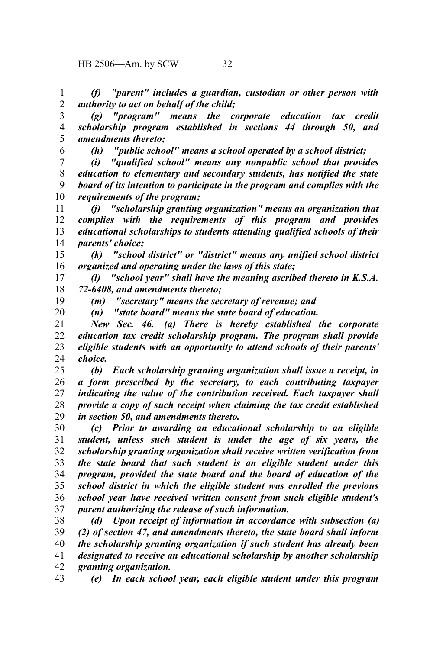*(f) "parent" includes a guardian, custodian or other person with authority to act on behalf of the child;* 1 2

*(g) "program" means the corporate education tax credit scholarship program established in sections 44 through 50, and amendments thereto;* 3 4 5

*(h) "public school" means a school operated by a school district;*

*(i) "qualified school" means any nonpublic school that provides education to elementary and secondary students, has notified the state board of its intention to participate in the program and complies with the requirements of the program;* 7 8 9 10

*(j) "scholarship granting organization" means an organization that complies with the requirements of this program and provides educational scholarships to students attending qualified schools of their parents' choice;* 11 12 13 14

*(k) "school district" or "district" means any unified school district organized and operating under the laws of this state;* 15 16

*(l) "school year" shall have the meaning ascribed thereto in K.S.A. 72-6408, and amendments thereto;* 17 18

*(m) "secretary" means the secretary of revenue; and* 19

*(n) "state board" means the state board of education.*

*New Sec. 46. (a) There is hereby established the corporate education tax credit scholarship program. The program shall provide eligible students with an opportunity to attend schools of their parents' choice.* 21 22 23 24

*(b) Each scholarship granting organization shall issue a receipt, in a form prescribed by the secretary, to each contributing taxpayer indicating the value of the contribution received. Each taxpayer shall provide a copy of such receipt when claiming the tax credit established in section 50, and amendments thereto.* 25 26 27 28 29

*(c) Prior to awarding an educational scholarship to an eligible student, unless such student is under the age of six years, the scholarship granting organization shall receive written verification from the state board that such student is an eligible student under this program, provided the state board and the board of education of the school district in which the eligible student was enrolled the previous school year have received written consent from such eligible student's parent authorizing the release of such information.* 30 31 32 33 34 35 36 37

*(d) Upon receipt of information in accordance with subsection (a) (2) of section 47, and amendments thereto, the state board shall inform the scholarship granting organization if such student has already been designated to receive an educational scholarship by another scholarship granting organization.* 38 39 40 41 42

43

6

20

*(e) In each school year, each eligible student under this program*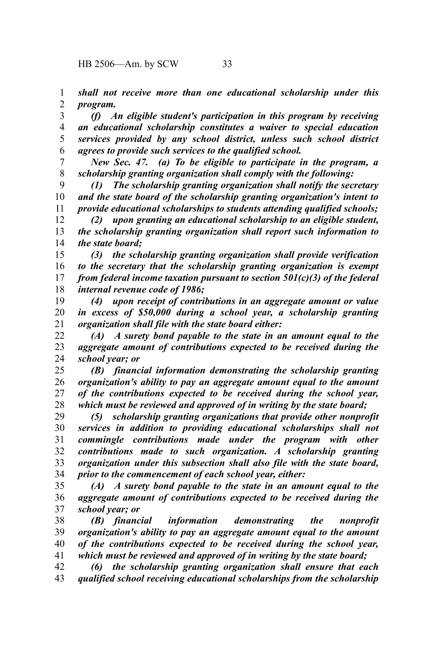*shall not receive more than one educational scholarship under this program.* 1 2

*(f) An eligible student's participation in this program by receiving an educational scholarship constitutes a waiver to special education services provided by any school district, unless such school district agrees to provide such services to the qualified school.* 3 4 5 6

*New Sec. 47. (a) To be eligible to participate in the program, a scholarship granting organization shall comply with the following:* 7 8

*(1) The scholarship granting organization shall notify the secretary and the state board of the scholarship granting organization's intent to provide educational scholarships to students attending qualified schools;* 9 10 11

*(2) upon granting an educational scholarship to an eligible student, the scholarship granting organization shall report such information to the state board;* 12 13 14

*(3) the scholarship granting organization shall provide verification to the secretary that the scholarship granting organization is exempt from federal income taxation pursuant to section 501(c)(3) of the federal internal revenue code of 1986;* 15 16 17 18

*(4) upon receipt of contributions in an aggregate amount or value in excess of \$50,000 during a school year, a scholarship granting organization shall file with the state board either:*  19 20 21

*(A) A surety bond payable to the state in an amount equal to the aggregate amount of contributions expected to be received during the school year; or*  22 23 24

*(B) financial information demonstrating the scholarship granting organization's ability to pay an aggregate amount equal to the amount of the contributions expected to be received during the school year, which must be reviewed and approved of in writing by the state board;* 25 26 27 28

*(5) scholarship granting organizations that provide other nonprofit services in addition to providing educational scholarships shall not commingle contributions made under the program with other contributions made to such organization. A scholarship granting organization under this subsection shall also file with the state board, prior to the commencement of each school year, either:*  29 30 31 32 33 34

*(A) A surety bond payable to the state in an amount equal to the aggregate amount of contributions expected to be received during the school year; or*  35 36 37

*(B) financial information demonstrating the nonprofit organization's ability to pay an aggregate amount equal to the amount of the contributions expected to be received during the school year, which must be reviewed and approved of in writing by the state board;* 38 39 40 41

*(6) the scholarship granting organization shall ensure that each qualified school receiving educational scholarships from the scholarship* 42 43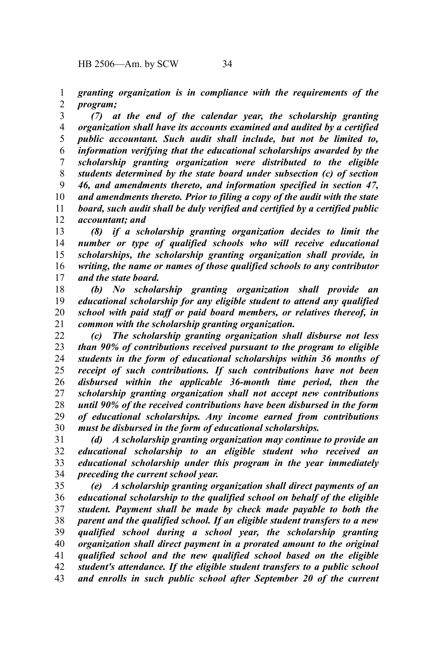*granting organization is in compliance with the requirements of the program;* 1 2

*(7) at the end of the calendar year, the scholarship granting organization shall have its accounts examined and audited by a certified public accountant. Such audit shall include, but not be limited to, information verifying that the educational scholarships awarded by the scholarship granting organization were distributed to the eligible students determined by the state board under subsection (c) of section 46, and amendments thereto, and information specified in section 47, and amendments thereto. Prior to filing a copy of the audit with the state board, such audit shall be duly verified and certified by a certified public accountant; and* 3 4 5 6 7 8 9 10 11 12

*(8) if a scholarship granting organization decides to limit the number or type of qualified schools who will receive educational scholarships, the scholarship granting organization shall provide, in writing, the name or names of those qualified schools to any contributor and the state board.* 13 14 15 16 17

*(b) No scholarship granting organization shall provide an educational scholarship for any eligible student to attend any qualified school with paid staff or paid board members, or relatives thereof, in common with the scholarship granting organization.* 18 19 20 21

*(c) The scholarship granting organization shall disburse not less than 90% of contributions received pursuant to the program to eligible students in the form of educational scholarships within 36 months of receipt of such contributions. If such contributions have not been disbursed within the applicable 36-month time period, then the scholarship granting organization shall not accept new contributions until 90% of the received contributions have been disbursed in the form of educational scholarships. Any income earned from contributions must be disbursed in the form of educational scholarships.* 22 23 24 25 26 27 28 29 30

*(d) A scholarship granting organization may continue to provide an educational scholarship to an eligible student who received an educational scholarship under this program in the year immediately preceding the current school year.*  31 32 33 34

*(e) A scholarship granting organization shall direct payments of an educational scholarship to the qualified school on behalf of the eligible student. Payment shall be made by check made payable to both the parent and the qualified school. If an eligible student transfers to a new qualified school during a school year, the scholarship granting organization shall direct payment in a prorated amount to the original qualified school and the new qualified school based on the eligible student's attendance. If the eligible student transfers to a public school and enrolls in such public school after September 20 of the current* 35 36 37 38 39 40 41 42 43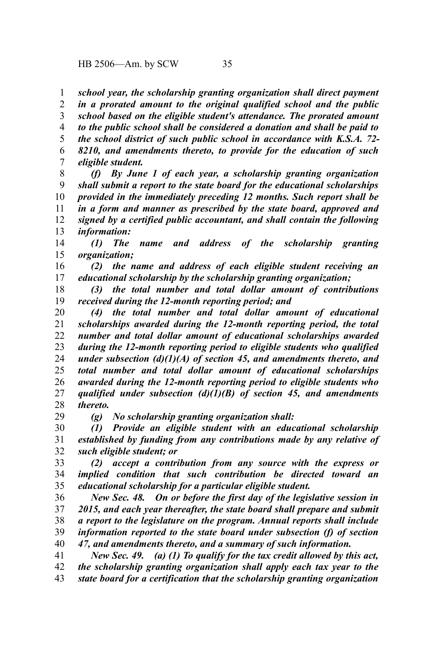*school year, the scholarship granting organization shall direct payment in a prorated amount to the original qualified school and the public school based on the eligible student's attendance. The prorated amount to the public school shall be considered a donation and shall be paid to the school district of such public school in accordance with K.S.A. 72- 8210, and amendments thereto, to provide for the education of such* 1 2 3 4 5 6

*eligible student.* 7

*(f) By June 1 of each year, a scholarship granting organization shall submit a report to the state board for the educational scholarships provided in the immediately preceding 12 months. Such report shall be in a form and manner as prescribed by the state board, approved and signed by a certified public accountant, and shall contain the following information:* 8 9 10 11 12 13

*(1) The name and address of the scholarship granting organization;* 14 15

*(2) the name and address of each eligible student receiving an educational scholarship by the scholarship granting organization;* 16 17

*(3) the total number and total dollar amount of contributions received during the 12-month reporting period; and* 18 19

*(4) the total number and total dollar amount of educational scholarships awarded during the 12-month reporting period, the total number and total dollar amount of educational scholarships awarded during the 12-month reporting period to eligible students who qualified under subsection (d)(1)(A) of section 45, and amendments thereto, and total number and total dollar amount of educational scholarships awarded during the 12-month reporting period to eligible students who qualified under subsection (d)(1)(B) of section 45, and amendments thereto.* 20 21 22 23 24 25 26 27 28

29

*(g) No scholarship granting organization shall:*

*(1) Provide an eligible student with an educational scholarship established by funding from any contributions made by any relative of such eligible student; or* 30 31 32

*(2) accept a contribution from any source with the express or implied condition that such contribution be directed toward an educational scholarship for a particular eligible student.* 33 34 35

*New Sec. 48. On or before the first day of the legislative session in 2015, and each year thereafter, the state board shall prepare and submit a report to the legislature on the program. Annual reports shall include information reported to the state board under subsection (f) of section 47, and amendments thereto, and a summary of such information.* 36 37 38 39 40

*New Sec. 49. (a) (1) To qualify for the tax credit allowed by this act, the scholarship granting organization shall apply each tax year to the state board for a certification that the scholarship granting organization* 41 42 43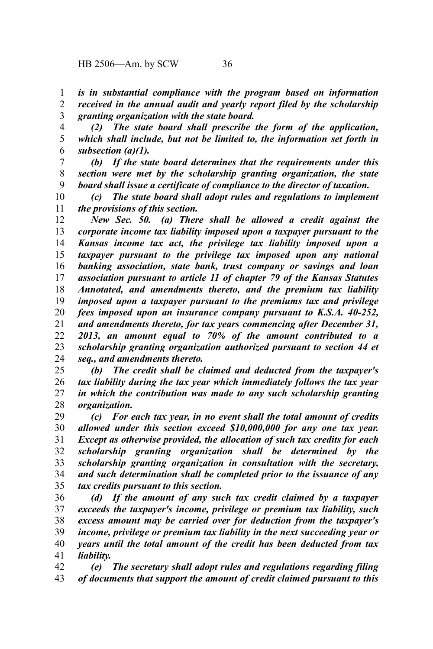*is in substantial compliance with the program based on information received in the annual audit and yearly report filed by the scholarship granting organization with the state board.* 1 2 3

*(2) The state board shall prescribe the form of the application, which shall include, but not be limited to, the information set forth in subsection (a)(1).* 4 5 6

*(b) If the state board determines that the requirements under this section were met by the scholarship granting organization, the state board shall issue a certificate of compliance to the director of taxation.* 7 8 9

*(c) The state board shall adopt rules and regulations to implement the provisions of this section.* 10 11

*New Sec. 50. (a) There shall be allowed a credit against the corporate income tax liability imposed upon a taxpayer pursuant to the Kansas income tax act, the privilege tax liability imposed upon a taxpayer pursuant to the privilege tax imposed upon any national banking association, state bank, trust company or savings and loan association pursuant to article 11 of chapter 79 of the Kansas Statutes Annotated, and amendments thereto, and the premium tax liability imposed upon a taxpayer pursuant to the premiums tax and privilege fees imposed upon an insurance company pursuant to K.S.A. 40-252, and amendments thereto, for tax years commencing after December 31, 2013, an amount equal to 70% of the amount contributed to a scholarship granting organization authorized pursuant to section 44 et seq., and amendments thereto.* 12 13 14 15 16 17 18 19 20 21 22 23 24

*(b) The credit shall be claimed and deducted from the taxpayer's tax liability during the tax year which immediately follows the tax year in which the contribution was made to any such scholarship granting organization.* 25 26 27 28

*(c) For each tax year, in no event shall the total amount of credits allowed under this section exceed \$10,000,000 for any one tax year. Except as otherwise provided, the allocation of such tax credits for each scholarship granting organization shall be determined by the scholarship granting organization in consultation with the secretary, and such determination shall be completed prior to the issuance of any tax credits pursuant to this section.* 29 30 31 32 33 34 35

*(d) If the amount of any such tax credit claimed by a taxpayer exceeds the taxpayer's income, privilege or premium tax liability, such excess amount may be carried over for deduction from the taxpayer's income, privilege or premium tax liability in the next succeeding year or years until the total amount of the credit has been deducted from tax liability.* 36 37 38 39 40 41

*(e) The secretary shall adopt rules and regulations regarding filing of documents that support the amount of credit claimed pursuant to this* 42 43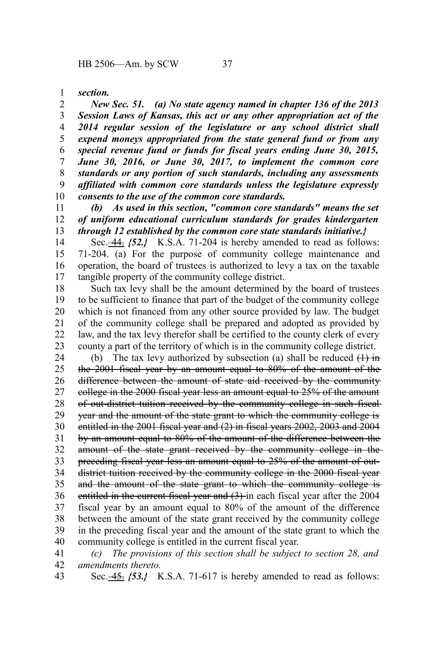*section.* 1

*New Sec. 51. (a) No state agency named in chapter 136 of the 2013 Session Laws of Kansas, this act or any other appropriation act of the 2014 regular session of the legislature or any school district shall expend moneys appropriated from the state general fund or from any special revenue fund or funds for fiscal years ending June 30, 2015, June 30, 2016, or June 30, 2017, to implement the common core standards or any portion of such standards, including any assessments affiliated with common core standards unless the legislature expressly consents to the use of the common core standards.* 2 3 4 5 6 7 8 9 10

*(b) As used in this section, "common core standards" means the set of uniform educational curriculum standards for grades kindergarten through 12 established by the common core state standards initiative.}* 11 12 13

Sec. 44.  $\{52.\}$  K.S.A. 71-204 is hereby amended to read as follows: 71-204. (a) For the purpose of community college maintenance and operation, the board of trustees is authorized to levy a tax on the taxable tangible property of the community college district. 14 15 16 17

Such tax levy shall be the amount determined by the board of trustees to be sufficient to finance that part of the budget of the community college which is not financed from any other source provided by law. The budget of the community college shall be prepared and adopted as provided by law, and the tax levy therefor shall be certified to the county clerk of every county a part of the territory of which is in the community college district. 18 19 20 21 22 23

(b) The tax levy authorized by subsection (a) shall be reduced  $(1)$  in the 2001 fiscal year by an amount equal to 80% of the amount of the difference between the amount of state aid received by the community college in the 2000 fiscal year less an amount equal to 25% of the amount of out-district tuition received by the community college in such fiscal year and the amount of the state grant to which the community college is entitled in the 2001 fiscal year and (2) in fiscal years 2002, 2003 and 2004 by an amount equal to 80% of the amount of the difference between the amount of the state grant received by the community college in the preceding fiscal year less an amount equal to 25% of the amount of outdistrict tuition received by the community college in the 2000 fiscal yearand the amount of the state grant to which the community college is entitled in the current fiscal year and (3) in each fiscal year after the 2004 fiscal year by an amount equal to 80% of the amount of the difference between the amount of the state grant received by the community college in the preceding fiscal year and the amount of the state grant to which the community college is entitled in the current fiscal year. 24 25 26 27 28 29 30 31 32 33 34 35 36 37 38 39 40

*(c) The provisions of this section shall be subject to section 28, and amendments thereto.* 41 42

Sec. <u>-45.</u> {53.} K.S.A. 71-617 is hereby amended to read as follows: 43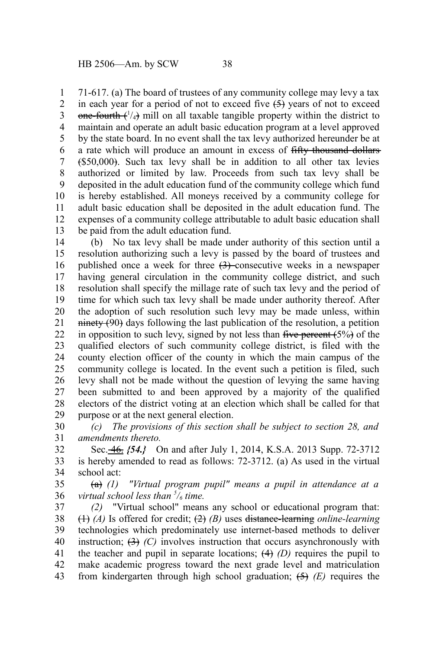71-617. (a) The board of trustees of any community college may levy a tax in each year for a period of not to exceed five  $(5)$  years of not to exceed  $one-fourth$  ( $\frac{1}{4}$ ) mill on all taxable tangible property within the district to maintain and operate an adult basic education program at a level approved by the state board. In no event shall the tax levy authorized hereunder be at a rate which will produce an amount in excess of fifty thousand dollars (\$50,000). Such tax levy shall be in addition to all other tax levies authorized or limited by law. Proceeds from such tax levy shall be deposited in the adult education fund of the community college which fund is hereby established. All moneys received by a community college for adult basic education shall be deposited in the adult education fund. The expenses of a community college attributable to adult basic education shall be paid from the adult education fund. 1 2 3 4 5 6 7 8 9 10 11 12 13

(b) No tax levy shall be made under authority of this section until a resolution authorizing such a levy is passed by the board of trustees and published once a week for three  $(3)$ -consecutive weeks in a newspaper having general circulation in the community college district, and such resolution shall specify the millage rate of such tax levy and the period of time for which such tax levy shall be made under authority thereof. After the adoption of such resolution such levy may be made unless, within  $n$  ninety  $(90)$  days following the last publication of the resolution, a petition in opposition to such levy, signed by not less than  $f^{\text{true}}$  percent  $(5\%)$  of the qualified electors of such community college district, is filed with the county election officer of the county in which the main campus of the community college is located. In the event such a petition is filed, such levy shall not be made without the question of levying the same having been submitted to and been approved by a majority of the qualified electors of the district voting at an election which shall be called for that purpose or at the next general election. 14 15 16 17 18 19 20 21 22 23 24 25 26 27 28 29

*(c) The provisions of this section shall be subject to section 28, and amendments thereto.* 30 31

Sec. 46. *{54.}* On and after July 1, 2014, K.S.A. 2013 Supp. 72-3712 is hereby amended to read as follows: 72-3712. (a) As used in the virtual school act: 32 33 34

(a) *(1) "Virtual program pupil" means a pupil in attendance at a virtual school less than <sup>5</sup> /6 time.* 35 36

*(2)* "Virtual school" means any school or educational program that: (1) *(A)* Is offered for credit; (2) *(B)* uses distance-learning *online-learning* technologies which predominately use internet-based methods to deliver instruction;  $(3)$   $(C)$  involves instruction that occurs asynchronously with the teacher and pupil in separate locations;  $(4)$   $(D)$  requires the pupil to make academic progress toward the next grade level and matriculation from kindergarten through high school graduation; (5) *(E)* requires the 37 38 39 40 41 42 43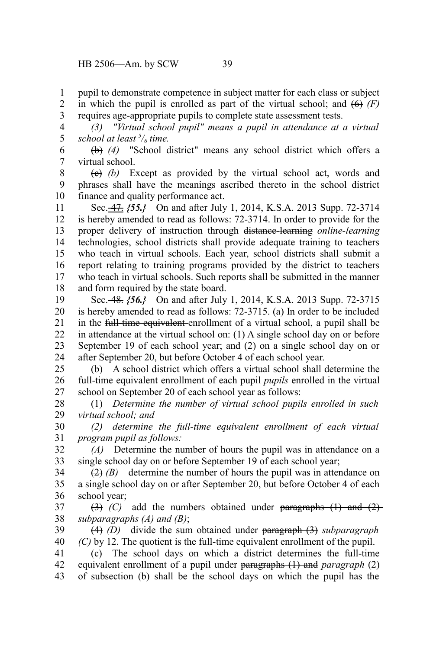pupil to demonstrate competence in subject matter for each class or subject in which the pupil is enrolled as part of the virtual school; and  $(6)$   $(F)$ requires age-appropriate pupils to complete state assessment tests. 1 2 3

*(3) "Virtual school pupil" means a pupil in attendance at a virtual school at least <sup>5</sup> /6 time.* 4 5

(b) *(4)* "School district" means any school district which offers a virtual school. 6 7

(c) *(b)* Except as provided by the virtual school act, words and phrases shall have the meanings ascribed thereto in the school district finance and quality performance act. 8 9 10

Sec. 47. *{55.}* On and after July 1, 2014, K.S.A. 2013 Supp. 72-3714 is hereby amended to read as follows: 72-3714. In order to provide for the proper delivery of instruction through distance-learning *online-learning* technologies, school districts shall provide adequate training to teachers who teach in virtual schools. Each year, school districts shall submit a report relating to training programs provided by the district to teachers who teach in virtual schools. Such reports shall be submitted in the manner and form required by the state board. 11 12 13 14 15 16 17 18

Sec. 48. *{56.}* On and after July 1, 2014, K.S.A. 2013 Supp. 72-3715 is hereby amended to read as follows: 72-3715. (a) In order to be included in the full-time equivalent enrollment of a virtual school, a pupil shall be in attendance at the virtual school on: (1) A single school day on or before September 19 of each school year; and (2) on a single school day on or after September 20, but before October 4 of each school year. 19 20 21 22 23 24

(b) A school district which offers a virtual school shall determine the full-time equivalent enrollment of each pupil *pupils* enrolled in the virtual school on September 20 of each school year as follows: 25 26 27

(1) *Determine the number of virtual school pupils enrolled in such virtual school; and* 28 29

*(2) determine the full-time equivalent enrollment of each virtual program pupil as follows:* 30 31

*(A)* Determine the number of hours the pupil was in attendance on a single school day on or before September 19 of each school year; 32 33

 $(2)$  (B) determine the number of hours the pupil was in attendance on a single school day on or after September 20, but before October 4 of each school year; 34 35 36

 $(3)$  (C) add the numbers obtained under paragraphs  $(1)$  and  $(2)$ *subparagraphs (A) and (B)*; 37 38

(4) *(D)* divide the sum obtained under paragraph (3) *subparagraph (C)* by 12. The quotient is the full-time equivalent enrollment of the pupil. 39 40

(c) The school days on which a district determines the full-time equivalent enrollment of a pupil under paragraphs (1) and *paragraph* (2) of subsection (b) shall be the school days on which the pupil has the 41 42 43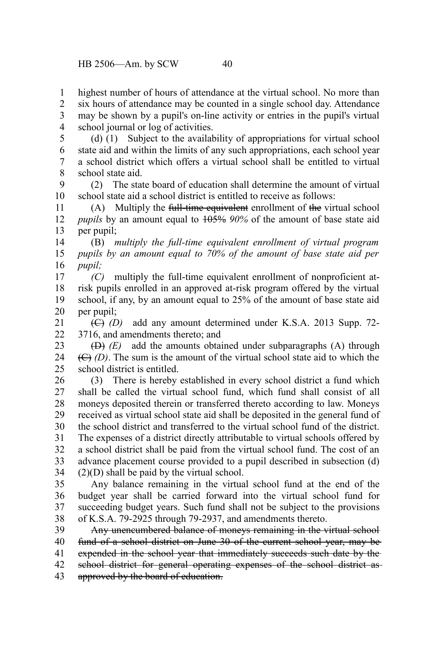highest number of hours of attendance at the virtual school. No more than six hours of attendance may be counted in a single school day. Attendance may be shown by a pupil's on-line activity or entries in the pupil's virtual school journal or log of activities. 1 2 3 4

5

(d) (1) Subject to the availability of appropriations for virtual school state aid and within the limits of any such appropriations, each school year a school district which offers a virtual school shall be entitled to virtual school state aid. 6 7 8

(2) The state board of education shall determine the amount of virtual school state aid a school district is entitled to receive as follows: 9 10

(A) Multiply the full-time equivalent enrollment of the virtual school *pupils* by an amount equal to 105% *90%* of the amount of base state aid per pupil; 11 12 13

(B) *multiply the full-time equivalent enrollment of virtual program pupils by an amount equal to 70% of the amount of base state aid per pupil;* 14 15 16

*(C)* multiply the full-time equivalent enrollment of nonproficient atrisk pupils enrolled in an approved at-risk program offered by the virtual school, if any, by an amount equal to 25% of the amount of base state aid per pupil; 17 18 19 20

(C) *(D)* add any amount determined under K.S.A. 2013 Supp. 72- 3716, and amendments thereto; and 21  $22$ 

(D) *(E)* add the amounts obtained under subparagraphs (A) through (C) *(D)*. The sum is the amount of the virtual school state aid to which the school district is entitled. 23 24 25

(3) There is hereby established in every school district a fund which shall be called the virtual school fund, which fund shall consist of all moneys deposited therein or transferred thereto according to law. Moneys received as virtual school state aid shall be deposited in the general fund of the school district and transferred to the virtual school fund of the district. The expenses of a district directly attributable to virtual schools offered by a school district shall be paid from the virtual school fund. The cost of an advance placement course provided to a pupil described in subsection (d)  $(2)(D)$  shall be paid by the virtual school. 26 27 28 29 30 31 32 33 34

Any balance remaining in the virtual school fund at the end of the budget year shall be carried forward into the virtual school fund for succeeding budget years. Such fund shall not be subject to the provisions of K.S.A. 79-2925 through 79-2937, and amendments thereto. 35 36 37 38

Any unencumbered balance of moneys remaining in the virtual school fund of a school district on June 30 of the current school year, may be expended in the school year that immediately succeeds such date by the school district for general operating expenses of the school district asapproved by the board of education. 39 40 41 42 43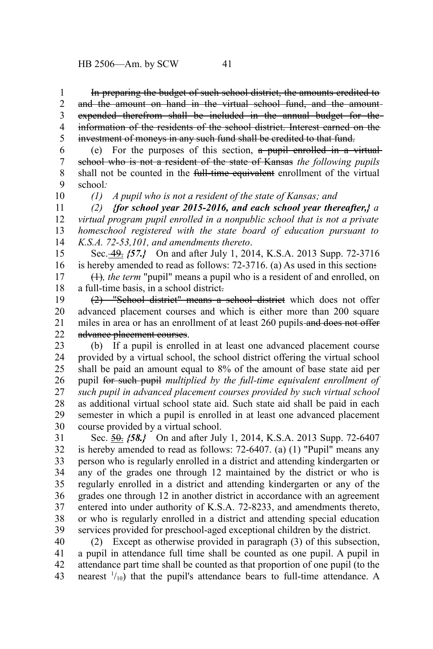In preparing the budget of such school district, the amounts credited to and the amount on hand in the virtual school fund, and the amount expended therefrom shall be included in the annual budget for the information of the residents of the school district. Interest earned on the investment of moneys in any such fund shall be credited to that fund. 1 2 3 4 5

(e) For the purposes of this section, a pupil enrolled in a virtual school who is not a resident of the state of Kansas *the following pupils* shall not be counted in the full-time equivalent enrollment of the virtual school*:* 6 7 8 9 10

*(1) A pupil who is not a resident of the state of Kansas; and*

*(2) {for school year 2015-2016, and each school year thereafter,} a virtual program pupil enrolled in a nonpublic school that is not a private homeschool registered with the state board of education pursuant to K.S.A. 72-53,101, and amendments thereto*. 11 12 13 14

Sec. 49. *{57.}* On and after July 1, 2014, K.S.A. 2013 Supp. 72-3716 is hereby amended to read as follows: 72-3716. (a) As used in this section: 15 16

(1)*, the term* "pupil" means a pupil who is a resident of and enrolled, on a full-time basis, in a school district. 17 18

(2) "School district" means a school district which does not offer advanced placement courses and which is either more than 200 square miles in area or has an enrollment of at least 260 pupils-and does not offer advance placement courses. 19 20 21 22

(b) If a pupil is enrolled in at least one advanced placement course provided by a virtual school, the school district offering the virtual school shall be paid an amount equal to 8% of the amount of base state aid per pupil for such pupil *multiplied by the full-time equivalent enrollment of such pupil in advanced placement courses provided by such virtual school* as additional virtual school state aid. Such state aid shall be paid in each semester in which a pupil is enrolled in at least one advanced placement course provided by a virtual school. 23 24 25 26 27 28 29 30

Sec. 50. *{58.}* On and after July 1, 2014, K.S.A. 2013 Supp. 72-6407 is hereby amended to read as follows: 72-6407. (a) (1) "Pupil" means any person who is regularly enrolled in a district and attending kindergarten or any of the grades one through 12 maintained by the district or who is regularly enrolled in a district and attending kindergarten or any of the grades one through 12 in another district in accordance with an agreement entered into under authority of K.S.A. 72-8233, and amendments thereto, or who is regularly enrolled in a district and attending special education services provided for preschool-aged exceptional children by the district. 31 32 33 34 35 36 37 38 39

(2) Except as otherwise provided in paragraph (3) of this subsection, a pupil in attendance full time shall be counted as one pupil. A pupil in attendance part time shall be counted as that proportion of one pupil (to the nearest  $\frac{1}{10}$  that the pupil's attendance bears to full-time attendance. A 40 41 42 43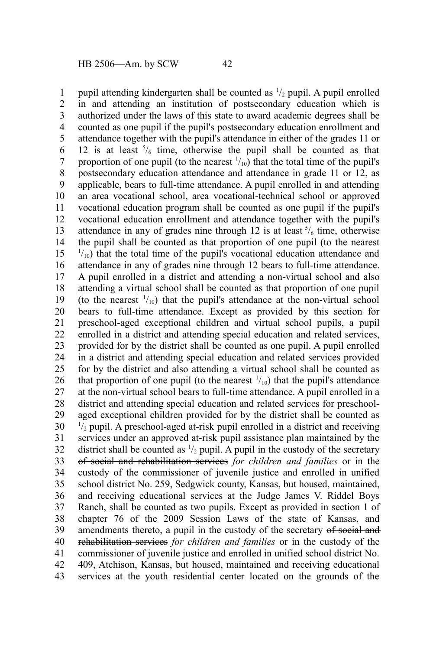pupil attending kindergarten shall be counted as  $\frac{1}{2}$  pupil. A pupil enrolled in and attending an institution of postsecondary education which is authorized under the laws of this state to award academic degrees shall be counted as one pupil if the pupil's postsecondary education enrollment and attendance together with the pupil's attendance in either of the grades 11 or 12 is at least  $\frac{5}{6}$  time, otherwise the pupil shall be counted as that proportion of one pupil (to the nearest  $\frac{1}{10}$ ) that the total time of the pupil's postsecondary education attendance and attendance in grade 11 or 12, as applicable, bears to full-time attendance. A pupil enrolled in and attending an area vocational school, area vocational-technical school or approved vocational education program shall be counted as one pupil if the pupil's vocational education enrollment and attendance together with the pupil's attendance in any of grades nine through 12 is at least  $\frac{5}{6}$  time, otherwise the pupil shall be counted as that proportion of one pupil (to the nearest  $1/10$ ) that the total time of the pupil's vocational education attendance and attendance in any of grades nine through 12 bears to full-time attendance. A pupil enrolled in a district and attending a non-virtual school and also attending a virtual school shall be counted as that proportion of one pupil (to the nearest  $\frac{1}{10}$ ) that the pupil's attendance at the non-virtual school bears to full-time attendance. Except as provided by this section for preschool-aged exceptional children and virtual school pupils, a pupil enrolled in a district and attending special education and related services, provided for by the district shall be counted as one pupil. A pupil enrolled in a district and attending special education and related services provided for by the district and also attending a virtual school shall be counted as that proportion of one pupil (to the nearest  $\frac{1}{10}$ ) that the pupil's attendance at the non-virtual school bears to full-time attendance. A pupil enrolled in a district and attending special education and related services for preschoolaged exceptional children provided for by the district shall be counted as  $\frac{1}{2}$  pupil. A preschool-aged at-risk pupil enrolled in a district and receiving services under an approved at-risk pupil assistance plan maintained by the district shall be counted as  $\frac{1}{2}$  pupil. A pupil in the custody of the secretary of social and rehabilitation services *for children and families* or in the custody of the commissioner of juvenile justice and enrolled in unified school district No. 259, Sedgwick county, Kansas, but housed, maintained, and receiving educational services at the Judge James V. Riddel Boys Ranch, shall be counted as two pupils. Except as provided in section 1 of chapter 76 of the 2009 Session Laws of the state of Kansas, and amendments thereto, a pupil in the custody of the secretary of social and rehabilitation services *for children and families* or in the custody of the commissioner of juvenile justice and enrolled in unified school district No. 409, Atchison, Kansas, but housed, maintained and receiving educational services at the youth residential center located on the grounds of the 1 2 3 4 5 6 7 8 9 10 11 12 13 14 15 16 17 18 19 20 21 22 23 24 25 26 27 28 29 30 31 32 33 34 35 36 37 38 39 40 41 42 43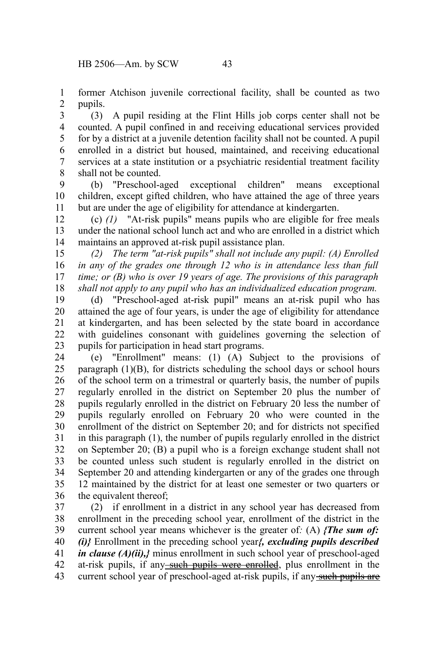former Atchison juvenile correctional facility, shall be counted as two pupils. 1 2

(3) A pupil residing at the Flint Hills job corps center shall not be counted. A pupil confined in and receiving educational services provided for by a district at a juvenile detention facility shall not be counted. A pupil enrolled in a district but housed, maintained, and receiving educational services at a state institution or a psychiatric residential treatment facility shall not be counted. 3 4 5 6 7 8

(b) "Preschool-aged exceptional children" means exceptional children, except gifted children, who have attained the age of three years but are under the age of eligibility for attendance at kindergarten. 9 10 11

(c) *(1)* "At-risk pupils" means pupils who are eligible for free meals under the national school lunch act and who are enrolled in a district which maintains an approved at-risk pupil assistance plan. 12 13 14

*(2) The term "at-risk pupils" shall not include any pupil: (A) Enrolled in any of the grades one through 12 who is in attendance less than full time; or (B) who is over 19 years of age. The provisions of this paragraph shall not apply to any pupil who has an individualized education program.* 15 16 17 18

(d) "Preschool-aged at-risk pupil" means an at-risk pupil who has attained the age of four years, is under the age of eligibility for attendance at kindergarten, and has been selected by the state board in accordance with guidelines consonant with guidelines governing the selection of pupils for participation in head start programs. 19 20 21 22 23

(e) "Enrollment" means: (1) (A) Subject to the provisions of paragraph (1)(B), for districts scheduling the school days or school hours of the school term on a trimestral or quarterly basis, the number of pupils regularly enrolled in the district on September 20 plus the number of pupils regularly enrolled in the district on February 20 less the number of pupils regularly enrolled on February 20 who were counted in the enrollment of the district on September 20; and for districts not specified in this paragraph (1), the number of pupils regularly enrolled in the district on September 20; (B) a pupil who is a foreign exchange student shall not be counted unless such student is regularly enrolled in the district on September 20 and attending kindergarten or any of the grades one through 12 maintained by the district for at least one semester or two quarters or the equivalent thereof; 24 25 26 27 28 29 30 31 32 33 34 35 36

(2) if enrollment in a district in any school year has decreased from enrollment in the preceding school year, enrollment of the district in the current school year means whichever is the greater of*:* (A) *{The sum of: (i)}* Enrollment in the preceding school year*{, excluding pupils described in clause (A)(ii),}* minus enrollment in such school year of preschool-aged at-risk pupils, if any such pupils were enrolled, plus enrollment in the current school year of preschool-aged at-risk pupils, if any such pupils are 37 38 39 40 41 42 43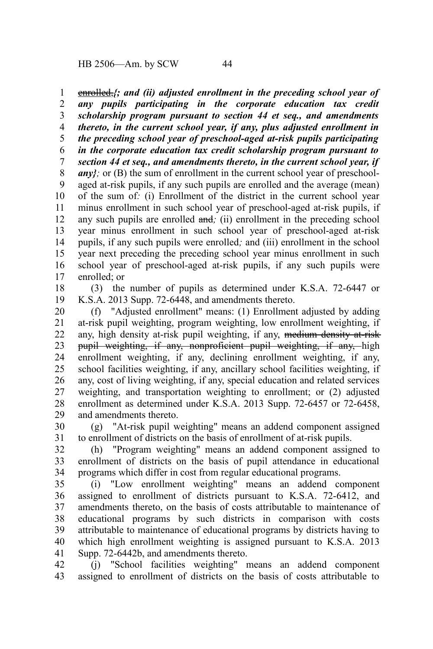HB 2506—Am. by SCW 44

enrolled,*{; and (ii) adjusted enrollment in the preceding school year of any pupils participating in the corporate education tax credit scholarship program pursuant to section 44 et seq., and amendments thereto, in the current school year, if any, plus adjusted enrollment in the preceding school year of preschool-aged at-risk pupils participating in the corporate education tax credit scholarship program pursuant to section 44 et seq., and amendments thereto, in the current school year, if*  $any$ ; or (B) the sum of enrollment in the current school year of preschoolaged at-risk pupils, if any such pupils are enrolled and the average (mean) of the sum of*:* (i) Enrollment of the district in the current school year minus enrollment in such school year of preschool-aged at-risk pupils, if any such pupils are enrolled and*;* (ii) enrollment in the preceding school year minus enrollment in such school year of preschool-aged at-risk pupils, if any such pupils were enrolled*;* and (iii) enrollment in the school year next preceding the preceding school year minus enrollment in such school year of preschool-aged at-risk pupils, if any such pupils were enrolled; or 1 2 3 4 5 6 7 8 9 10 11 12 13 14 15 16 17

(3) the number of pupils as determined under K.S.A. 72-6447 or K.S.A. 2013 Supp. 72-6448, and amendments thereto. 18 19

(f) "Adjusted enrollment" means: (1) Enrollment adjusted by adding at-risk pupil weighting, program weighting, low enrollment weighting, if any, high density at-risk pupil weighting, if any, medium density at-risk pupil weighting, if any, nonproficient pupil weighting, if any, high enrollment weighting, if any, declining enrollment weighting, if any, school facilities weighting, if any, ancillary school facilities weighting, if any, cost of living weighting, if any, special education and related services weighting, and transportation weighting to enrollment; or (2) adjusted enrollment as determined under K.S.A. 2013 Supp. 72-6457 or 72-6458, and amendments thereto. 20 21 22 23 24 25 26 27 28 29

(g) "At-risk pupil weighting" means an addend component assigned to enrollment of districts on the basis of enrollment of at-risk pupils. 30 31

(h) "Program weighting" means an addend component assigned to enrollment of districts on the basis of pupil attendance in educational programs which differ in cost from regular educational programs. 32 33 34

(i) "Low enrollment weighting" means an addend component assigned to enrollment of districts pursuant to K.S.A. 72-6412, and amendments thereto, on the basis of costs attributable to maintenance of educational programs by such districts in comparison with costs attributable to maintenance of educational programs by districts having to which high enrollment weighting is assigned pursuant to K.S.A. 2013 Supp. 72-6442b, and amendments thereto. 35 36 37 38 39 40 41

(j) "School facilities weighting" means an addend component assigned to enrollment of districts on the basis of costs attributable to 42 43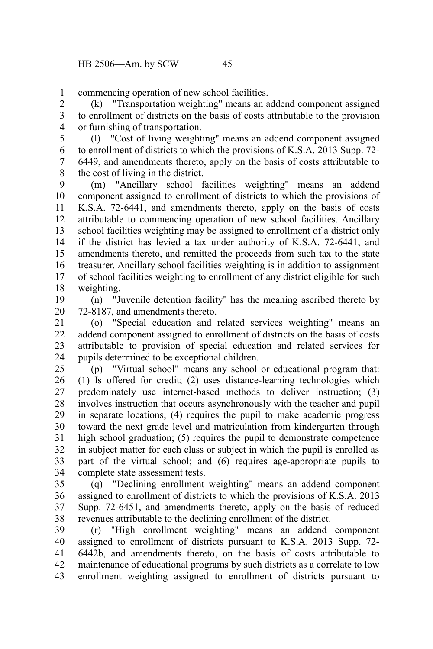commencing operation of new school facilities. 1

(k) "Transportation weighting" means an addend component assigned to enrollment of districts on the basis of costs attributable to the provision or furnishing of transportation. 2 3 4

(l) "Cost of living weighting" means an addend component assigned to enrollment of districts to which the provisions of K.S.A. 2013 Supp. 72- 6449, and amendments thereto, apply on the basis of costs attributable to the cost of living in the district. 5 6 7 8

(m) "Ancillary school facilities weighting" means an addend component assigned to enrollment of districts to which the provisions of K.S.A. 72-6441, and amendments thereto, apply on the basis of costs attributable to commencing operation of new school facilities. Ancillary school facilities weighting may be assigned to enrollment of a district only if the district has levied a tax under authority of K.S.A. 72-6441, and amendments thereto, and remitted the proceeds from such tax to the state treasurer. Ancillary school facilities weighting is in addition to assignment of school facilities weighting to enrollment of any district eligible for such weighting. 9 10 11 12 13 14 15 16 17 18

(n) "Juvenile detention facility" has the meaning ascribed thereto by 72-8187, and amendments thereto. 19 20

(o) "Special education and related services weighting" means an addend component assigned to enrollment of districts on the basis of costs attributable to provision of special education and related services for pupils determined to be exceptional children. 21 22 23 24

(p) "Virtual school" means any school or educational program that: (1) Is offered for credit; (2) uses distance-learning technologies which predominately use internet-based methods to deliver instruction; (3) involves instruction that occurs asynchronously with the teacher and pupil in separate locations; (4) requires the pupil to make academic progress toward the next grade level and matriculation from kindergarten through high school graduation; (5) requires the pupil to demonstrate competence in subject matter for each class or subject in which the pupil is enrolled as part of the virtual school; and (6) requires age-appropriate pupils to complete state assessment tests. 25 26 27 28 29 30 31 32 33 34

(q) "Declining enrollment weighting" means an addend component assigned to enrollment of districts to which the provisions of K.S.A. 2013 Supp. 72-6451, and amendments thereto, apply on the basis of reduced revenues attributable to the declining enrollment of the district. 35 36 37 38

(r) "High enrollment weighting" means an addend component assigned to enrollment of districts pursuant to K.S.A. 2013 Supp. 72- 6442b, and amendments thereto, on the basis of costs attributable to maintenance of educational programs by such districts as a correlate to low enrollment weighting assigned to enrollment of districts pursuant to 39 40 41 42 43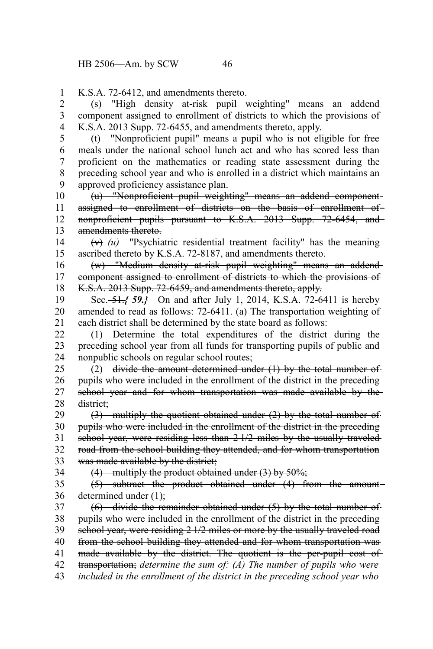K.S.A. 72-6412, and amendments thereto. 1

(s) "High density at-risk pupil weighting" means an addend component assigned to enrollment of districts to which the provisions of K.S.A. 2013 Supp. 72-6455, and amendments thereto, apply. 2 3 4

(t) "Nonproficient pupil" means a pupil who is not eligible for free meals under the national school lunch act and who has scored less than proficient on the mathematics or reading state assessment during the preceding school year and who is enrolled in a district which maintains an approved proficiency assistance plan. 5 6 7 8 9

(u) "Nonproficient pupil weighting" means an addend component assigned to enrollment of districts on the basis of enrollment ofnonproficient pupils pursuant to K.S.A. 2013 Supp. 72-6454, and amendments thereto. 10 11 12 13

(v) *(u)* "Psychiatric residential treatment facility" has the meaning ascribed thereto by K.S.A. 72-8187, and amendments thereto. 14 15

(w) "Medium density at-risk pupil weighting" means an addend component assigned to enrollment of districts to which the provisions of K.S.A. 2013 Supp. 72-6459, and amendments thereto, apply. 16 17 18

Sec. 51.*{ 59.}* On and after July 1, 2014, K.S.A. 72-6411 is hereby amended to read as follows: 72-6411. (a) The transportation weighting of each district shall be determined by the state board as follows: 19 20 21

(1) Determine the total expenditures of the district during the preceding school year from all funds for transporting pupils of public and nonpublic schools on regular school routes; 22 23 24

(2) divide the amount determined under  $(1)$  by the total number of pupils who were included in the enrollment of the district in the preceding school year and for whom transportation was made available by the district; 25 26 27 28

(3) multiply the quotient obtained under (2) by the total number of pupils who were included in the enrollment of the district in the preceding school year, were residing less than 2<sup>1/2</sup> miles by the usually traveled road from the school building they attended, and for whom transportation was made available by the district; 29 30 31 32 33

34

 $(4)$  multiply the product obtained under  $(3)$  by 50%;

(5) subtract the product obtained under (4) from the amount determined under (1); 35 36

(6) divide the remainder obtained under (5) by the total number of pupils who were included in the enrollment of the district in the preceding school year, were residing 2 1/2 miles or more by the usually traveled road from the school building they attended and for whom transportation was made available by the district. The quotient is the per-pupil cost of transportation; *determine the sum of: (A) The number of pupils who were* 37 38 39 40 41 42

*included in the enrollment of the district in the preceding school year who* 43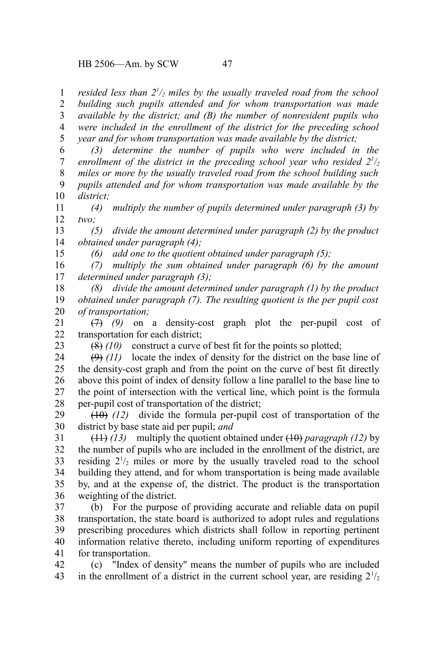HB 2506—Am. by SCW 47

*resided less than 2<sup>1</sup> /2 miles by the usually traveled road from the school building such pupils attended and for whom transportation was made* 1 2

*available by the district; and (B) the number of nonresident pupils who were included in the enrollment of the district for the preceding school year and for whom transportation was made available by the district;* 3 4 5

*(3) determine the number of pupils who were included in the enrollment of the district in the preceding school year who resided*  $2^{1/2}$ *miles or more by the usually traveled road from the school building such pupils attended and for whom transportation was made available by the district;* 6 7 8 9 10

*(4) multiply the number of pupils determined under paragraph (3) by two;* 11 12

*(5) divide the amount determined under paragraph (2) by the product obtained under paragraph (4);* 13 14

*(6) add one to the quotient obtained under paragraph (5);*

*(7) multiply the sum obtained under paragraph (6) by the amount determined under paragraph (3);* 16 17

*(8) divide the amount determined under paragraph (1) by the product obtained under paragraph (7). The resulting quotient is the per pupil cost of transportation;* 18 19 20

(7) *(9)* on a density-cost graph plot the per-pupil cost of transportation for each district; 21 22

23

15

(8) *(10)* construct a curve of best fit for the points so plotted;

 $(9)$  (11) locate the index of density for the district on the base line of the density-cost graph and from the point on the curve of best fit directly above this point of index of density follow a line parallel to the base line to the point of intersection with the vertical line, which point is the formula per-pupil cost of transportation of the district; 24 25 26 27 28

(10) *(12)* divide the formula per-pupil cost of transportation of the district by base state aid per pupil; *and* 29 30

(11) *(13)* multiply the quotient obtained under (10) *paragraph (12)* by the number of pupils who are included in the enrollment of the district, are residing  $2\frac{1}{2}$  miles or more by the usually traveled road to the school building they attend, and for whom transportation is being made available by, and at the expense of, the district. The product is the transportation weighting of the district. 31 32 33 34 35 36

(b) For the purpose of providing accurate and reliable data on pupil transportation, the state board is authorized to adopt rules and regulations prescribing procedures which districts shall follow in reporting pertinent information relative thereto, including uniform reporting of expenditures for transportation. 37 38 39 40 41

(c) "Index of density" means the number of pupils who are included in the enrollment of a district in the current school year, are residing  $2\frac{1}{2}$ 42 43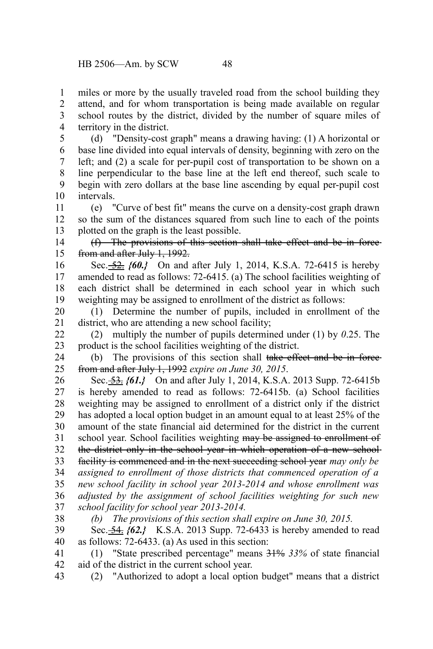miles or more by the usually traveled road from the school building they attend, and for whom transportation is being made available on regular school routes by the district, divided by the number of square miles of territory in the district. 1 2 3 4

(d) "Density-cost graph" means a drawing having: (1) A horizontal or base line divided into equal intervals of density, beginning with zero on the left; and (2) a scale for per-pupil cost of transportation to be shown on a line perpendicular to the base line at the left end thereof, such scale to begin with zero dollars at the base line ascending by equal per-pupil cost intervals. 5 6 7 8 9 10

(e) "Curve of best fit" means the curve on a density-cost graph drawn so the sum of the distances squared from such line to each of the points plotted on the graph is the least possible. 11 12 13

(f) The provisions of this section shall take effect and be in force from and after July 1, 1992. 14 15

Sec. 52. *{60.}* On and after July 1, 2014, K.S.A. 72-6415 is hereby amended to read as follows: 72-6415. (a) The school facilities weighting of each district shall be determined in each school year in which such weighting may be assigned to enrollment of the district as follows: 16 17 18 19

(1) Determine the number of pupils, included in enrollment of the district, who are attending a new school facility; 20 21

(2) multiply the number of pupils determined under (1) by *0*.25. The product is the school facilities weighting of the district. 22 23

(b) The provisions of this section shall take effect and be in forcefrom and after July 1, 1992 *expire on June 30, 2015*. 24 25

Sec. 53. *{61.}* On and after July 1, 2014, K.S.A. 2013 Supp. 72-6415b is hereby amended to read as follows: 72-6415b. (a) School facilities weighting may be assigned to enrollment of a district only if the district has adopted a local option budget in an amount equal to at least 25% of the amount of the state financial aid determined for the district in the current school year. School facilities weighting may be assigned to enrollment of the district only in the school year in which operation of a new school facility is commenced and in the next succeeding school year *may only be assigned to enrollment of those districts that commenced operation of a new school facility in school year 2013-2014 and whose enrollment was adjusted by the assignment of school facilities weighting for such new school facility for school year 2013-2014.* 26 27 28 29 30 31 32 33 34 35 36 37

38

*(b) The provisions of this section shall expire on June 30, 2015.*

Sec. **54. {62.}** K.S.A. 2013 Supp. 72-6433 is hereby amended to read as follows: 72-6433. (a) As used in this section: 39 40

(1) "State prescribed percentage" means 31% *33%* of state financial aid of the district in the current school year. 41 42

(2) "Authorized to adopt a local option budget" means that a district 43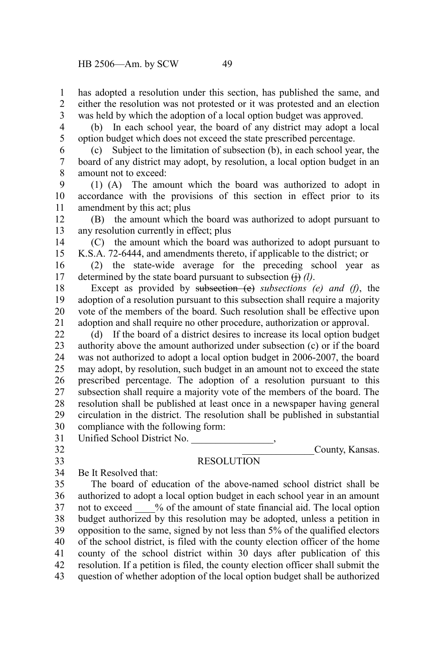has adopted a resolution under this section, has published the same, and either the resolution was not protested or it was protested and an election was held by which the adoption of a local option budget was approved. 1 2 3

4 5

(b) In each school year, the board of any district may adopt a local option budget which does not exceed the state prescribed percentage.

(c) Subject to the limitation of subsection (b), in each school year, the board of any district may adopt, by resolution, a local option budget in an amount not to exceed: 6 7 8

(1) (A) The amount which the board was authorized to adopt in accordance with the provisions of this section in effect prior to its amendment by this act; plus 9 10 11

(B) the amount which the board was authorized to adopt pursuant to any resolution currently in effect; plus 12 13

(C) the amount which the board was authorized to adopt pursuant to K.S.A. 72-6444, and amendments thereto, if applicable to the district; or 14 15

(2) the state-wide average for the preceding school year as determined by the state board pursuant to subsection  $\leftrightarrow$  *(l)*. 16 17

Except as provided by subsection (e) *subsections (e) and (f)*, the adoption of a resolution pursuant to this subsection shall require a majority vote of the members of the board. Such resolution shall be effective upon adoption and shall require no other procedure, authorization or approval. 18 19 20 21

(d) If the board of a district desires to increase its local option budget authority above the amount authorized under subsection (c) or if the board was not authorized to adopt a local option budget in 2006-2007, the board may adopt, by resolution, such budget in an amount not to exceed the state prescribed percentage. The adoption of a resolution pursuant to this subsection shall require a majority vote of the members of the board. The resolution shall be published at least once in a newspaper having general circulation in the district. The resolution shall be published in substantial compliance with the following form: 22 23 24 25 26 27 28 29 30

Unified School District No. 31

32 33

## **RESOLUTION**

County, Kansas.

Be It Resolved that: 34

The board of education of the above-named school district shall be authorized to adopt a local option budget in each school year in an amount not to exceed  $\frac{1}{2}$  % of the amount of state financial aid. The local option budget authorized by this resolution may be adopted, unless a petition in opposition to the same, signed by not less than 5% of the qualified electors of the school district, is filed with the county election officer of the home county of the school district within 30 days after publication of this resolution. If a petition is filed, the county election officer shall submit the question of whether adoption of the local option budget shall be authorized 35 36 37 38 39 40 41 42 43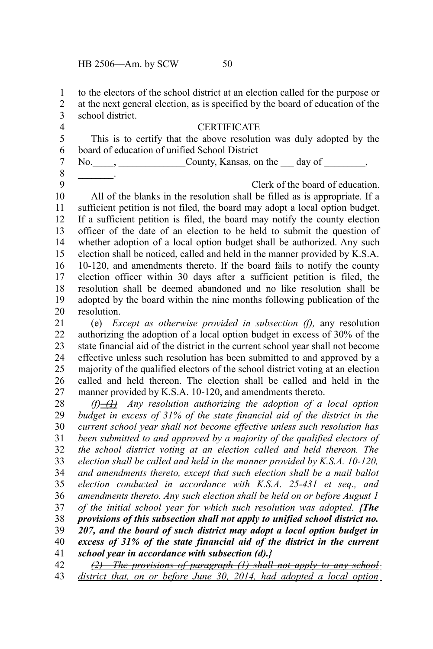to the electors of the school district at an election called for the purpose or 1

at the next general election, as is specified by the board of education of the school district. 2 3

4

#### CERTIFICATE

This is to certify that the above resolution was duly adopted by the board of education of unified School District 5 6

No. \_\_\_\_, \_\_\_\_\_\_\_\_\_\_\_\_\_\_\_\_\_County, Kansas, on the \_\_\_ day of \_\_\_\_\_\_\_\_, 7

8 9

 $\mathcal{L}$ 

Clerk of the board of education.

All of the blanks in the resolution shall be filled as is appropriate. If a sufficient petition is not filed, the board may adopt a local option budget. If a sufficient petition is filed, the board may notify the county election officer of the date of an election to be held to submit the question of whether adoption of a local option budget shall be authorized. Any such election shall be noticed, called and held in the manner provided by K.S.A. 10-120, and amendments thereto. If the board fails to notify the county election officer within 30 days after a sufficient petition is filed, the resolution shall be deemed abandoned and no like resolution shall be adopted by the board within the nine months following publication of the resolution. 10 11 12 13 14 15 16 17 18 19 20

(e) *Except as otherwise provided in subsection (f),* any resolution authorizing the adoption of a local option budget in excess of 30% of the state financial aid of the district in the current school year shall not become effective unless such resolution has been submitted to and approved by a majority of the qualified electors of the school district voting at an election called and held thereon. The election shall be called and held in the manner provided by K.S.A. 10-120, and amendments thereto. 21 22 23 24 25 26 27

 $(f)$  *Any resolution authorizing the adoption of a local option budget in excess of 31% of the state financial aid of the district in the current school year shall not become effective unless such resolution has been submitted to and approved by a majority of the qualified electors of the school district voting at an election called and held thereon. The election shall be called and held in the manner provided by K.S.A. 10-120, and amendments thereto, except that such election shall be a mail ballot election conducted in accordance with K.S.A. 25-431 et seq., and amendments thereto. Any such election shall be held on or before August 1 of the initial school year for which such resolution was adopted. {The provisions of this subsection shall not apply to unified school district no. 207, and the board of such district may adopt a local option budget in excess of 31% of the state financial aid of the district in the current school year in accordance with subsection (d).}* 28 29 30 31 32 33 34 35 36 37 38 39 40 41

*(2) The provisions of paragraph (1) shall not apply to any school district that, on or before June 30, 2014, had adopted a local option* 42 43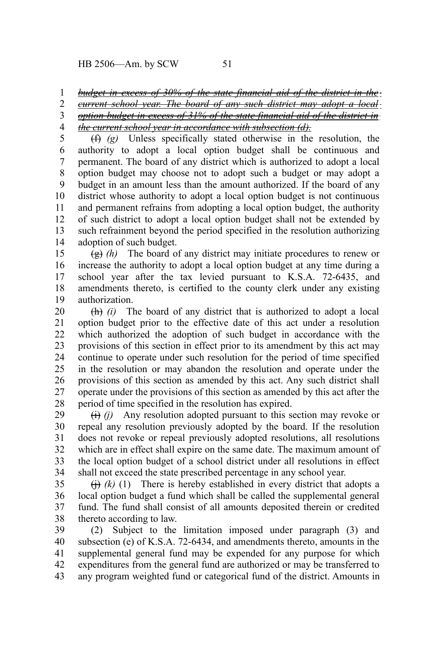HB 2506—Am. by SCW 51

#### *budget in excess of 30% of the state financial aid of the district in the* 1

*current school year. The board of any such district may adopt a local option budget in excess of 31% of the state financial aid of the district in the current school year in accordance with subsection (d).* 2 3 4

(f) *(g)* Unless specifically stated otherwise in the resolution, the authority to adopt a local option budget shall be continuous and permanent. The board of any district which is authorized to adopt a local option budget may choose not to adopt such a budget or may adopt a budget in an amount less than the amount authorized. If the board of any district whose authority to adopt a local option budget is not continuous and permanent refrains from adopting a local option budget, the authority of such district to adopt a local option budget shall not be extended by such refrainment beyond the period specified in the resolution authorizing adoption of such budget. 5 6 7 8 9 10 11 12 13 14

(g) *(h)* The board of any district may initiate procedures to renew or increase the authority to adopt a local option budget at any time during a school year after the tax levied pursuant to K.S.A. 72-6435, and amendments thereto, is certified to the county clerk under any existing authorization. 15 16 17 18 19

(h) *(i)* The board of any district that is authorized to adopt a local option budget prior to the effective date of this act under a resolution which authorized the adoption of such budget in accordance with the provisions of this section in effect prior to its amendment by this act may continue to operate under such resolution for the period of time specified in the resolution or may abandon the resolution and operate under the provisions of this section as amended by this act. Any such district shall operate under the provisions of this section as amended by this act after the period of time specified in the resolution has expired. 20 21 22 23 24 25 26 27 28

 $(i)$  *(i)* Any resolution adopted pursuant to this section may revoke or repeal any resolution previously adopted by the board. If the resolution does not revoke or repeal previously adopted resolutions, all resolutions which are in effect shall expire on the same date. The maximum amount of the local option budget of a school district under all resolutions in effect shall not exceed the state prescribed percentage in any school year. 29 30 31 32 33 34

 $\leftrightarrow$  (k) (1) There is hereby established in every district that adopts a local option budget a fund which shall be called the supplemental general fund. The fund shall consist of all amounts deposited therein or credited thereto according to law. 35 36 37 38

(2) Subject to the limitation imposed under paragraph (3) and subsection (e) of K.S.A. 72-6434, and amendments thereto, amounts in the supplemental general fund may be expended for any purpose for which expenditures from the general fund are authorized or may be transferred to any program weighted fund or categorical fund of the district. Amounts in 39 40 41 42 43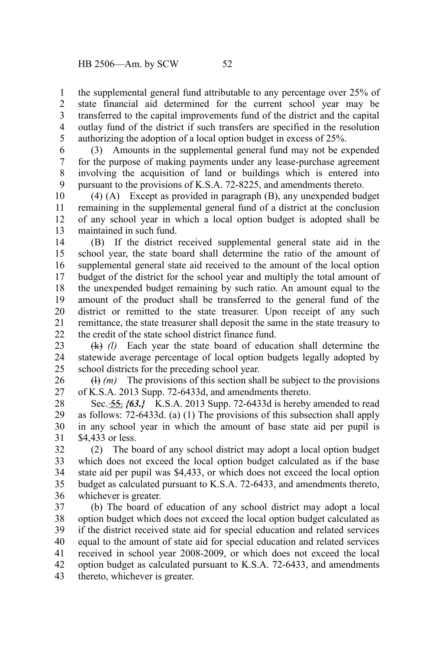the supplemental general fund attributable to any percentage over 25% of state financial aid determined for the current school year may be transferred to the capital improvements fund of the district and the capital outlay fund of the district if such transfers are specified in the resolution authorizing the adoption of a local option budget in excess of 25%. 1 2 3 4 5

(3) Amounts in the supplemental general fund may not be expended for the purpose of making payments under any lease-purchase agreement involving the acquisition of land or buildings which is entered into pursuant to the provisions of K.S.A. 72-8225, and amendments thereto. 6 7 8 9

(4) (A) Except as provided in paragraph (B), any unexpended budget remaining in the supplemental general fund of a district at the conclusion of any school year in which a local option budget is adopted shall be maintained in such fund. 10 11 12 13

(B) If the district received supplemental general state aid in the school year, the state board shall determine the ratio of the amount of supplemental general state aid received to the amount of the local option budget of the district for the school year and multiply the total amount of the unexpended budget remaining by such ratio. An amount equal to the amount of the product shall be transferred to the general fund of the district or remitted to the state treasurer. Upon receipt of any such remittance, the state treasurer shall deposit the same in the state treasury to the credit of the state school district finance fund. 14 15 16 17 18 19 20 21 22

(k) *(l)* Each year the state board of education shall determine the statewide average percentage of local option budgets legally adopted by school districts for the preceding school year. 23 24 25

(l) *(m)* The provisions of this section shall be subject to the provisions of K.S.A. 2013 Supp. 72-6433d, and amendments thereto. 26 27

Sec. 55. *{63.}* K.S.A. 2013 Supp. 72-6433d is hereby amended to read as follows: 72-6433d. (a) (1) The provisions of this subsection shall apply in any school year in which the amount of base state aid per pupil is \$4,433 or less. 28 29 30 31

(2) The board of any school district may adopt a local option budget which does not exceed the local option budget calculated as if the base state aid per pupil was \$4,433, or which does not exceed the local option budget as calculated pursuant to K.S.A. 72-6433, and amendments thereto, whichever is greater. 32 33 34 35 36

(b) The board of education of any school district may adopt a local option budget which does not exceed the local option budget calculated as if the district received state aid for special education and related services equal to the amount of state aid for special education and related services received in school year 2008-2009, or which does not exceed the local option budget as calculated pursuant to K.S.A. 72-6433, and amendments thereto, whichever is greater. 37 38 39 40 41 42 43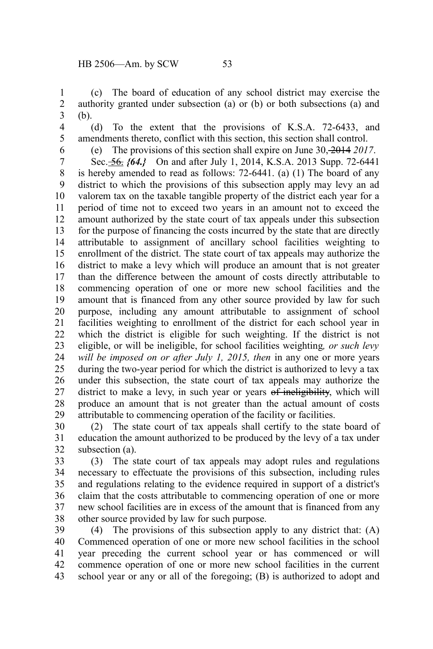(c) The board of education of any school district may exercise the authority granted under subsection (a) or (b) or both subsections (a) and (b). 1 2 3

4 5 6

(d) To the extent that the provisions of K.S.A. 72-6433, and amendments thereto, conflict with this section, this section shall control.

(e) The provisions of this section shall expire on June 30, 2014 *2017*.

Sec. 56. *{64.}* On and after July 1, 2014, K.S.A. 2013 Supp. 72-6441 is hereby amended to read as follows: 72-6441. (a) (1) The board of any district to which the provisions of this subsection apply may levy an ad valorem tax on the taxable tangible property of the district each year for a period of time not to exceed two years in an amount not to exceed the amount authorized by the state court of tax appeals under this subsection for the purpose of financing the costs incurred by the state that are directly attributable to assignment of ancillary school facilities weighting to enrollment of the district. The state court of tax appeals may authorize the district to make a levy which will produce an amount that is not greater than the difference between the amount of costs directly attributable to commencing operation of one or more new school facilities and the amount that is financed from any other source provided by law for such purpose, including any amount attributable to assignment of school facilities weighting to enrollment of the district for each school year in which the district is eligible for such weighting. If the district is not eligible, or will be ineligible, for school facilities weighting*, or such levy will be imposed on or after July 1, 2015, then* in any one or more years during the two-year period for which the district is authorized to levy a tax under this subsection, the state court of tax appeals may authorize the district to make a levy, in such year or years of ineligibility, which will produce an amount that is not greater than the actual amount of costs attributable to commencing operation of the facility or facilities. 7 8 9 10 11 12 13 14 15 16 17 18 19 20 21 22 23 24 25 26 27 28 29

(2) The state court of tax appeals shall certify to the state board of education the amount authorized to be produced by the levy of a tax under subsection (a). 30 31 32

(3) The state court of tax appeals may adopt rules and regulations necessary to effectuate the provisions of this subsection, including rules and regulations relating to the evidence required in support of a district's claim that the costs attributable to commencing operation of one or more new school facilities are in excess of the amount that is financed from any other source provided by law for such purpose. 33 34 35 36 37 38

(4) The provisions of this subsection apply to any district that: (A) Commenced operation of one or more new school facilities in the school year preceding the current school year or has commenced or will commence operation of one or more new school facilities in the current school year or any or all of the foregoing; (B) is authorized to adopt and 39 40 41 42 43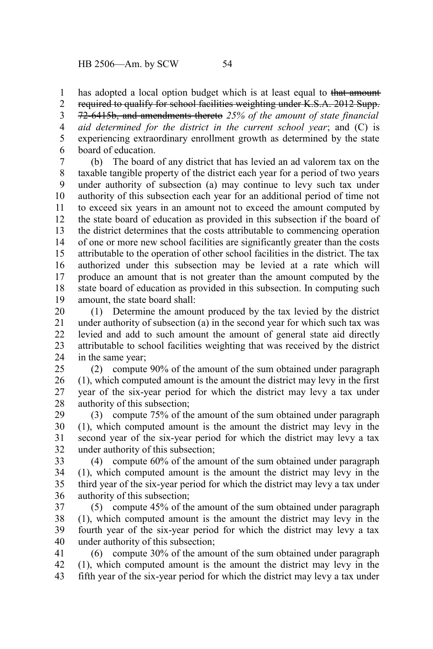has adopted a local option budget which is at least equal to that amount 1

required to qualify for school facilities weighting under K.S.A. 2012 Supp. 72-6415b, and amendments thereto *25% of the amount of state financial aid determined for the district in the current school year*; and (C) is experiencing extraordinary enrollment growth as determined by the state board of education. 2 3 4 5 6

(b) The board of any district that has levied an ad valorem tax on the taxable tangible property of the district each year for a period of two years under authority of subsection (a) may continue to levy such tax under authority of this subsection each year for an additional period of time not to exceed six years in an amount not to exceed the amount computed by the state board of education as provided in this subsection if the board of the district determines that the costs attributable to commencing operation of one or more new school facilities are significantly greater than the costs attributable to the operation of other school facilities in the district. The tax authorized under this subsection may be levied at a rate which will produce an amount that is not greater than the amount computed by the state board of education as provided in this subsection. In computing such amount, the state board shall: 7 8 9 10 11 12 13 14 15 16 17 18 19

(1) Determine the amount produced by the tax levied by the district under authority of subsection (a) in the second year for which such tax was levied and add to such amount the amount of general state aid directly attributable to school facilities weighting that was received by the district in the same year; 20 21 22 23 24

(2) compute 90% of the amount of the sum obtained under paragraph (1), which computed amount is the amount the district may levy in the first year of the six-year period for which the district may levy a tax under authority of this subsection; 25 26 27 28

(3) compute 75% of the amount of the sum obtained under paragraph (1), which computed amount is the amount the district may levy in the second year of the six-year period for which the district may levy a tax under authority of this subsection; 29 30 31 32

(4) compute 60% of the amount of the sum obtained under paragraph (1), which computed amount is the amount the district may levy in the third year of the six-year period for which the district may levy a tax under authority of this subsection; 33 34 35 36

(5) compute 45% of the amount of the sum obtained under paragraph (1), which computed amount is the amount the district may levy in the fourth year of the six-year period for which the district may levy a tax under authority of this subsection; 37 38 39 40

(6) compute 30% of the amount of the sum obtained under paragraph (1), which computed amount is the amount the district may levy in the fifth year of the six-year period for which the district may levy a tax under 41 42 43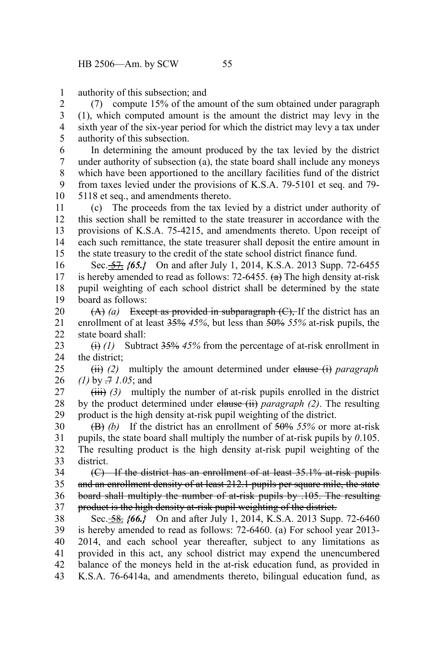authority of this subsection; and 1

(7) compute 15% of the amount of the sum obtained under paragraph (1), which computed amount is the amount the district may levy in the sixth year of the six-year period for which the district may levy a tax under authority of this subsection. 2 3 4 5

In determining the amount produced by the tax levied by the district under authority of subsection (a), the state board shall include any moneys which have been apportioned to the ancillary facilities fund of the district from taxes levied under the provisions of K.S.A. 79-5101 et seq. and 79- 5118 et seq., and amendments thereto. 6 7 8 9 10

(c) The proceeds from the tax levied by a district under authority of this section shall be remitted to the state treasurer in accordance with the provisions of K.S.A. 75-4215, and amendments thereto. Upon receipt of each such remittance, the state treasurer shall deposit the entire amount in the state treasury to the credit of the state school district finance fund. 11 12 13 14 15

Sec. 57. *{65.}* On and after July 1, 2014, K.S.A. 2013 Supp. 72-6455 is hereby amended to read as follows:  $72-6455$ . (a) The high density at-risk pupil weighting of each school district shall be determined by the state board as follows: 16 17 18 19

 $(A)$  (a) Except as provided in subparagraph  $(C)$ , If the district has an enrollment of at least 35% *45%*, but less than 50% *55%* at-risk pupils, the state board shall: 20 21 22

(i) *(1)* Subtract 35% *45%* from the percentage of at-risk enrollment in the district; 23 24

(ii) *(2)* multiply the amount determined under clause (i) *paragraph (1)* by .7 *1.05*; and 25 26

 $(iii)$  (3) multiply the number of at-risk pupils enrolled in the district by the product determined under clause (ii) *paragraph (2)*. The resulting product is the high density at-risk pupil weighting of the district. 27 28 29

(B) *(b)* If the district has an enrollment of 50% *55%* or more at-risk pupils, the state board shall multiply the number of at-risk pupils by *0*.105. The resulting product is the high density at-risk pupil weighting of the district. 30 31 32 33

(C) If the district has an enrollment of at least 35.1% at-risk pupils and an enrollment density of at least 212.1 pupils per square mile, the state board shall multiply the number of at-risk pupils by .105. The resulting product is the high density at-risk pupil weighting of the district. 34 35 36 37

Sec. <del>58.</del> {66.} On and after July 1, 2014, K.S.A. 2013 Supp. 72-6460 is hereby amended to read as follows: 72-6460. (a) For school year 2013- 2014, and each school year thereafter, subject to any limitations as provided in this act, any school district may expend the unencumbered balance of the moneys held in the at-risk education fund, as provided in K.S.A. 76-6414a, and amendments thereto, bilingual education fund, as 38 39 40 41 42 43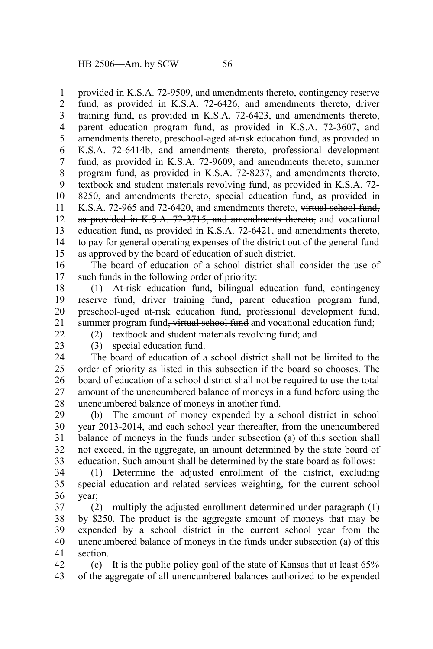provided in K.S.A. 72-9509, and amendments thereto, contingency reserve fund, as provided in K.S.A. 72-6426, and amendments thereto, driver training fund, as provided in K.S.A. 72-6423, and amendments thereto, parent education program fund, as provided in K.S.A. 72-3607, and amendments thereto, preschool-aged at-risk education fund, as provided in K.S.A. 72-6414b, and amendments thereto, professional development fund, as provided in K.S.A. 72-9609, and amendments thereto, summer program fund, as provided in K.S.A. 72-8237, and amendments thereto, textbook and student materials revolving fund, as provided in K.S.A. 72- 8250, and amendments thereto, special education fund, as provided in K.S.A. 72-965 and 72-6420, and amendments thereto, virtual school fund, as provided in K.S.A. 72-3715, and amendments thereto, and vocational education fund, as provided in K.S.A. 72-6421, and amendments thereto, to pay for general operating expenses of the district out of the general fund as approved by the board of education of such district. 1 2 3 4 5 6 7 8 9 10 11 12 13 14 15

The board of education of a school district shall consider the use of such funds in the following order of priority: 16 17

(1) At-risk education fund, bilingual education fund, contingency reserve fund, driver training fund, parent education program fund, preschool-aged at-risk education fund, professional development fund, summer program fund<del>, virtual school fund</del> and vocational education fund; 18 19 20 21

(2) textbook and student materials revolving fund; and

 $22$ 23

(3) special education fund.

The board of education of a school district shall not be limited to the order of priority as listed in this subsection if the board so chooses. The board of education of a school district shall not be required to use the total amount of the unencumbered balance of moneys in a fund before using the unencumbered balance of moneys in another fund. 24 25 26 27 28

(b) The amount of money expended by a school district in school year 2013-2014, and each school year thereafter, from the unencumbered balance of moneys in the funds under subsection (a) of this section shall not exceed, in the aggregate, an amount determined by the state board of education. Such amount shall be determined by the state board as follows: 29 30 31 32 33

(1) Determine the adjusted enrollment of the district, excluding special education and related services weighting, for the current school year; 34 35 36

(2) multiply the adjusted enrollment determined under paragraph (1) by \$250. The product is the aggregate amount of moneys that may be expended by a school district in the current school year from the unencumbered balance of moneys in the funds under subsection (a) of this section. 37 38 39 40 41

(c) It is the public policy goal of the state of Kansas that at least 65% of the aggregate of all unencumbered balances authorized to be expended 42 43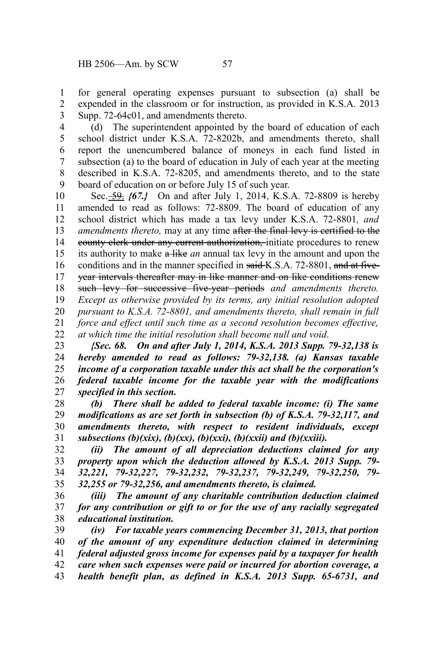for general operating expenses pursuant to subsection (a) shall be expended in the classroom or for instruction, as provided in K.S.A. 2013 Supp. 72-64c01, and amendments thereto. 1 2 3

(d) The superintendent appointed by the board of education of each school district under K.S.A. 72-8202b, and amendments thereto, shall report the unencumbered balance of moneys in each fund listed in subsection (a) to the board of education in July of each year at the meeting described in K.S.A. 72-8205, and amendments thereto, and to the state board of education on or before July 15 of such year. 4 5 6 7 8 9

Sec. 59. *{67.}* On and after July 1, 2014, K.S.A. 72-8809 is hereby amended to read as follows: 72-8809. The board of education of any school district which has made a tax levy under K.S.A. 72-8801*, and amendments thereto,* may at any time after the final levy is certified to the county clerk under any current authorization, initiate procedures to renew its authority to make a like *an* annual tax levy in the amount and upon the conditions and in the manner specified in said K.S.A. 72-8801, and at fiveyear intervals thereafter may in like manner and on like conditions renew such levy for successive five-year periods *and amendments thereto. Except as otherwise provided by its terms, any initial resolution adopted pursuant to K.S.A. 72-8801, and amendments thereto, shall remain in full force and effect until such time as a second resolution becomes effective, at which time the initial resolution shall become null and void*. 10 11 12 13 14 15 16 17 18 19 20 21 22

*{Sec. 68. On and after July 1, 2014, K.S.A. 2013 Supp. 79-32,138 is hereby amended to read as follows: 79-32,138. (a) Kansas taxable income of a corporation taxable under this act shall be the corporation's federal taxable income for the taxable year with the modifications specified in this section.* 23 24 25 26 27

*(b) There shall be added to federal taxable income: (i) The same modifications as are set forth in subsection (b) of K.S.A. 79-32,117, and amendments thereto, with respect to resident individuals, except subsections (b)(xix), (b)(xx), (b)(xxi), (b)(xxii) and (b)(xxiii).* 28 29 30 31

*(ii) The amount of all depreciation deductions claimed for any property upon which the deduction allowed by K.S.A. 2013 Supp. 79- 32,221, 79-32,227, 79-32,232, 79-32,237, 79-32,249, 79-32,250, 79- 32,255 or 79-32,256, and amendments thereto, is claimed.* 32 33 34 35

*(iii) The amount of any charitable contribution deduction claimed for any contribution or gift to or for the use of any racially segregated educational institution.* 36 37 38

*(iv) For taxable years commencing December 31, 2013, that portion of the amount of any expenditure deduction claimed in determining federal adjusted gross income for expenses paid by a taxpayer for health care when such expenses were paid or incurred for abortion coverage, a health benefit plan, as defined in K.S.A. 2013 Supp. 65-6731, and* 39 40 41 42 43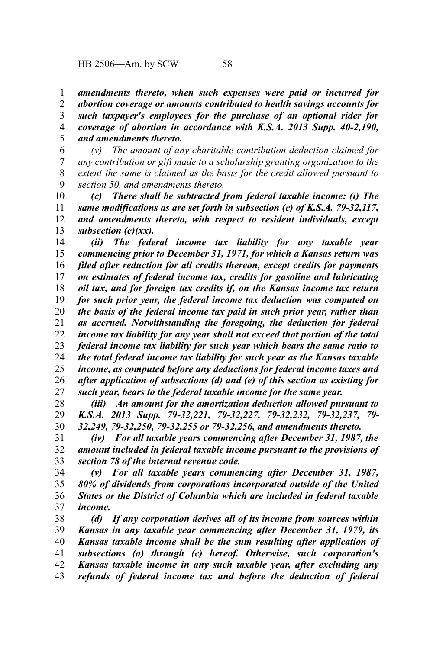*amendments thereto, when such expenses were paid or incurred for abortion coverage or amounts contributed to health savings accounts for such taxpayer's employees for the purchase of an optional rider for coverage of abortion in accordance with K.S.A. 2013 Supp. 40-2,190, and amendments thereto.* 1 2 3 4 5

*(v) The amount of any charitable contribution deduction claimed for any contribution or gift made to a scholarship granting organization to the extent the same is claimed as the basis for the credit allowed pursuant to section 50, and amendments thereto.* 6 7 8 9

*(c) There shall be subtracted from federal taxable income: (i) The same modifications as are set forth in subsection (c) of K.S.A. 79-32,117, and amendments thereto, with respect to resident individuals, except subsection (c)(xx).* 10 11 12 13

*(ii) The federal income tax liability for any taxable year commencing prior to December 31, 1971, for which a Kansas return was filed after reduction for all credits thereon, except credits for payments on estimates of federal income tax, credits for gasoline and lubricating oil tax, and for foreign tax credits if, on the Kansas income tax return for such prior year, the federal income tax deduction was computed on the basis of the federal income tax paid in such prior year, rather than as accrued. Notwithstanding the foregoing, the deduction for federal income tax liability for any year shall not exceed that portion of the total federal income tax liability for such year which bears the same ratio to the total federal income tax liability for such year as the Kansas taxable income, as computed before any deductions for federal income taxes and after application of subsections (d) and (e) of this section as existing for such year, bears to the federal taxable income for the same year.* 14 15 16 17 18 19 20 21 22 23 24 25 26 27

*(iii) An amount for the amortization deduction allowed pursuant to K.S.A. 2013 Supp. 79-32,221, 79-32,227, 79-32,232, 79-32,237, 79- 32,249, 79-32,250, 79-32,255 or 79-32,256, and amendments thereto.* 28 29 30

*(iv) For all taxable years commencing after December 31, 1987, the amount included in federal taxable income pursuant to the provisions of section 78 of the internal revenue code.* 31 32 33

*(v) For all taxable years commencing after December 31, 1987, 80% of dividends from corporations incorporated outside of the United States or the District of Columbia which are included in federal taxable income.* 34 35 36 37

*(d) If any corporation derives all of its income from sources within Kansas in any taxable year commencing after December 31, 1979, its Kansas taxable income shall be the sum resulting after application of subsections (a) through (c) hereof. Otherwise, such corporation's Kansas taxable income in any such taxable year, after excluding any refunds of federal income tax and before the deduction of federal* 38 39 40 41 42 43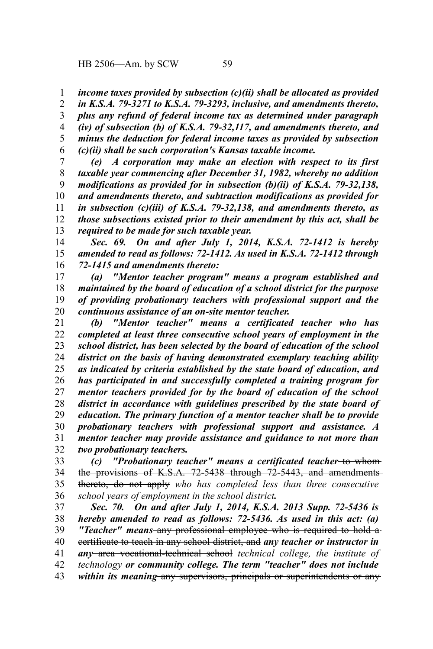*income taxes provided by subsection (c)(ii) shall be allocated as provided* 1

*in K.S.A. 79-3271 to K.S.A. 79-3293, inclusive, and amendments thereto, plus any refund of federal income tax as determined under paragraph (iv) of subsection (b) of K.S.A. 79-32,117, and amendments thereto, and minus the deduction for federal income taxes as provided by subsection (c)(ii) shall be such corporation's Kansas taxable income.* 2 3 4 5 6

*(e) A corporation may make an election with respect to its first taxable year commencing after December 31, 1982, whereby no addition modifications as provided for in subsection (b)(ii) of K.S.A. 79-32,138, and amendments thereto, and subtraction modifications as provided for in subsection (c)(iii) of K.S.A. 79-32,138, and amendments thereto, as those subsections existed prior to their amendment by this act, shall be required to be made for such taxable year.* 7 8 9 10 11 12 13

*Sec. 69. On and after July 1, 2014, K.S.A. 72-1412 is hereby amended to read as follows: 72-1412. As used in K.S.A. 72-1412 through 72-1415 and amendments thereto:* 14 15 16

*(a) "Mentor teacher program" means a program established and maintained by the board of education of a school district for the purpose of providing probationary teachers with professional support and the continuous assistance of an on-site mentor teacher.* 17 18 19 20

*(b) "Mentor teacher" means a certificated teacher who has completed at least three consecutive school years of employment in the school district, has been selected by the board of education of the school district on the basis of having demonstrated exemplary teaching ability as indicated by criteria established by the state board of education, and has participated in and successfully completed a training program for mentor teachers provided for by the board of education of the school district in accordance with guidelines prescribed by the state board of education. The primary function of a mentor teacher shall be to provide probationary teachers with professional support and assistance. A mentor teacher may provide assistance and guidance to not more than two probationary teachers.* 21 22 23 24 25 26 27 28 29 30 31 32

*(c)* "Probationary teacher" means a certificated teacher-to-whomthe provisions of K.S.A. 72-5438 through 72-5443, and amendmentsthereto, do not apply *who has completed less than three consecutive school years of employment in the school district.* 33 34 35 36

*Sec. 70. On and after July 1, 2014, K.S.A. 2013 Supp. 72-5436 is hereby amended to read as follows: 72-5436. As used in this act: (a) "Teacher" means* any professional employee who is required to hold a certificate to teach in any school district, and *any teacher or instructor in any* area vocational-technical school *technical college, the institute of technology or community college. The term "teacher" does not include within its meaning* any supervisors, principals or superintendents or any 37 38 39 40 41 42 43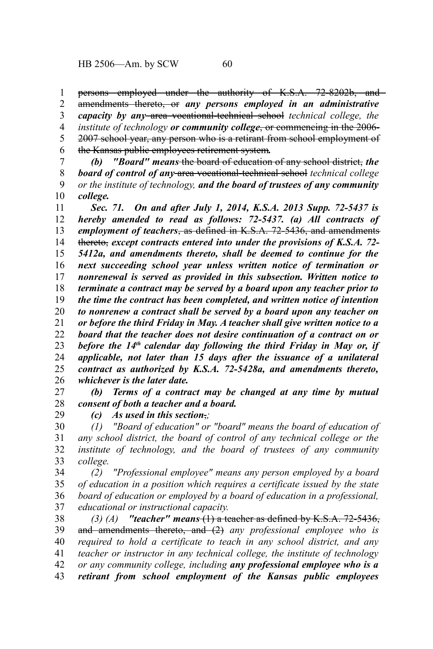persons employed under the authority of K.S.A. 72-8202b, and 1

amendments thereto, or *any persons employed in an administrative capacity by any* area vocational-technical school *technical college, the institute of technology or community college*, or commencing in the 2006- 2007 school year, any person who is a retirant from school employment of the Kansas public employees retirement system*.* 2 3 4 5 6

*(b) "Board" means* the board of education of any school district, *the board of control of any* area vocational-technical school *technical college or the institute of technology, and the board of trustees of any community college.* 7 8 9 10

*Sec. 71. On and after July 1, 2014, K.S.A. 2013 Supp. 72-5437 is hereby amended to read as follows: 72-5437. (a) All contracts of employment of teachers*, as defined in K.S.A. 72-5436, and amendments thereto, *except contracts entered into under the provisions of K.S.A. 72- 5412a, and amendments thereto, shall be deemed to continue for the next succeeding school year unless written notice of termination or nonrenewal is served as provided in this subsection. Written notice to terminate a contract may be served by a board upon any teacher prior to the time the contract has been completed, and written notice of intention to nonrenew a contract shall be served by a board upon any teacher on or before the third Friday in May. A teacher shall give written notice to a board that the teacher does not desire continuation of a contract on or before the 14th calendar day following the third Friday in May or, if applicable, not later than 15 days after the issuance of a unilateral contract as authorized by K.S.A. 72-5428a, and amendments thereto, whichever is the later date.* 11 12 13 14 15 16 17 18 19 20 21 22 23 24 25 26

*(b) Terms of a contract may be changed at any time by mutual consent of both a teacher and a board.* 27 28 29

*(c) As used in this section*,*;*

*(1) "Board of education" or "board" means the board of education of any school district, the board of control of any technical college or the institute of technology, and the board of trustees of any community college.* 30 31 32 33

*(2) "Professional employee" means any person employed by a board of education in a position which requires a certificate issued by the state board of education or employed by a board of education in a professional, educational or instructional capacity.* 34 35 36 37

*(3) (A) "teacher" means* (1) a teacher as defined by K.S.A. 72-5436, and amendments thereto, and (2) *any professional employee who is required to hold a certificate to teach in any school district, and any teacher or instructor in any technical college, the institute of technology or any community college, including any professional employee who is a retirant from school employment of the Kansas public employees* 38 39 40 41 42 43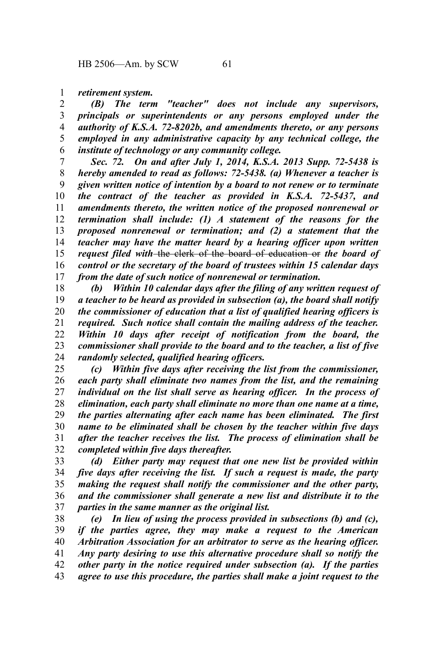#### *retirement system.* 1

*(B) The term "teacher" does not include any supervisors, principals or superintendents or any persons employed under the authority of K.S.A. 72-8202b, and amendments thereto, or any persons employed in any administrative capacity by any technical college, the institute of technology or any community college.* 2 3 4 5 6

*Sec. 72. On and after July 1, 2014, K.S.A. 2013 Supp. 72-5438 is hereby amended to read as follows: 72-5438. (a) Whenever a teacher is given written notice of intention by a board to not renew or to terminate the contract of the teacher as provided in K.S.A. 72-5437, and amendments thereto, the written notice of the proposed nonrenewal or termination shall include: (1) A statement of the reasons for the proposed nonrenewal or termination; and (2) a statement that the teacher may have the matter heard by a hearing officer upon written request filed with* the clerk of the board of education or *the board of control or the secretary of the board of trustees within 15 calendar days from the date of such notice of nonrenewal or termination.* 7 8 9 10 11 12 13 14 15 16 17

*(b) Within 10 calendar days after the filing of any written request of a teacher to be heard as provided in subsection (a), the board shall notify the commissioner of education that a list of qualified hearing officers is required. Such notice shall contain the mailing address of the teacher. Within 10 days after receipt of notification from the board, the commissioner shall provide to the board and to the teacher, a list of five randomly selected, qualified hearing officers.* 18 19 20 21 22 23 24

*(c) Within five days after receiving the list from the commissioner, each party shall eliminate two names from the list, and the remaining individual on the list shall serve as hearing officer. In the process of elimination, each party shall eliminate no more than one name at a time, the parties alternating after each name has been eliminated. The first name to be eliminated shall be chosen by the teacher within five days after the teacher receives the list. The process of elimination shall be completed within five days thereafter.* 25 26 27 28 29 30 31 32

*(d) Either party may request that one new list be provided within five days after receiving the list. If such a request is made, the party making the request shall notify the commissioner and the other party, and the commissioner shall generate a new list and distribute it to the parties in the same manner as the original list.* 33 34 35 36 37

*(e) In lieu of using the process provided in subsections (b) and (c), if the parties agree, they may make a request to the American Arbitration Association for an arbitrator to serve as the hearing officer. Any party desiring to use this alternative procedure shall so notify the other party in the notice required under subsection (a). If the parties agree to use this procedure, the parties shall make a joint request to the* 38 39 40 41 42 43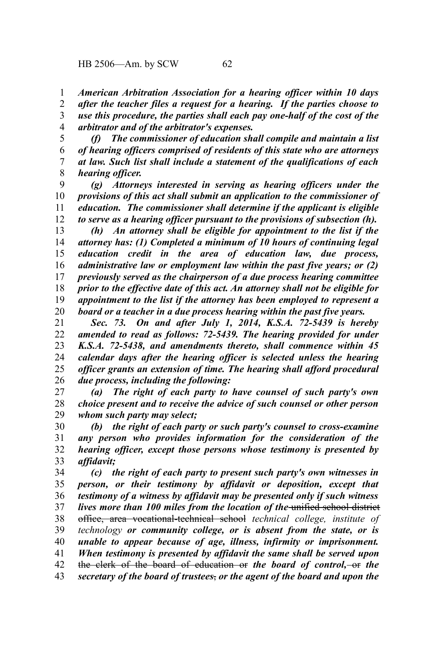*American Arbitration Association for a hearing officer within 10 days after the teacher files a request for a hearing. If the parties choose to use this procedure, the parties shall each pay one-half of the cost of the arbitrator and of the arbitrator's expenses.* 1 2 3 4

*(f) The commissioner of education shall compile and maintain a list of hearing officers comprised of residents of this state who are attorneys at law. Such list shall include a statement of the qualifications of each hearing officer.* 5 6 7 8

*(g) Attorneys interested in serving as hearing officers under the provisions of this act shall submit an application to the commissioner of education. The commissioner shall determine if the applicant is eligible to serve as a hearing officer pursuant to the provisions of subsection (h).* 9 10 11 12

*(h) An attorney shall be eligible for appointment to the list if the attorney has: (1) Completed a minimum of 10 hours of continuing legal education credit in the area of education law, due process, administrative law or employment law within the past five years; or (2) previously served as the chairperson of a due process hearing committee prior to the effective date of this act. An attorney shall not be eligible for appointment to the list if the attorney has been employed to represent a board or a teacher in a due process hearing within the past five years.* 13 14 15 16 17 18 19 20

*Sec. 73. On and after July 1, 2014, K.S.A. 72-5439 is hereby amended to read as follows: 72-5439. The hearing provided for under K.S.A. 72-5438, and amendments thereto, shall commence within 45 calendar days after the hearing officer is selected unless the hearing officer grants an extension of time. The hearing shall afford procedural due process, including the following:* 21 22 23 24 25 26

*(a) The right of each party to have counsel of such party's own choice present and to receive the advice of such counsel or other person whom such party may select;* 27 28 29

*(b) the right of each party or such party's counsel to cross-examine any person who provides information for the consideration of the hearing officer, except those persons whose testimony is presented by affidavit;* 30 31 32 33

*(c) the right of each party to present such party's own witnesses in person, or their testimony by affidavit or deposition, except that testimony of a witness by affidavit may be presented only if such witness lives more than 100 miles from the location of the* unified school district office, area vocational-technical school *technical college, institute of technology or community college, or is absent from the state, or is unable to appear because of age, illness, infirmity or imprisonment. When testimony is presented by affidavit the same shall be served upon* the clerk of the board of education or *the board of control,* or *the secretary of the board of trustees*, *or the agent of the board and upon the* 34 35 36 37 38 39 40 41 42 43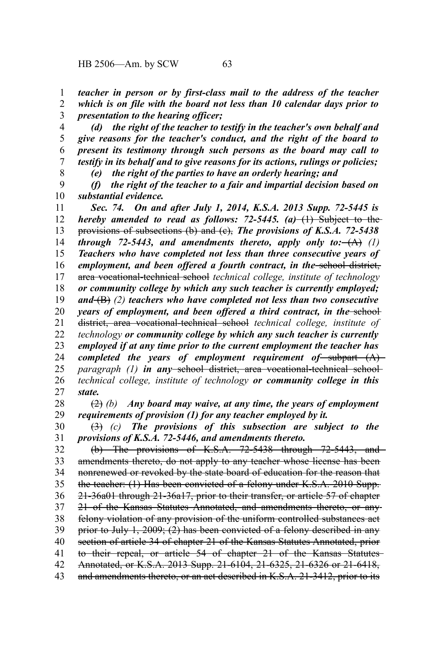*(d) the right of the teacher to testify in the teacher's own behalf and give reasons for the teacher's conduct, and the right of the board to present its testimony through such persons as the board may call to testify in its behalf and to give reasons for its actions, rulings or policies;* 4 5 6 7 8

*(e) the right of the parties to have an orderly hearing; and*

*(f) the right of the teacher to a fair and impartial decision based on substantial evidence.* 9 10

*Sec. 74. On and after July 1, 2014, K.S.A. 2013 Supp. 72-5445 is hereby amended to read as follows: 72-5445.*  $(a)$ – $(1)$  Subject to the provisions of subsections (b) and (c), *The provisions of K.S.A. 72-5438 through 72-5443, and amendments thereto, apply only to:*  $(A)$  (1) *Teachers who have completed not less than three consecutive years of* employment, and been offered a fourth contract, in the school district, area vocational-technical school *technical college, institute of technology or community college by which any such teacher is currently employed; and* (B) *(2) teachers who have completed not less than two consecutive years of employment, and been offered a third contract, in the sehool*district, area vocational-technical school *technical college, institute of technology or community college by which any such teacher is currently employed if at any time prior to the current employment the teacher has completed the years of employment requirement of* subpart  $(A)$ *paragraph* (1) *in any* school district, area vocational-technical school*technical college, institute of technology or community college in this state.* 11 12 13 14 15 16 17 18 19 20 21 22 23 24 25 26 27

(2) *(b) Any board may waive, at any time, the years of employment requirements of provision (1) for any teacher employed by it.* 28 29

(3) *(c) The provisions of this subsection are subject to the provisions of K.S.A. 72-5446, and amendments thereto.* 30 31

(b) The provisions of K.S.A.  $72-5438$  through  $72-5443$ , and amendments thereto, do not apply to any teacher whose license has been nonrenewed or revoked by the state board of education for the reason that the teacher: (1) Has been convicted of a felony under K.S.A. 2010 Supp. 21-36a01 through 21-36a17, prior to their transfer, or article 57 of chapter 21 of the Kansas Statutes Annotated, and amendments thereto, or any felony violation of any provision of the uniform controlled substances act prior to July 1, 2009; (2) has been convicted of a felony described in any section of article 34 of chapter 21 of the Kansas Statutes Annotated, prior to their repeal, or article 54 of chapter 21 of the Kansas Statutes Annotated, or K.S.A. 2013 Supp. 21-6104, 21-6325, 21-6326 or 21-6418, and amendments thereto, or an act described in K.S.A. 21-3412, prior to its 32 33 34 35 36 37 38 39 40 41 42 43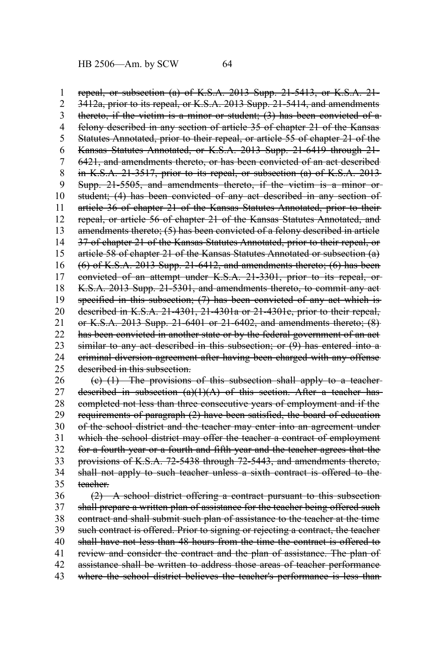repeal, or subsection (a) of K.S.A. 2013 Supp. 21-5413, or K.S.A. 21- 3412a, prior to its repeal, or K.S.A. 2013 Supp. 21-5414, and amendments thereto, if the victim is a minor or student; (3) has been convicted of a felony described in any section of article 35 of chapter 21 of the Kansas Statutes Annotated, prior to their repeal, or article 55 of chapter 21 of the Kansas Statutes Annotated, or K.S.A. 2013 Supp. 21-6419 through 21- 6421, and amendments thereto, or has been convicted of an act described in K.S.A. 21-3517, prior to its repeal, or subsection (a) of K.S.A. 2013 Supp. 21-5505, and amendments thereto, if the victim is a minor or student; (4) has been convicted of any act described in any section of article 36 of chapter 21 of the Kansas Statutes Annotated, prior to their repeal, or article 56 of chapter 21 of the Kansas Statutes Annotated, and amendments thereto; (5) has been convicted of a felony described in article 37 of chapter 21 of the Kansas Statutes Annotated, prior to their repeal, or article 58 of chapter 21 of the Kansas Statutes Annotated or subsection (a) (6) of K.S.A. 2013 Supp. 21-6412, and amendments thereto; (6) has been convicted of an attempt under K.S.A. 21-3301, prior to its repeal, or K.S.A. 2013 Supp. 21-5301, and amendments thereto, to commit any act specified in this subsection; (7) has been convicted of any act which is described in K.S.A. 21-4301, 21-4301a or 21-4301c, prior to their repeal, or K.S.A. 2013 Supp. 21-6401 or 21-6402, and amendments thereto; (8) has been convicted in another state or by the federal government of an act similar to any act described in this subsection; or (9) has entered into a criminal diversion agreement after having been charged with any offense described in this subsection. 1 2 3 4 5 6 7 8 9 10 11 12 13 14 15 16 17 18 19 20 21 22 23 24 25

(c) (1) The provisions of this subsection shall apply to a teacher described in subsection  $(a)(1)(A)$  of this section. After a teacher hascompleted not less than three consecutive years of employment and if the requirements of paragraph (2) have been satisfied, the board of education of the school district and the teacher may enter into an agreement under which the school district may offer the teacher a contract of employment for a fourth year or a fourth and fifth year and the teacher agrees that the provisions of K.S.A. 72-5438 through 72-5443, and amendments thereto, shall not apply to such teacher unless a sixth contract is offered to the teacher. 26 27 28 29 30 31 32 33 34 35

(2) A school district offering a contract pursuant to this subsection shall prepare a written plan of assistance for the teacher being offered such contract and shall submit such plan of assistance to the teacher at the time such contract is offered. Prior to signing or rejecting a contract, the teacher shall have not less than 48 hours from the time the contract is offered to review and consider the contract and the plan of assistance. The plan of assistance shall be written to address those areas of teacher performance where the school district believes the teacher's performance is less than 36 37 38 39 40 41 42 43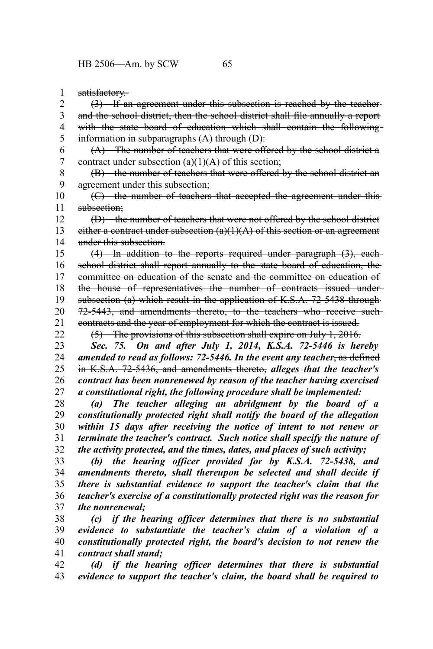satisfactory. 1

(3) If an agreement under this subsection is reached by the teacher and the school district, then the school district shall file annually a report with the state board of education which shall contain the followinginformation in subparagraphs (A) through (D): 2 3 4 5

(A) The number of teachers that were offered by the school district a contract under subsection  $(a)(1)(A)$  of this section; 6 7

(B) the number of teachers that were offered by the school district an agreement under this subsection; 8 9

(C) the number of teachers that accepted the agreement under this subsection: 10 11

(D) the number of teachers that were not offered by the school district either a contract under subsection  $(a)(1)(A)$  of this section or an agreement under this subsection. 12 13 14

(4) In addition to the reports required under paragraph (3), each school district shall report annually to the state board of education, the committee on education of the senate and the committee on education of the house of representatives the number of contracts issued under subsection (a) which result in the application of K.S.A. 72-5438 through 72-5443, and amendments thereto, to the teachers who receive such contracts and the year of employment for which the contract is issued. 15 16 17 18 19 20 21 22

(5) The provisions of this subsection shall expire on July 1, 2016.

*Sec. 75. On and after July 1, 2014, K.S.A. 72-5446 is hereby amended to read as follows: 72-5446. In the event any teacher*, as defined in K.S.A. 72-5436, and amendments thereto, *alleges that the teacher's contract has been nonrenewed by reason of the teacher having exercised a constitutional right, the following procedure shall be implemented:* 23 24 25 26 27

*(a) The teacher alleging an abridgment by the board of a constitutionally protected right shall notify the board of the allegation within 15 days after receiving the notice of intent to not renew or terminate the teacher's contract. Such notice shall specify the nature of the activity protected, and the times, dates, and places of such activity;* 28 29 30 31 32

*(b) the hearing officer provided for by K.S.A. 72-5438, and amendments thereto, shall thereupon be selected and shall decide if there is substantial evidence to support the teacher's claim that the teacher's exercise of a constitutionally protected right was the reason for the nonrenewal;* 33 34 35 36 37

*(c) if the hearing officer determines that there is no substantial evidence to substantiate the teacher's claim of a violation of a constitutionally protected right, the board's decision to not renew the contract shall stand;* 38 39 40 41

*(d) if the hearing officer determines that there is substantial evidence to support the teacher's claim, the board shall be required to* 42 43